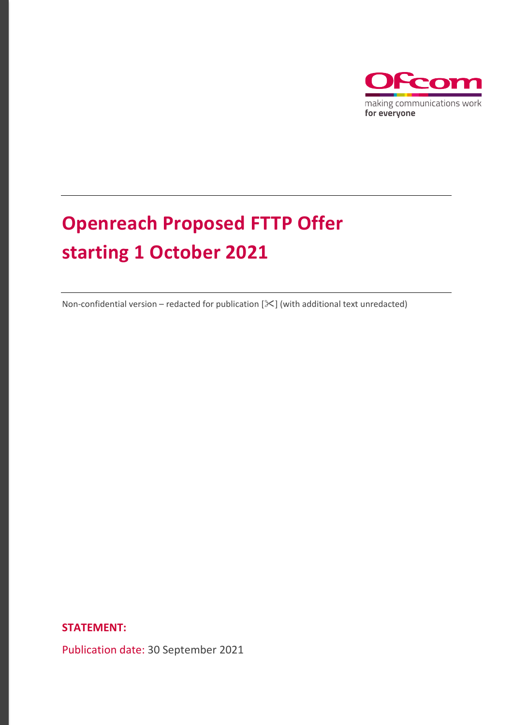

# **Openreach Proposed FTTP Offer starting 1 October 2021**

Non-confidential version – redacted for publication  $[\mathcal{K}]$  (with additional text unredacted)

**STATEMENT:** 

Publication date: 30 September 2021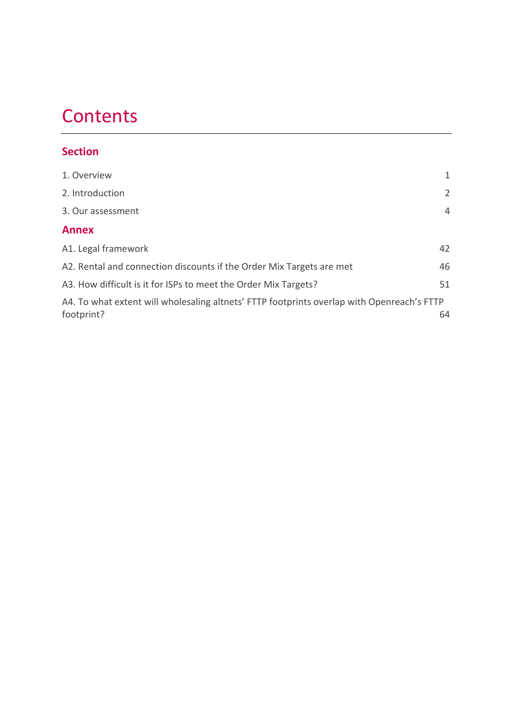# **Contents**

# **Section**

| 1. Overview                                                                                              | 1              |
|----------------------------------------------------------------------------------------------------------|----------------|
| 2. Introduction                                                                                          | $\overline{2}$ |
| 3. Our assessment                                                                                        | $\overline{4}$ |
| <b>Annex</b>                                                                                             |                |
| A1. Legal framework                                                                                      | 42             |
| A2. Rental and connection discounts if the Order Mix Targets are met                                     | 46             |
| A3. How difficult is it for ISPs to meet the Order Mix Targets?                                          | 51             |
| A4. To what extent will wholesaling altnets' FTTP footprints overlap with Openreach's FTTP<br>footprint? | 64             |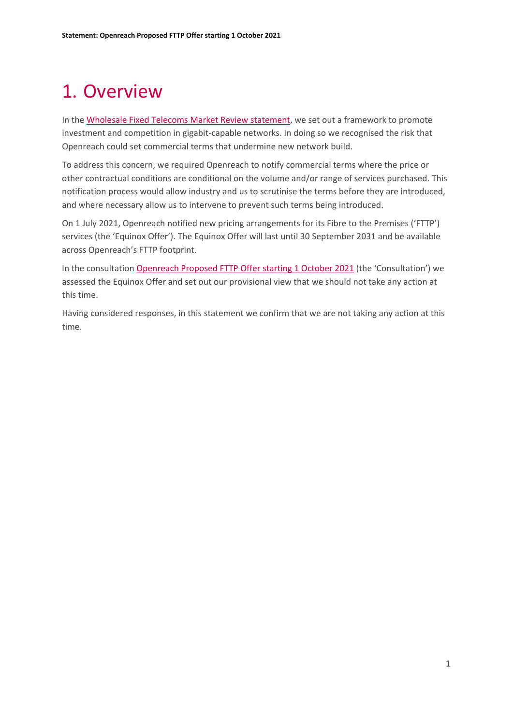# <span id="page-2-0"></span>1. Overview

In the [Wholesale Fixed Telecoms Market Review statement,](https://www.ofcom.org.uk/consultations-and-statements/category-1/2021-26-wholesale-fixed-telecoms-market-review) we set out a framework to promote investment and competition in gigabit-capable networks. In doing so we recognised the risk that Openreach could set commercial terms that undermine new network build.

To address this concern, we required Openreach to notify commercial terms where the price or other contractual conditions are conditional on the volume and/or range of services purchased. This notification process would allow industry and us to scrutinise the terms before they are introduced, and where necessary allow us to intervene to prevent such terms being introduced.

On 1 July 2021, Openreach notified new pricing arrangements for its Fibre to the Premises ('FTTP') services (the 'Equinox Offer'). The Equinox Offer will last until 30 September 2031 and be available across Openreach's FTTP footprint.

In the consultation [Openreach Proposed FTTP Offer starting 1 October 2021](https://www.ofcom.org.uk/consultations-and-statements/category-3/openreach-proposed-fttp-offer) (the 'Consultation') we assessed the Equinox Offer and set out our provisional view that we should not take any action at this time.

Having considered responses, in this statement we confirm that we are not taking any action at this time.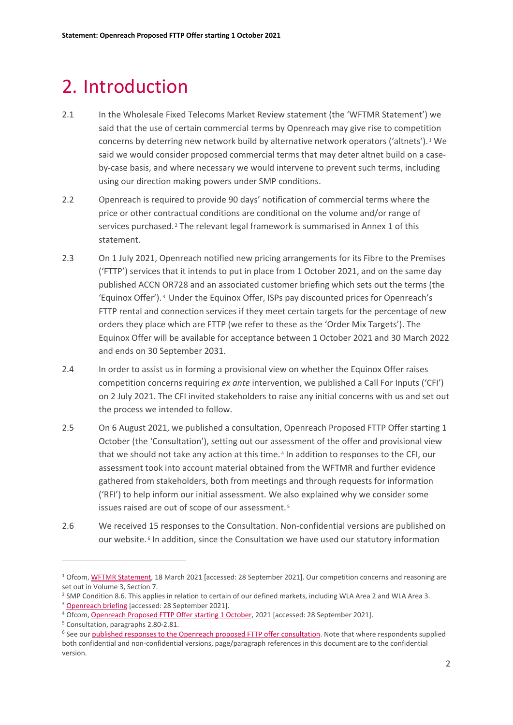# <span id="page-3-0"></span>2. Introduction

- 2.1 In the Wholesale Fixed Telecoms Market Review statement (the 'WFTMR Statement') we said that the use of certain commercial terms by Openreach may give rise to competition concerns by deterring new network build by alternative network operators ('altnets'). [1](#page-3-1) We said we would consider proposed commercial terms that may deter altnet build on a caseby-case basis, and where necessary we would intervene to prevent such terms, including using our direction making powers under SMP conditions.
- 2.2 Openreach is required to provide 90 days' notification of commercial terms where the price or other contractual conditions are conditional on the volume and/or range of services purchased.<sup>[2](#page-3-2)</sup> The relevant legal framework is summarised in Annex 1 of this statement.
- 2.3 On 1 July 2021, Openreach notified new pricing arrangements for its Fibre to the Premises ('FTTP') services that it intends to put in place from 1 October 2021, and on the same day published ACCN OR728 and an associated customer briefing which sets out the terms (the 'Equinox Offer'). [3](#page-3-3) Under the Equinox Offer, ISPs pay discounted prices for Openreach's FTTP rental and connection services if they meet certain targets for the percentage of new orders they place which are FTTP (we refer to these as the 'Order Mix Targets'). The Equinox Offer will be available for acceptance between 1 October 2021 and 30 March 2022 and ends on 30 September 2031.
- 2.4 In order to assist us in forming a provisional view on whether the Equinox Offer raises competition concerns requiring *ex ante* intervention, we published a Call For Inputs ('CFI') on 2 July 2021. The CFI invited stakeholders to raise any initial concerns with us and set out the process we intended to follow.
- 2.5 On 6 August 2021, we published a consultation, Openreach Proposed FTTP Offer starting 1 October (the 'Consultation'), setting out our assessment of the offer and provisional view that we should not take any action at this time. [4](#page-3-4) In addition to responses to the CFI, our assessment took into account material obtained from the WFTMR and further evidence gathered from stakeholders, both from meetings and through requests for information ('RFI') to help inform our initial assessment. We also explained why we consider some issues raised are out of scope of our assessment. [5](#page-3-5)
- 2.6 We received 15 responses to the Consultation. Non-confidential versions are published on our website. [6](#page-3-6) In addition, since the Consultation we have used our statutory information

<span id="page-3-1"></span><sup>1</sup> Ofcom, [WFTMR Statement,](https://www.ofcom.org.uk/consultations-and-statements/category-1/2021-26-wholesale-fixed-telecoms-market-review) 18 March 2021 [accessed: 28 September 2021]. Our competition concerns and reasoning are set out in Volume 3, Section 7.

<span id="page-3-3"></span><span id="page-3-2"></span><sup>&</sup>lt;sup>2</sup> SMP Condition 8.6. This applies in relation to certain of our defined markets, including WLA Area 2 and WLA Area 3. <sup>3</sup> [Openreach briefing](https://www.openreach.com/news/openreach-announces-special-offer-for-communications-providers-to-drive-adoption-of-full-fibre-broadband/) [accessed: 28 September 2021].

<span id="page-3-4"></span><sup>4</sup> Ofcom, [Openreach Proposed FTTP Offer starting 1 October,](https://www.openreach.com/news/openreach-announces-special-offer-for-communications-providers-to-drive-adoption-of-full-fibre-broadband/) 2021 [accessed: 28 September 2021].

<span id="page-3-6"></span><span id="page-3-5"></span><sup>&</sup>lt;sup>5</sup> Consultation, paragraphs 2.80-2.81.<br><sup>6</sup> See our <u>published responses to the Openreach proposed FTTP offer consultation</u>. Note that where respondents supplied both confidential and non-confidential versions, page/paragraph references in this document are to the confidential version.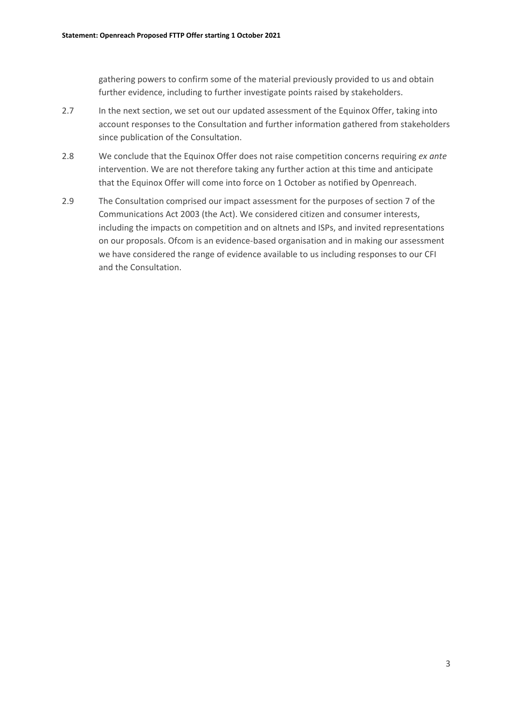gathering powers to confirm some of the material previously provided to us and obtain further evidence, including to further investigate points raised by stakeholders.

- 2.7 In the next section, we set out our updated assessment of the Equinox Offer, taking into account responses to the Consultation and further information gathered from stakeholders since publication of the Consultation.
- 2.8 We conclude that the Equinox Offer does not raise competition concerns requiring *ex ante* intervention. We are not therefore taking any further action at this time and anticipate that the Equinox Offer will come into force on 1 October as notified by Openreach.
- 2.9 The Consultation comprised our impact assessment for the purposes of section 7 of the Communications Act 2003 (the Act). We considered citizen and consumer interests, including the impacts on competition and on altnets and ISPs, and invited representations on our proposals. Ofcom is an evidence-based organisation and in making our assessment we have considered the range of evidence available to us including responses to our CFI and the Consultation.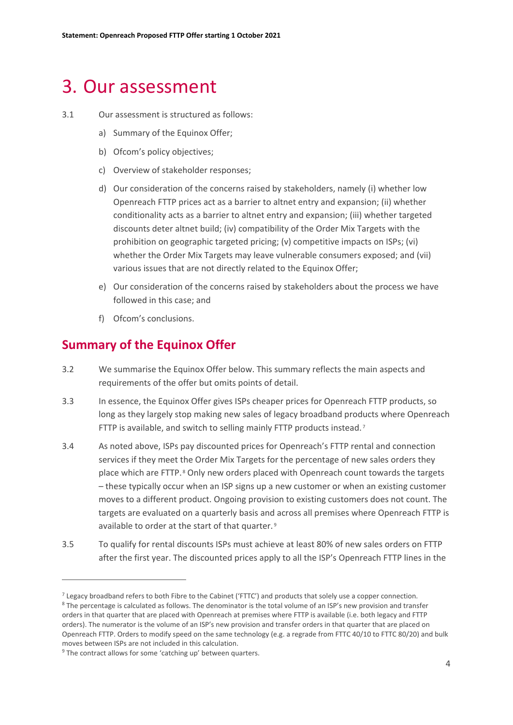# <span id="page-5-0"></span>3. Our assessment

#### 3.1 Our assessment is structured as follows:

- a) Summary of the Equinox Offer;
- b) Ofcom's policy objectives;
- c) Overview of stakeholder responses;
- d) Our consideration of the concerns raised by stakeholders, namely (i) whether low Openreach FTTP prices act as a barrier to altnet entry and expansion; (ii) whether conditionality acts as a barrier to altnet entry and expansion; (iii) whether targeted discounts deter altnet build; (iv) compatibility of the Order Mix Targets with the prohibition on geographic targeted pricing; (v) competitive impacts on ISPs; (vi) whether the Order Mix Targets may leave vulnerable consumers exposed; and (vii) various issues that are not directly related to the Equinox Offer;
- e) Our consideration of the concerns raised by stakeholders about the process we have followed in this case; and
- f) Ofcom's conclusions.

# **Summary of the Equinox Offer**

- 3.2 We summarise the Equinox Offer below. This summary reflects the main aspects and requirements of the offer but omits points of detail.
- 3.3 In essence, the Equinox Offer gives ISPs cheaper prices for Openreach FTTP products, so long as they largely stop making new sales of legacy broadband products where Openreach FTTP is available, and switch to selling mainly FTTP products instead.<sup>[7](#page-5-1)</sup>
- 3.4 As noted above, ISPs pay discounted prices for Openreach's FTTP rental and connection services if they meet the Order Mix Targets for the percentage of new sales orders they place which are FTTP. [8](#page-5-2) Only new orders placed with Openreach count towards the targets – these typically occur when an ISP signs up a new customer or when an existing customer moves to a different product. Ongoing provision to existing customers does not count. The targets are evaluated on a quarterly basis and across all premises where Openreach FTTP is available to order at the start of that quarter. [9](#page-5-3)
- 3.5 To qualify for rental discounts ISPs must achieve at least 80% of new sales orders on FTTP after the first year. The discounted prices apply to all the ISP's Openreach FTTP lines in the

<span id="page-5-2"></span><span id="page-5-1"></span> $<sup>7</sup>$  Legacy broadband refers to both Fibre to the Cabinet ('FTTC') and products that solely use a copper connection.</sup> <sup>8</sup> The percentage is calculated as follows. The denominator is the total volume of an ISP's new provision and transfer orders in that quarter that are placed with Openreach at premises where FTTP is available (i.e. both legacy and FTTP

orders). The numerator is the volume of an ISP's new provision and transfer orders in that quarter that are placed on Openreach FTTP. Orders to modify speed on the same technology (e.g. a regrade from FTTC 40/10 to FTTC 80/20) and bulk moves between ISPs are not included in this calculation.

<span id="page-5-3"></span> $9$  The contract allows for some 'catching up' between quarters.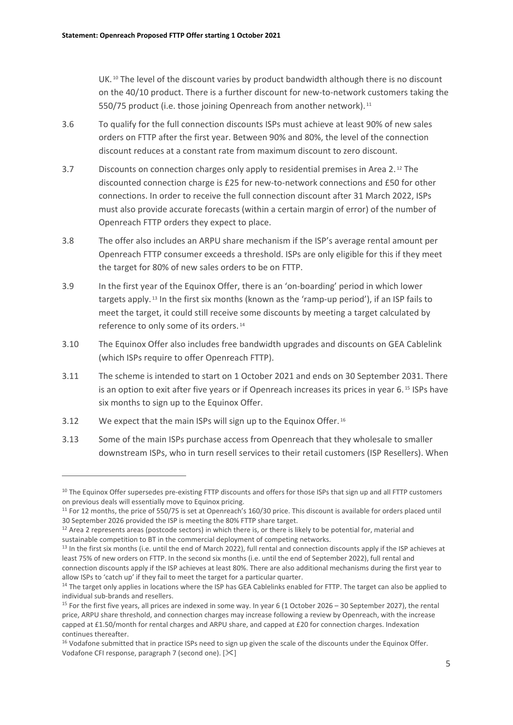UK.<sup>[10](#page-6-0)</sup> The level of the discount varies by product bandwidth although there is no discount on the 40/10 product. There is a further discount for new-to-network customers taking the 550/75 product (i.e. those joining Openreach from another network).<sup>[11](#page-6-1)</sup>

- 3.6 To qualify for the full connection discounts ISPs must achieve at least 90% of new sales orders on FTTP after the first year. Between 90% and 80%, the level of the connection discount reduces at a constant rate from maximum discount to zero discount.
- 3.7 Discounts on connection charges only apply to residential premises in Area 2. [12](#page-6-2) The discounted connection charge is £25 for new-to-network connections and £50 for other connections. In order to receive the full connection discount after 31 March 2022, ISPs must also provide accurate forecasts (within a certain margin of error) of the number of Openreach FTTP orders they expect to place.
- 3.8 The offer also includes an ARPU share mechanism if the ISP's average rental amount per Openreach FTTP consumer exceeds a threshold. ISPs are only eligible for this if they meet the target for 80% of new sales orders to be on FTTP.
- 3.9 In the first year of the Equinox Offer, there is an 'on-boarding' period in which lower targets apply. [13](#page-6-3) In the first six months (known as the 'ramp-up period'), if an ISP fails to meet the target, it could still receive some discounts by meeting a target calculated by reference to only some of its orders. [14](#page-6-4)
- 3.10 The Equinox Offer also includes free bandwidth upgrades and discounts on GEA Cablelink (which ISPs require to offer Openreach FTTP).
- 3.11 The scheme is intended to start on 1 October 2021 and ends on 30 September 2031. There is an option to exit after five years or if Openreach increases its prices in year 6.<sup>[15](#page-6-5)</sup> ISPs have six months to sign up to the Equinox Offer.
- 3.12 We expect that the main ISPs will sign up to the Equinox Offer.<sup>[16](#page-6-6)</sup>
- 3.13 Some of the main ISPs purchase access from Openreach that they wholesale to smaller downstream ISPs, who in turn resell services to their retail customers (ISP Resellers). When

<span id="page-6-0"></span><sup>&</sup>lt;sup>10</sup> The Equinox Offer supersedes pre-existing FTTP discounts and offers for those ISPs that sign up and all FTTP customers on previous deals will essentially move to Equinox pricing.

<span id="page-6-1"></span><sup>&</sup>lt;sup>11</sup> For 12 months, the price of 550/75 is set at Openreach's 160/30 price. This discount is available for orders placed until 30 September 2026 provided the ISP is meeting the 80% FTTP share target.

<span id="page-6-2"></span> $12$  Area 2 represents areas (postcode sectors) in which there is, or there is likely to be potential for, material and sustainable competition to BT in the commercial deployment of competing networks.

<span id="page-6-3"></span><sup>&</sup>lt;sup>13</sup> In the first six months (i.e. until the end of March 2022), full rental and connection discounts apply if the ISP achieves at least 75% of new orders on FTTP. In the second six months (i.e. until the end of September 2022), full rental and connection discounts apply if the ISP achieves at least 80%. There are also additional mechanisms during the first year to allow ISPs to 'catch up' if they fail to meet the target for a particular quarter.

<span id="page-6-4"></span><sup>&</sup>lt;sup>14</sup> The target only applies in locations where the ISP has GEA Cablelinks enabled for FTTP. The target can also be applied to individual sub-brands and resellers.

<span id="page-6-5"></span><sup>15</sup> For the first five years, all prices are indexed in some way. In year 6 (1 October 2026 – 30 September 2027), the rental price, ARPU share threshold, and connection charges may increase following a review by Openreach, with the increase capped at £1.50/month for rental charges and ARPU share, and capped at £20 for connection charges. Indexation continues thereafter.

<span id="page-6-6"></span><sup>&</sup>lt;sup>16</sup> Vodafone submitted that in practice ISPs need to sign up given the scale of the discounts under the Equinox Offer. Vodafone CFI response, paragraph 7 (second one).  $[\times]$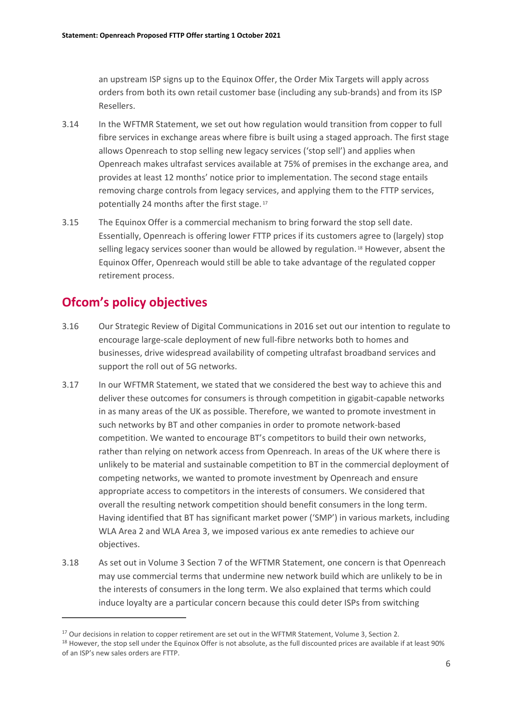an upstream ISP signs up to the Equinox Offer, the Order Mix Targets will apply across orders from both its own retail customer base (including any sub-brands) and from its ISP Resellers.

- 3.14 In the WFTMR Statement, we set out how regulation would transition from copper to full fibre services in exchange areas where fibre is built using a staged approach. The first stage allows Openreach to stop selling new legacy services ('stop sell') and applies when Openreach makes ultrafast services available at 75% of premises in the exchange area, and provides at least 12 months' notice prior to implementation. The second stage entails removing charge controls from legacy services, and applying them to the FTTP services, potentially 24 months after the first stage. [17](#page-7-0)
- 3.15 The Equinox Offer is a commercial mechanism to bring forward the stop sell date. Essentially, Openreach is offering lower FTTP prices if its customers agree to (largely) stop selling legacy services sooner than would be allowed by regulation.<sup>[18](#page-7-1)</sup> However, absent the Equinox Offer, Openreach would still be able to take advantage of the regulated copper retirement process.

# **Ofcom's policy objectives**

- 3.16 Our Strategic Review of Digital Communications in 2016 set out our intention to regulate to encourage large-scale deployment of new full-fibre networks both to homes and businesses, drive widespread availability of competing ultrafast broadband services and support the roll out of 5G networks.
- 3.17 In our WFTMR Statement, we stated that we considered the best way to achieve this and deliver these outcomes for consumers is through competition in gigabit-capable networks in as many areas of the UK as possible. Therefore, we wanted to promote investment in such networks by BT and other companies in order to promote network-based competition. We wanted to encourage BT's competitors to build their own networks, rather than relying on network access from Openreach. In areas of the UK where there is unlikely to be material and sustainable competition to BT in the commercial deployment of competing networks, we wanted to promote investment by Openreach and ensure appropriate access to competitors in the interests of consumers. We considered that overall the resulting network competition should benefit consumers in the long term. Having identified that BT has significant market power ('SMP') in various markets, including WLA Area 2 and WLA Area 3, we imposed various ex ante remedies to achieve our objectives.
- 3.18 As set out in Volume 3 Section 7 of the WFTMR Statement, one concern is that Openreach may use commercial terms that undermine new network build which are unlikely to be in the interests of consumers in the long term. We also explained that terms which could induce loyalty are a particular concern because this could deter ISPs from switching

<span id="page-7-0"></span><sup>&</sup>lt;sup>17</sup> Our decisions in relation to copper retirement are set out in the WFTMR Statement, Volume 3, Section 2.

<span id="page-7-1"></span><sup>&</sup>lt;sup>18</sup> However, the stop sell under the Equinox Offer is not absolute, as the full discounted prices are available if at least 90% of an ISP's new sales orders are FTTP.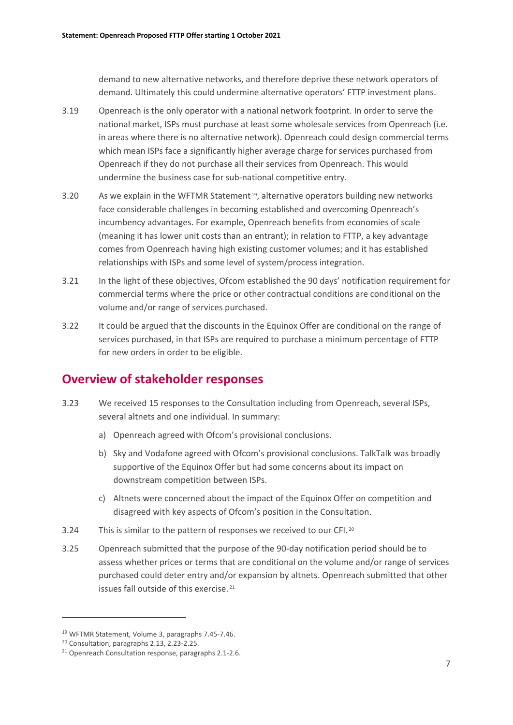demand to new alternative networks, and therefore deprive these network operators of demand. Ultimately this could undermine alternative operators' FTTP investment plans.

- 3.19 Openreach is the only operator with a national network footprint. In order to serve the national market, ISPs must purchase at least some wholesale services from Openreach (i.e. in areas where there is no alternative network). Openreach could design commercial terms which mean ISPs face a significantly higher average charge for services purchased from Openreach if they do not purchase all their services from Openreach. This would undermine the business case for sub-national competitive entry.
- 3.20 As we explain in the WFTMR Statement [19](#page-8-0), alternative operators building new networks face considerable challenges in becoming established and overcoming Openreach's incumbency advantages. For example, Openreach benefits from economies of scale (meaning it has lower unit costs than an entrant); in relation to FTTP, a key advantage comes from Openreach having high existing customer volumes; and it has established relationships with ISPs and some level of system/process integration.
- 3.21 In the light of these objectives, Ofcom established the 90 days' notification requirement for commercial terms where the price or other contractual conditions are conditional on the volume and/or range of services purchased.
- 3.22 It could be argued that the discounts in the Equinox Offer are conditional on the range of services purchased, in that ISPs are required to purchase a minimum percentage of FTTP for new orders in order to be eligible.

## **Overview of stakeholder responses**

- 3.23 We received 15 responses to the Consultation including from Openreach, several ISPs, several altnets and one individual. In summary:
	- a) Openreach agreed with Ofcom's provisional conclusions.
	- b) Sky and Vodafone agreed with Ofcom's provisional conclusions. TalkTalk was broadly supportive of the Equinox Offer but had some concerns about its impact on downstream competition between ISPs.
	- c) Altnets were concerned about the impact of the Equinox Offer on competition and disagreed with key aspects of Ofcom's position in the Consultation.
- 3.24 This is similar to the pattern of responses we received to our CFI.<sup>[20](#page-8-1)</sup>
- 3.25 Openreach submitted that the purpose of the 90-day notification period should be to assess whether prices or terms that are conditional on the volume and/or range of services purchased could deter entry and/or expansion by altnets. Openreach submitted that other issues fall outside of this exercise. [21](#page-8-2)

<span id="page-8-1"></span><span id="page-8-0"></span><sup>&</sup>lt;sup>19</sup> WFTMR Statement, Volume 3, paragraphs 7.45-7.46.<br><sup>20</sup> Consultation, paragraphs 2.13, 2.23-2.25.

<span id="page-8-2"></span><sup>&</sup>lt;sup>21</sup> Openreach Consultation response, paragraphs 2.1-2.6.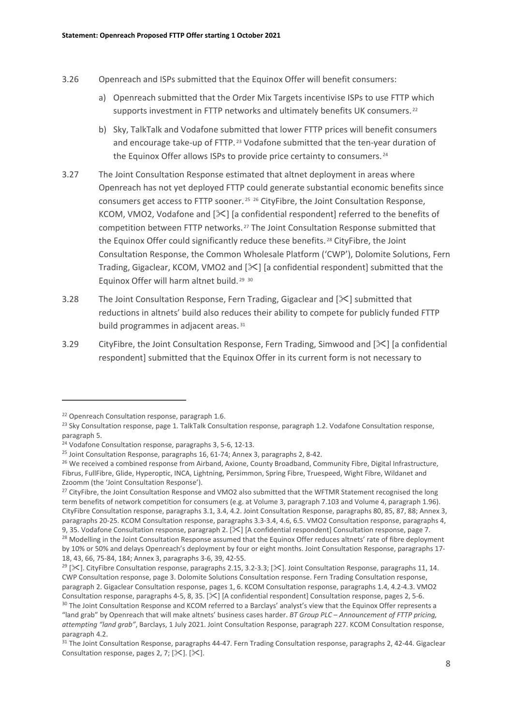- 3.26 Openreach and ISPs submitted that the Equinox Offer will benefit consumers:
	- a) Openreach submitted that the Order Mix Targets incentivise ISPs to use FTTP which supports investment in FTTP networks and ultimately benefits UK consumers.<sup>[22](#page-9-0)</sup>
	- b) Sky, TalkTalk and Vodafone submitted that lower FTTP prices will benefit consumers and encourage take-up of FTTP.<sup>[23](#page-9-1)</sup> Vodafone submitted that the ten-year duration of the Equinox Offer allows ISPs to provide price certainty to consumers.<sup>[24](#page-9-2)</sup>
- 3.27 The Joint Consultation Response estimated that altnet deployment in areas where Openreach has not yet deployed FTTP could generate substantial economic benefits since consumers get access to FTTP sooner.<sup>[25](#page-9-3), [26](#page-9-4)</sup> CityFibre, the Joint Consultation Response, KCOM, VMO2, Vodafone and  $[\&]$  [a confidential respondent] referred to the benefits of competition between FTTP networks. [27](#page-9-5) The Joint Consultation Response submitted that the Equinox Offer could significantly reduce these benefits. [28](#page-9-6) CityFibre, the Joint Consultation Response, the Common Wholesale Platform ('CWP'), Dolomite Solutions, Fern Trading, Gigaclear, KCOM, VMO2 and  $[\frac{1}{2}]$  [a confidential respondent] submitted that the Equinox Offer will harm altnet build. [29](#page-9-7) [30](#page-9-8)
- 3.28 The Joint Consultation Response, Fern Trading, Gigaclear and [ $\geq$ ] submitted that reductions in altnets' build also reduces their ability to compete for publicly funded FTTP build programmes in adjacent areas. [31](#page-9-9)
- 3.29 CityFibre, the Joint Consultation Response, Fern Trading, Simwood and [ $\mathcal{X}$ ] [a confidential respondent] submitted that the Equinox Offer in its current form is not necessary to

<span id="page-9-5"></span><sup>27</sup> CityFibre, the Joint Consultation Response and VMO2 also submitted that the WFTMR Statement recognised the long term benefits of network competition for consumers (e.g. at Volume 3, paragraph 7.103 and Volume 4, paragraph 1.96). CityFibre Consultation response, paragraphs 3.1, 3.4, 4.2. Joint Consultation Response, paragraphs 80, 85, 87, 88; Annex 3, paragraphs 20-25. KCOM Consultation response, paragraphs 3.3-3.4, 4.6, 6.5. VMO2 Consultation response, paragraphs 4, 9, 35. Vodafone Consultation response, paragraph 2. [ $\leq$ ] [A confidential respondent] Consultation response, page 7.

<span id="page-9-0"></span><sup>&</sup>lt;sup>22</sup> Openreach Consultation response, paragraph 1.6.

<span id="page-9-1"></span><sup>&</sup>lt;sup>23</sup> Sky Consultation response, page 1. TalkTalk Consultation response, paragraph 1.2. Vodafone Consultation response, paragraph 5.

<span id="page-9-2"></span><sup>24</sup> Vodafone Consultation response, paragraphs 3, 5-6, 12-13.

<span id="page-9-3"></span><sup>&</sup>lt;sup>25</sup> Joint Consultation Response, paragraphs 16, 61-74; Annex 3, paragraphs 2, 8-42.

<span id="page-9-4"></span><sup>&</sup>lt;sup>26</sup> We received a combined response from Airband, Axione, County Broadband, Community Fibre, Digital Infrastructure, Fibrus, FullFibre, Glide, Hyperoptic, INCA, Lightning, Persimmon, Spring Fibre, Truespeed, Wight Fibre, Wildanet and Zzoomm (the 'Joint Consultation Response').

<span id="page-9-6"></span><sup>&</sup>lt;sup>28</sup> Modelling in the Joint Consultation Response assumed that the Equinox Offer reduces altnets' rate of fibre deployment by 10% or 50% and delays Openreach's deployment by four or eight months. Joint Consultation Response, paragraphs 17- 18, 43, 66, 75-84, 184; Annex 3, paragraphs 3-6, 39, 42-55.

<span id="page-9-8"></span><span id="page-9-7"></span><sup>&</sup>lt;sup>29</sup> [ $\geq$ ]. CityFibre Consultation response, paragraphs 2.15, 3.2-3.3; [ $\geq$ ]. Joint Consultation Response, paragraphs 11, 14. CWP Consultation response, page 3. Dolomite Solutions Consultation response. Fern Trading Consultation response, paragraph 2. Gigaclear Consultation response, pages 1, 6. KCOM Consultation response, paragraphs 1.4, 4.2-4.3. VMO2 Consultation response, paragraphs 4-5, 8, 35. [ $\ge$ ] [A confidential respondent] Consultation response, pages 2, 5-6. 30 The Joint Consultation Response and KCOM referred to a Barclays' analyst's view that the Equinox Offer represents a "land grab" by Openreach that will make altnets' business cases harder. *BT Group PLC – Announcement of FTTP pricing, attempting "land grab"*, Barclays, 1 July 2021. Joint Consultation Response, paragraph 227. KCOM Consultation response, paragraph 4.2.

<span id="page-9-9"></span><sup>&</sup>lt;sup>31</sup> The Joint Consultation Response, paragraphs 44-47. Fern Trading Consultation response, paragraphs 2, 42-44. Gigaclear Consultation response, pages 2, 7;  $[\mathcal{K}]$ .  $[\mathcal{K}]$ .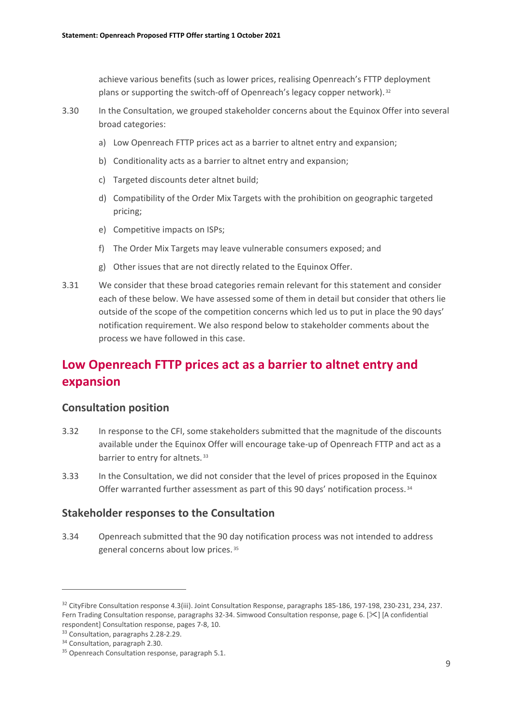achieve various benefits (such as lower prices, realising Openreach's FTTP deployment plans or supporting the switch-off of Openreach's legacy copper network). [32](#page-10-0)

- 3.30 In the Consultation, we grouped stakeholder concerns about the Equinox Offer into several broad categories:
	- a) Low Openreach FTTP prices act as a barrier to altnet entry and expansion;
	- b) Conditionality acts as a barrier to altnet entry and expansion;
	- c) Targeted discounts deter altnet build;
	- d) Compatibility of the Order Mix Targets with the prohibition on geographic targeted pricing;
	- e) Competitive impacts on ISPs;
	- f) The Order Mix Targets may leave vulnerable consumers exposed; and
	- g) Other issues that are not directly related to the Equinox Offer.
- 3.31 We consider that these broad categories remain relevant for this statement and consider each of these below. We have assessed some of them in detail but consider that others lie outside of the scope of the competition concerns which led us to put in place the 90 days' notification requirement. We also respond below to stakeholder comments about the process we have followed in this case.

# **Low Openreach FTTP prices act as a barrier to altnet entry and expansion**

### **Consultation position**

- 3.32 In response to the CFI, some stakeholders submitted that the magnitude of the discounts available under the Equinox Offer will encourage take-up of Openreach FTTP and act as a barrier to entry for altnets.<sup>[33](#page-10-1)</sup>
- 3.33 In the Consultation, we did not consider that the level of prices proposed in the Equinox Offer warranted further assessment as part of this 90 days' notification process. [34](#page-10-2)

### **Stakeholder responses to the Consultation**

3.34 Openreach submitted that the 90 day notification process was not intended to address general concerns about low prices. [35](#page-10-3)

<span id="page-10-0"></span><sup>&</sup>lt;sup>32</sup> CityFibre Consultation response 4.3(iii). Joint Consultation Response, paragraphs 185-186, 197-198, 230-231, 234, 237. Fern Trading Consultation response, paragraphs 32-34. Simwood Consultation response, page 6. [ $\leq$ ] [A confidential respondent] Consultation response, pages 7-8, 10.

<span id="page-10-1"></span><sup>33</sup> Consultation, paragraphs 2.28-2.29.

<span id="page-10-3"></span><span id="page-10-2"></span><sup>&</sup>lt;sup>34</sup> Consultation, paragraph 2.30.

<sup>&</sup>lt;sup>35</sup> Openreach Consultation response, paragraph 5.1.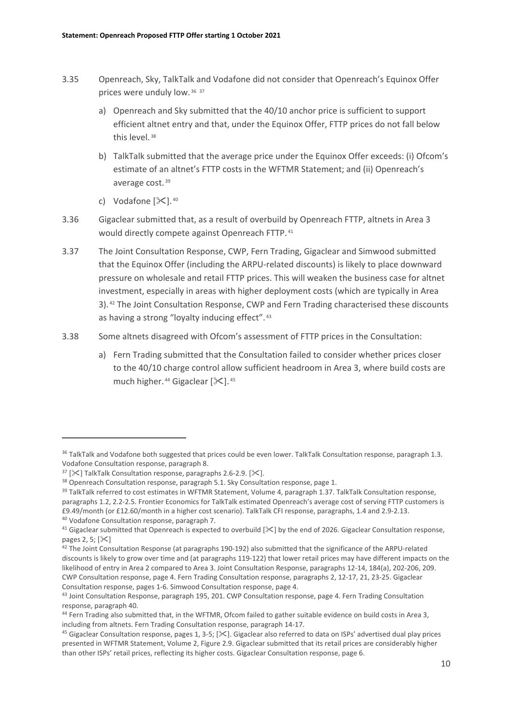- 3.35 Openreach, Sky, TalkTalk and Vodafone did not consider that Openreach's Equinox Offer prices were unduly low. [36](#page-11-0) [37](#page-11-1)
	- a) Openreach and Sky submitted that the 40/10 anchor price is sufficient to support efficient altnet entry and that, under the Equinox Offer, FTTP prices do not fall below this level. [38](#page-11-2)
	- b) TalkTalk submitted that the average price under the Equinox Offer exceeds: (i) Ofcom's estimate of an altnet's FTTP costs in the WFTMR Statement; and (ii) Openreach's average cost. [39](#page-11-3)
	- c) Vodafone  $[\&]$ .  $40$
- 3.36 Gigaclear submitted that, as a result of overbuild by Openreach FTTP, altnets in Area 3 would directly compete against Openreach FTTP. [41](#page-11-5)
- 3.37 The Joint Consultation Response, CWP, Fern Trading, Gigaclear and Simwood submitted that the Equinox Offer (including the ARPU-related discounts) is likely to place downward pressure on wholesale and retail FTTP prices. This will weaken the business case for altnet investment, especially in areas with higher deployment costs (which are typically in Area 3). [42](#page-11-6) The Joint Consultation Response, CWP and Fern Trading characterised these discounts as having a strong "loyalty inducing effect". [43](#page-11-7)
- 3.38 Some altnets disagreed with Ofcom's assessment of FTTP prices in the Consultation:
	- a) Fern Trading submitted that the Consultation failed to consider whether prices closer to the 40/10 charge control allow sufficient headroom in Area 3, where build costs are much higher.  $44$  Gigaclear  $[\mathcal{K}]$ .  $45$

<span id="page-11-0"></span><sup>&</sup>lt;sup>36</sup> TalkTalk and Vodafone both suggested that prices could be even lower. TalkTalk Consultation response, paragraph 1.3. Vodafone Consultation response, paragraph 8.

<span id="page-11-1"></span> $37$  [ $\mathcal{K}$ ] TalkTalk Consultation response, paragraphs 2.6-2.9. [ $\mathcal{K}$ ].

<span id="page-11-3"></span><span id="page-11-2"></span><sup>&</sup>lt;sup>38</sup> Openreach Consultation response, paragraph 5.1. Sky Consultation response, page 1.<br><sup>39</sup> TalkTalk referred to cost estimates in WFTMR Statement, Volume 4, paragraph 1.37. TalkTalk Consultation response, paragraphs 1.2, 2.2-2.5. Frontier Economics for TalkTalk estimated Openreach's average cost of serving FTTP customers is £9.49/month (or £12.60/month in a higher cost scenario). TalkTalk CFI response, paragraphs, 1.4 and 2.9-2.13. <sup>40</sup> Vodafone Consultation response, paragraph 7.

<span id="page-11-5"></span><span id="page-11-4"></span><sup>&</sup>lt;sup>41</sup> Gigaclear submitted that Openreach is expected to overbuild  $[\times]$  by the end of 2026. Gigaclear Consultation response, pages  $2, 5$ ;  $[\times]$ 

<span id="page-11-6"></span><sup>&</sup>lt;sup>42</sup> The Joint Consultation Response (at paragraphs 190-192) also submitted that the significance of the ARPU-related discounts is likely to grow over time and (at paragraphs 119-122) that lower retail prices may have different impacts on the likelihood of entry in Area 2 compared to Area 3. Joint Consultation Response, paragraphs 12-14, 184(a), 202-206, 209. CWP Consultation response, page 4. Fern Trading Consultation response, paragraphs 2, 12-17, 21, 23-25. Gigaclear Consultation response, pages 1-6. Simwood Consultation response, page 4.

<span id="page-11-7"></span><sup>&</sup>lt;sup>43</sup> Joint Consultation Response, paragraph 195, 201. CWP Consultation response, page 4. Fern Trading Consultation response, paragraph 40.

<span id="page-11-8"></span><sup>44</sup> Fern Trading also submitted that, in the WFTMR, Ofcom failed to gather suitable evidence on build costs in Area 3, including from altnets. Fern Trading Consultation response, paragraph 14-17.

<span id="page-11-9"></span><sup>&</sup>lt;sup>45</sup> Gigaclear Consultation response, pages 1, 3-5; [ $\times$ ]. Gigaclear also referred to data on ISPs' advertised dual play prices presented in WFTMR Statement, Volume 2, Figure 2.9. Gigaclear submitted that its retail prices are considerably higher than other ISPs' retail prices, reflecting its higher costs. Gigaclear Consultation response, page 6.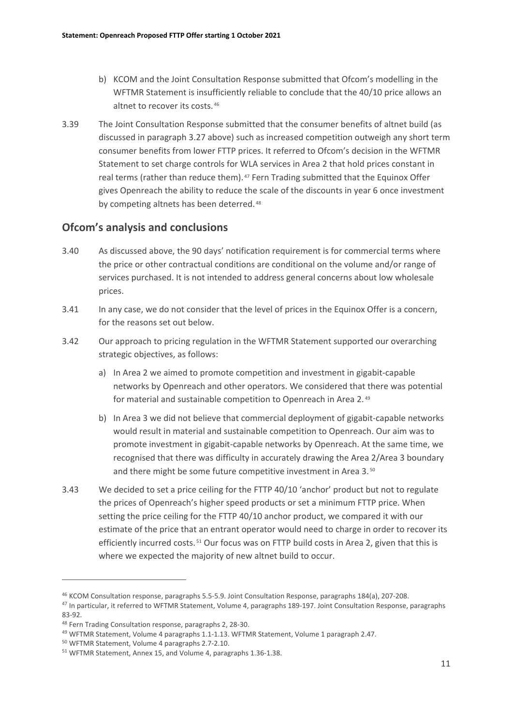- b) KCOM and the Joint Consultation Response submitted that Ofcom's modelling in the WFTMR Statement is insufficiently reliable to conclude that the 40/10 price allows an altnet to recover its costs. [46](#page-12-0)
- 3.39 The Joint Consultation Response submitted that the consumer benefits of altnet build (as discussed in paragraph 3.27 above) such as increased competition outweigh any short term consumer benefits from lower FTTP prices. It referred to Ofcom's decision in the WFTMR Statement to set charge controls for WLA services in Area 2 that hold prices constant in real terms (rather than reduce them). $47$  Fern Trading submitted that the Equinox Offer gives Openreach the ability to reduce the scale of the discounts in year 6 once investment by competing altnets has been deterred.<sup>[48](#page-12-2)</sup>

### **Ofcom's analysis and conclusions**

- 3.40 As discussed above, the 90 days' notification requirement is for commercial terms where the price or other contractual conditions are conditional on the volume and/or range of services purchased. It is not intended to address general concerns about low wholesale prices.
- 3.41 In any case, we do not consider that the level of prices in the Equinox Offer is a concern, for the reasons set out below.
- 3.42 Our approach to pricing regulation in the WFTMR Statement supported our overarching strategic objectives, as follows:
	- a) In Area 2 we aimed to promote competition and investment in gigabit-capable networks by Openreach and other operators. We considered that there was potential for material and sustainable competition to Openreach in Area 2. [49](#page-12-3)
	- b) In Area 3 we did not believe that commercial deployment of gigabit-capable networks would result in material and sustainable competition to Openreach. Our aim was to promote investment in gigabit-capable networks by Openreach. At the same time, we recognised that there was difficulty in accurately drawing the Area 2/Area 3 boundary and there might be some future competitive investment in Area 3.[50](#page-12-4)
- 3.43 We decided to set a price ceiling for the FTTP 40/10 'anchor' product but not to regulate the prices of Openreach's higher speed products or set a minimum FTTP price. When setting the price ceiling for the FTTP 40/10 anchor product, we compared it with our estimate of the price that an entrant operator would need to charge in order to recover its efficiently incurred costs.<sup>[51](#page-12-5)</sup> Our focus was on FTTP build costs in Area 2, given that this is where we expected the majority of new altnet build to occur.

<span id="page-12-0"></span><sup>46</sup> KCOM Consultation response, paragraphs 5.5-5.9. Joint Consultation Response, paragraphs 184(a), 207-208.

<span id="page-12-1"></span><sup>&</sup>lt;sup>47</sup> In particular, it referred to WFTMR Statement, Volume 4, paragraphs 189-197. Joint Consultation Response, paragraphs 83-92.

<span id="page-12-2"></span><sup>48</sup> Fern Trading Consultation response, paragraphs 2, 28-30.

<span id="page-12-3"></span><sup>&</sup>lt;sup>49</sup> WFTMR Statement, Volume 4 paragraphs 1.1-1.13. WFTMR Statement, Volume 1 paragraph 2.47.

<span id="page-12-4"></span><sup>50</sup> WFTMR Statement, Volume 4 paragraphs 2.7-2.10.

<span id="page-12-5"></span><sup>51</sup> WFTMR Statement, Annex 15, and Volume 4, paragraphs 1.36-1.38.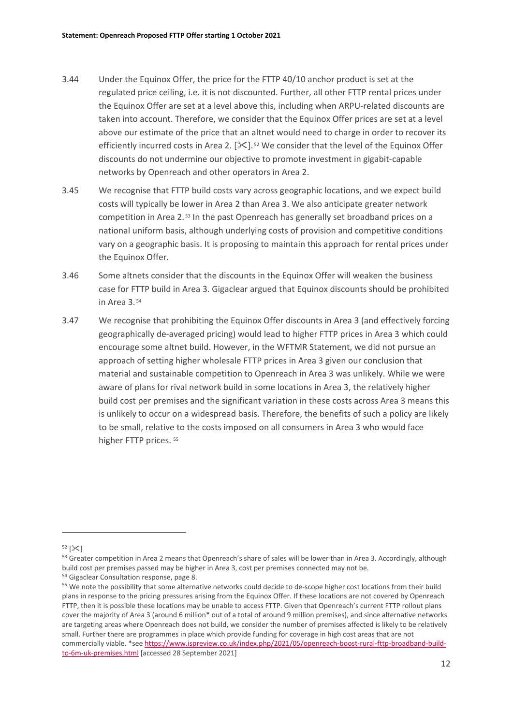- 3.44 Under the Equinox Offer, the price for the FTTP 40/10 anchor product is set at the regulated price ceiling, i.e. it is not discounted. Further, all other FTTP rental prices under the Equinox Offer are set at a level above this, including when ARPU-related discounts are taken into account. Therefore, we consider that the Equinox Offer prices are set at a level above our estimate of the price that an altnet would need to charge in order to recover its efficiently incurred costs in Area 2.  $[\mathbb{X}].$ <sup>[52](#page-13-0)</sup> We consider that the level of the Equinox Offer discounts do not undermine our objective to promote investment in gigabit-capable networks by Openreach and other operators in Area 2.
- 3.45 We recognise that FTTP build costs vary across geographic locations, and we expect build costs will typically be lower in Area 2 than Area 3. We also anticipate greater network competition in Area 2.<sup>[53](#page-13-1)</sup> In the past Openreach has generally set broadband prices on a national uniform basis, although underlying costs of provision and competitive conditions vary on a geographic basis. It is proposing to maintain this approach for rental prices under the Equinox Offer.
- 3.46 Some altnets consider that the discounts in the Equinox Offer will weaken the business case for FTTP build in Area 3. Gigaclear argued that Equinox discounts should be prohibited in Area 3. [54](#page-13-2)
- 3.47 We recognise that prohibiting the Equinox Offer discounts in Area 3 (and effectively forcing geographically de-averaged pricing) would lead to higher FTTP prices in Area 3 which could encourage some altnet build. However, in the WFTMR Statement, we did not pursue an approach of setting higher wholesale FTTP prices in Area 3 given our conclusion that material and sustainable competition to Openreach in Area 3 was unlikely. While we were aware of plans for rival network build in some locations in Area 3, the relatively higher build cost per premises and the significant variation in these costs across Area 3 means this is unlikely to occur on a widespread basis. Therefore, the benefits of such a policy are likely to be small, relative to the costs imposed on all consumers in Area 3 who would face higher FTTP prices.  $55$

<span id="page-13-0"></span> $52$   $\left[\right]\times$ 

<span id="page-13-1"></span><sup>&</sup>lt;sup>53</sup> Greater competition in Area 2 means that Openreach's share of sales will be lower than in Area 3. Accordingly, although build cost per premises passed may be higher in Area 3, cost per premises connected may not be.

<span id="page-13-2"></span><sup>54</sup> Gigaclear Consultation response, page 8.

<span id="page-13-3"></span><sup>&</sup>lt;sup>55</sup> We note the possibility that some alternative networks could decide to de-scope higher cost locations from their build plans in response to the pricing pressures arising from the Equinox Offer. If these locations are not covered by Openreach FTTP, then it is possible these locations may be unable to access FTTP. Given that Openreach's current FTTP rollout plans cover the majority of Area 3 (around 6 million\* out of a total of around 9 million premises), and since alternative networks are targeting areas where Openreach does not build, we consider the number of premises affected is likely to be relatively small. Further there are programmes in place which provide funding for coverage in high cost areas that are not commercially viable. \*see [https://www.ispreview.co.uk/index.php/2021/05/openreach-boost-rural-fttp-broadband-build](https://www.ispreview.co.uk/index.php/2021/05/openreach-boost-rural-fttp-broadband-build-to-6m-uk-premises.html)[to-6m-uk-premises.html](https://www.ispreview.co.uk/index.php/2021/05/openreach-boost-rural-fttp-broadband-build-to-6m-uk-premises.html) [accessed 28 September 2021]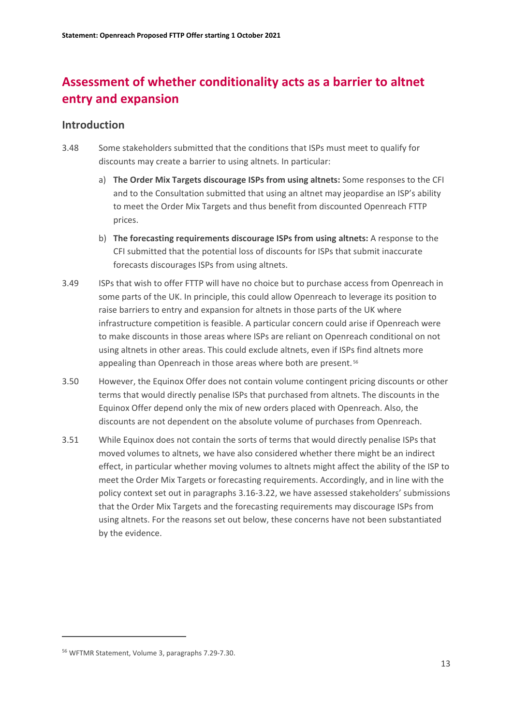# **Assessment of whether conditionality acts as a barrier to altnet entry and expansion**

### **Introduction**

- 3.48 Some stakeholders submitted that the conditions that ISPs must meet to qualify for discounts may create a barrier to using altnets. In particular:
	- a) **The Order Mix Targets discourage ISPs from using altnets:** Some responses to the CFI and to the Consultation submitted that using an altnet may jeopardise an ISP's ability to meet the Order Mix Targets and thus benefit from discounted Openreach FTTP prices.
	- b) **The forecasting requirements discourage ISPs from using altnets:** A response to the CFI submitted that the potential loss of discounts for ISPs that submit inaccurate forecasts discourages ISPs from using altnets.
- 3.49 ISPs that wish to offer FTTP will have no choice but to purchase access from Openreach in some parts of the UK. In principle, this could allow Openreach to leverage its position to raise barriers to entry and expansion for altnets in those parts of the UK where infrastructure competition is feasible. A particular concern could arise if Openreach were to make discounts in those areas where ISPs are reliant on Openreach conditional on not using altnets in other areas. This could exclude altnets, even if ISPs find altnets more appealing than Openreach in those areas where both are present.<sup>[56](#page-14-0)</sup>
- 3.50 However, the Equinox Offer does not contain volume contingent pricing discounts or other terms that would directly penalise ISPs that purchased from altnets. The discounts in the Equinox Offer depend only the mix of new orders placed with Openreach. Also, the discounts are not dependent on the absolute volume of purchases from Openreach.
- 3.51 While Equinox does not contain the sorts of terms that would directly penalise ISPs that moved volumes to altnets, we have also considered whether there might be an indirect effect, in particular whether moving volumes to altnets might affect the ability of the ISP to meet the Order Mix Targets or forecasting requirements. Accordingly, and in line with the policy context set out in paragraphs 3.16-3.22, we have assessed stakeholders' submissions that the Order Mix Targets and the forecasting requirements may discourage ISPs from using altnets. For the reasons set out below, these concerns have not been substantiated by the evidence.

<span id="page-14-0"></span><sup>56</sup> WFTMR Statement, Volume 3, paragraphs 7.29-7.30.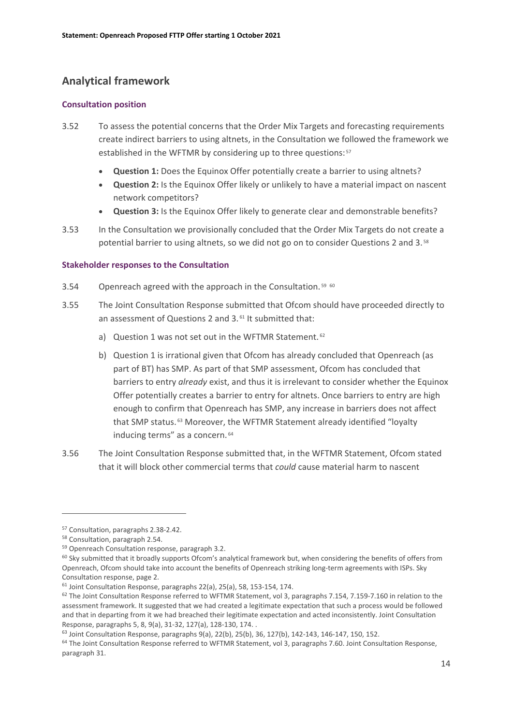## **Analytical framework**

#### **Consultation position**

- 3.52 To assess the potential concerns that the Order Mix Targets and forecasting requirements create indirect barriers to using altnets, in the Consultation we followed the framework we established in the WFTMR by considering up to three questions: [57](#page-15-0)
	- **Question 1:** Does the Equinox Offer potentially create a barrier to using altnets?
	- **Question 2:** Is the Equinox Offer likely or unlikely to have a material impact on nascent network competitors?
	- **Question 3:** Is the Equinox Offer likely to generate clear and demonstrable benefits?
- 3.53 In the Consultation we provisionally concluded that the Order Mix Targets do not create a potential barrier to using altnets, so we did not go on to consider Questions 2 and 3. [58](#page-15-1)

#### **Stakeholder responses to the Consultation**

- 3.54 Openreach agreed with the approach in the Consultation.<sup>[59](#page-15-2) [60](#page-15-3)</sup>
- 3.55 The Joint Consultation Response submitted that Ofcom should have proceeded directly to an assessment of Questions 2 and 3. [61](#page-15-4) It submitted that:
	- a) Question 1 was not set out in the WFTMR Statement. <sup>[62](#page-15-5)</sup>
	- b) Question 1 is irrational given that Ofcom has already concluded that Openreach (as part of BT) has SMP. As part of that SMP assessment, Ofcom has concluded that barriers to entry *already* exist, and thus it is irrelevant to consider whether the Equinox Offer potentially creates a barrier to entry for altnets. Once barriers to entry are high enough to confirm that Openreach has SMP, any increase in barriers does not affect that SMP status. [63](#page-15-6) Moreover, the WFTMR Statement already identified "loyalty inducing terms" as a concern. [64](#page-15-7)
- 3.56 The Joint Consultation Response submitted that, in the WFTMR Statement, Ofcom stated that it will block other commercial terms that *could* cause material harm to nascent

<span id="page-15-7"></span><sup>64</sup> The Joint Consultation Response referred to WFTMR Statement, vol 3, paragraphs 7.60. Joint Consultation Response, paragraph 31.

<span id="page-15-0"></span><sup>57</sup> Consultation, paragraphs 2.38-2.42.

<span id="page-15-1"></span><sup>58</sup> Consultation, paragraph 2.54.

<span id="page-15-2"></span><sup>59</sup> Openreach Consultation response, paragraph 3.2.

<span id="page-15-3"></span> $60$  Sky submitted that it broadly supports Ofcom's analytical framework but, when considering the benefits of offers from Openreach, Ofcom should take into account the benefits of Openreach striking long-term agreements with ISPs. Sky Consultation response, page 2.

<span id="page-15-5"></span><span id="page-15-4"></span><sup>&</sup>lt;sup>61</sup> Joint Consultation Response, paragraphs 22(a), 25(a), 58, 153-154, 174.<br><sup>62</sup> The Joint Consultation Response referred to WFTMR Statement, vol 3, paragraphs 7.154, 7.159-7.160 in relation to the assessment framework. It suggested that we had created a legitimate expectation that such a process would be followed and that in departing from it we had breached their legitimate expectation and acted inconsistently. Joint Consultation Response, paragraphs 5, 8, 9(a), 31-32, 127(a), 128-130, 174. .

<span id="page-15-6"></span><sup>&</sup>lt;sup>63</sup> Joint Consultation Response, paragraphs 9(a), 22(b), 25(b), 36, 127(b), 142-143, 146-147, 150, 152.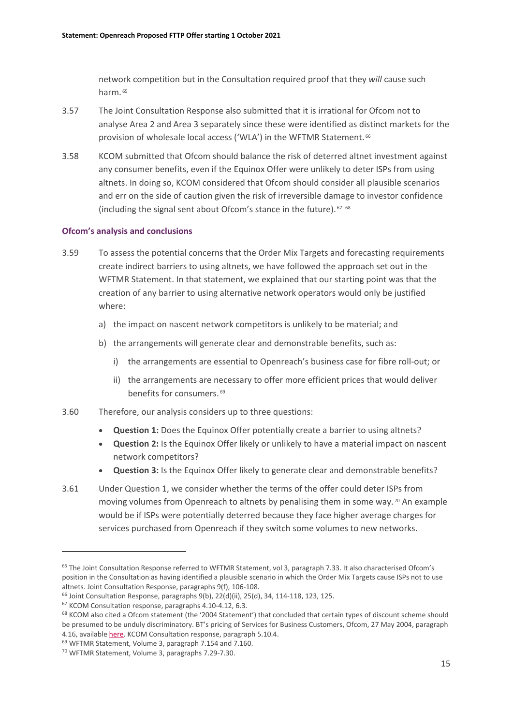network competition but in the Consultation required proof that they *will* cause such harm. [65](#page-16-0)

- 3.57 The Joint Consultation Response also submitted that it is irrational for Ofcom not to analyse Area 2 and Area 3 separately since these were identified as distinct markets for the provision of wholesale local access ('WLA') in the WFTMR Statement. [66](#page-16-1)
- 3.58 KCOM submitted that Ofcom should balance the risk of deterred altnet investment against any consumer benefits, even if the Equinox Offer were unlikely to deter ISPs from using altnets. In doing so, KCOM considered that Ofcom should consider all plausible scenarios and err on the side of caution given the risk of irreversible damage to investor confidence (including the signal sent about Ofcom's stance in the future). [67](#page-16-2) [68](#page-16-3)

#### **Ofcom's analysis and conclusions**

- 3.59 To assess the potential concerns that the Order Mix Targets and forecasting requirements create indirect barriers to using altnets, we have followed the approach set out in the WFTMR Statement. In that statement, we explained that our starting point was that the creation of any barrier to using alternative network operators would only be justified where:
	- a) the impact on nascent network competitors is unlikely to be material; and
	- b) the arrangements will generate clear and demonstrable benefits, such as:
		- i) the arrangements are essential to Openreach's business case for fibre roll-out; or
		- ii) the arrangements are necessary to offer more efficient prices that would deliver benefits for consumers. [69](#page-16-4)
- 3.60 Therefore, our analysis considers up to three questions:
	- **Question 1:** Does the Equinox Offer potentially create a barrier to using altnets?
	- **Question 2:** Is the Equinox Offer likely or unlikely to have a material impact on nascent network competitors?
	- **Question 3:** Is the Equinox Offer likely to generate clear and demonstrable benefits?
- 3.61 Under Question 1, we consider whether the terms of the offer could deter ISPs from moving volumes from Openreach to altnets by penalising them in some way.<sup>[70](#page-16-5)</sup> An example would be if ISPs were potentially deterred because they face higher average charges for services purchased from Openreach if they switch some volumes to new networks.

<span id="page-16-0"></span><sup>&</sup>lt;sup>65</sup> The Joint Consultation Response referred to WFTMR Statement, vol 3, paragraph 7.33. It also characterised Ofcom's position in the Consultation as having identified a plausible scenario in which the Order Mix Targets cause ISPs not to use

<span id="page-16-1"></span>altnets. Joint Consultation Response, paragraphs 9(f), 106-108.<br><sup>66</sup> Joint Consultation Response, paragraphs 9(b), 22(d)(ii), 25(d), 34, 114-118, 123, 125.

<span id="page-16-2"></span><sup>67</sup> KCOM Consultation response, paragraphs 4.10-4.12, 6.3.

<span id="page-16-3"></span><sup>&</sup>lt;sup>68</sup> KCOM also cited a Ofcom statement (the '2004 Statement') that concluded that certain types of discount scheme should be presumed to be unduly discriminatory. BT's pricing of Services for Business Customers, Ofcom, 27 May 2004, paragraph 4.16, availabl[e here.](https://www.ofcom.org.uk/__data/assets/pdf_file/0034/73978/business_pricing.pdf) KCOM Consultation response, paragraph 5.10.4.

<span id="page-16-5"></span><span id="page-16-4"></span><sup>69</sup> WFTMR Statement, Volume 3, paragraph 7.154 and 7.160.

<sup>70</sup> WFTMR Statement, Volume 3, paragraphs 7.29-7.30.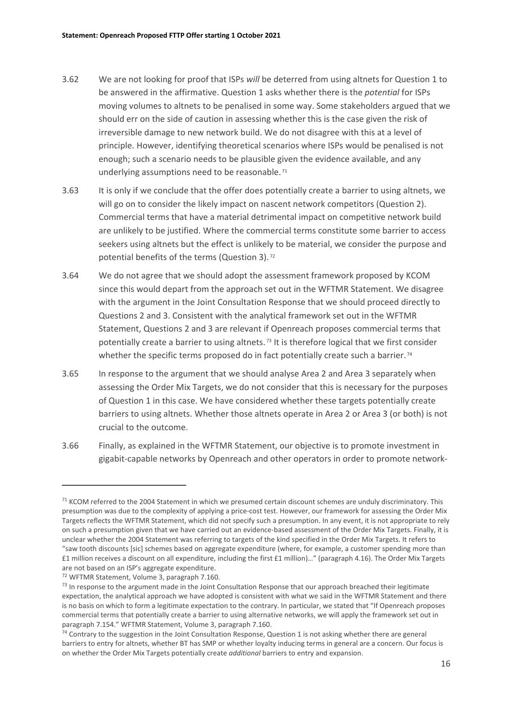- 3.62 We are not looking for proof that ISPs *will* be deterred from using altnets for Question 1 to be answered in the affirmative. Question 1 asks whether there is the *potential* for ISPs moving volumes to altnets to be penalised in some way. Some stakeholders argued that we should err on the side of caution in assessing whether this is the case given the risk of irreversible damage to new network build. We do not disagree with this at a level of principle. However, identifying theoretical scenarios where ISPs would be penalised is not enough; such a scenario needs to be plausible given the evidence available, and any underlying assumptions need to be reasonable. [71](#page-17-0)
- 3.63 It is only if we conclude that the offer does potentially create a barrier to using altnets, we will go on to consider the likely impact on nascent network competitors (Question 2). Commercial terms that have a material detrimental impact on competitive network build are unlikely to be justified. Where the commercial terms constitute some barrier to access seekers using altnets but the effect is unlikely to be material, we consider the purpose and potential benefits of the terms (Question 3). [72](#page-17-1)
- 3.64 We do not agree that we should adopt the assessment framework proposed by KCOM since this would depart from the approach set out in the WFTMR Statement. We disagree with the argument in the Joint Consultation Response that we should proceed directly to Questions 2 and 3. Consistent with the analytical framework set out in the WFTMR Statement, Questions 2 and 3 are relevant if Openreach proposes commercial terms that potentially create a barrier to using altnets. [73](#page-17-2) It is therefore logical that we first consider whether the specific terms proposed do in fact potentially create such a barrier.<sup>[74](#page-17-3)</sup>
- 3.65 In response to the argument that we should analyse Area 2 and Area 3 separately when assessing the Order Mix Targets, we do not consider that this is necessary for the purposes of Question 1 in this case. We have considered whether these targets potentially create barriers to using altnets. Whether those altnets operate in Area 2 or Area 3 (or both) is not crucial to the outcome.
- 3.66 Finally, as explained in the WFTMR Statement, our objective is to promote investment in gigabit-capable networks by Openreach and other operators in order to promote network-

<span id="page-17-0"></span><sup>&</sup>lt;sup>71</sup> KCOM referred to the 2004 Statement in which we presumed certain discount schemes are unduly discriminatory. This presumption was due to the complexity of applying a price-cost test. However, our framework for assessing the Order Mix Targets reflects the WFTMR Statement, which did not specify such a presumption. In any event, it is not appropriate to rely on such a presumption given that we have carried out an evidence-based assessment of the Order Mix Targets. Finally, it is unclear whether the 2004 Statement was referring to targets of the kind specified in the Order Mix Targets. It refers to "saw tooth discounts [sic] schemes based on aggregate expenditure (where, for example, a customer spending more than £1 million receives a discount on all expenditure, including the first £1 million)…" (paragraph 4.16). The Order Mix Targets are not based on an ISP's aggregate expenditure.

<span id="page-17-1"></span><sup>72</sup> WFTMR Statement, Volume 3, paragraph 7.160.

<span id="page-17-2"></span> $<sup>73</sup>$  In response to the argument made in the Joint Consultation Response that our approach breached their legitimate</sup> expectation, the analytical approach we have adopted is consistent with what we said in the WFTMR Statement and there is no basis on which to form a legitimate expectation to the contrary. In particular, we stated that "If Openreach proposes commercial terms that potentially create a barrier to using alternative networks, we will apply the framework set out in paragraph 7.154." WFTMR Statement, Volume 3, paragraph 7.160.

<span id="page-17-3"></span><sup>&</sup>lt;sup>74</sup> Contrary to the suggestion in the Joint Consultation Response, Question 1 is not asking whether there are general barriers to entry for altnets, whether BT has SMP or whether loyalty inducing terms in general are a concern. Our focus is on whether the Order Mix Targets potentially create *additional* barriers to entry and expansion.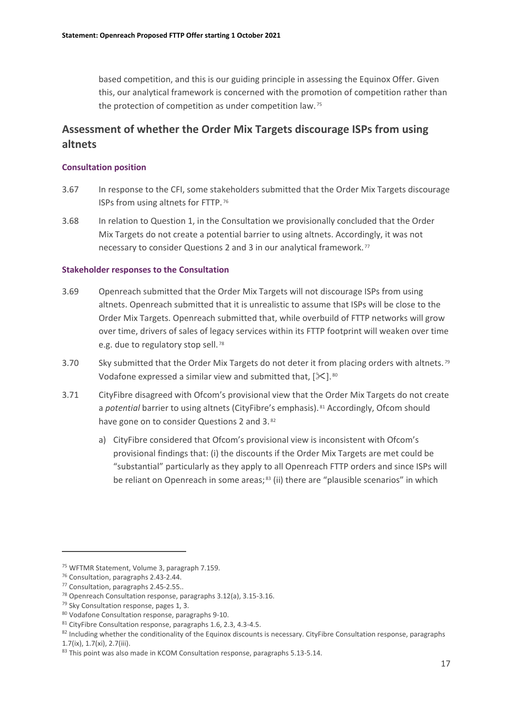based competition, and this is our guiding principle in assessing the Equinox Offer. Given this, our analytical framework is concerned with the promotion of competition rather than the protection of competition as under competition law. [75](#page-18-0)

# **Assessment of whether the Order Mix Targets discourage ISPs from using altnets**

#### **Consultation position**

- 3.67 In response to the CFI, some stakeholders submitted that the Order Mix Targets discourage ISPs from using altnets for FTTP. [76](#page-18-1)
- 3.68 In relation to Question 1, in the Consultation we provisionally concluded that the Order Mix Targets do not create a potential barrier to using altnets. Accordingly, it was not necessary to consider Questions 2 and 3 in our analytical framework. [77](#page-18-2)

#### **Stakeholder responses to the Consultation**

- 3.69 Openreach submitted that the Order Mix Targets will not discourage ISPs from using altnets. Openreach submitted that it is unrealistic to assume that ISPs will be close to the Order Mix Targets. Openreach submitted that, while overbuild of FTTP networks will grow over time, drivers of sales of legacy services within its FTTP footprint will weaken over time e.g. due to regulatory stop sell.<sup>[78](#page-18-3)</sup>
- 3.70 Sky submitted that the Order Mix Targets do not deter it from placing orders with altnets.<sup>[79](#page-18-4)</sup> Vodafone expressed a similar view and submitted that,  $[\frac{1}{10}]$ . [80](#page-18-5)
- 3.71 CityFibre disagreed with Ofcom's provisional view that the Order Mix Targets do not create a *potential* barrier to using altnets (CityFibre's emphasis). [81](#page-18-6) Accordingly, Ofcom should have gone on to consider Questions 2 and 3.[82](#page-18-7)
	- a) CityFibre considered that Ofcom's provisional view is inconsistent with Ofcom's provisional findings that: (i) the discounts if the Order Mix Targets are met could be "substantial" particularly as they apply to all Openreach FTTP orders and since ISPs will be reliant on Openreach in some areas;<sup>[83](#page-18-8)</sup> (ii) there are "plausible scenarios" in which

<span id="page-18-0"></span><sup>75</sup> WFTMR Statement, Volume 3, paragraph 7.159.

<span id="page-18-1"></span><sup>76</sup> Consultation, paragraphs 2.43-2.44.

<span id="page-18-2"></span><sup>77</sup> Consultation, paragraphs 2.45-2.55..

<span id="page-18-3"></span><sup>78</sup> Openreach Consultation response, paragraphs 3.12(a), 3.15-3.16.

<span id="page-18-4"></span><sup>79</sup> Sky Consultation response, pages 1, 3.

<span id="page-18-5"></span><sup>80</sup> Vodafone Consultation response, paragraphs 9-10.

<span id="page-18-6"></span><sup>81</sup> CityFibre Consultation response, paragraphs 1.6, 2.3, 4.3-4.5.

<span id="page-18-7"></span> $82$  Including whether the conditionality of the Equinox discounts is necessary. CityFibre Consultation response, paragraphs 1.7(ix), 1.7(xi), 2.7(iii).

<span id="page-18-8"></span><sup>83</sup> This point was also made in KCOM Consultation response, paragraphs 5.13-5.14.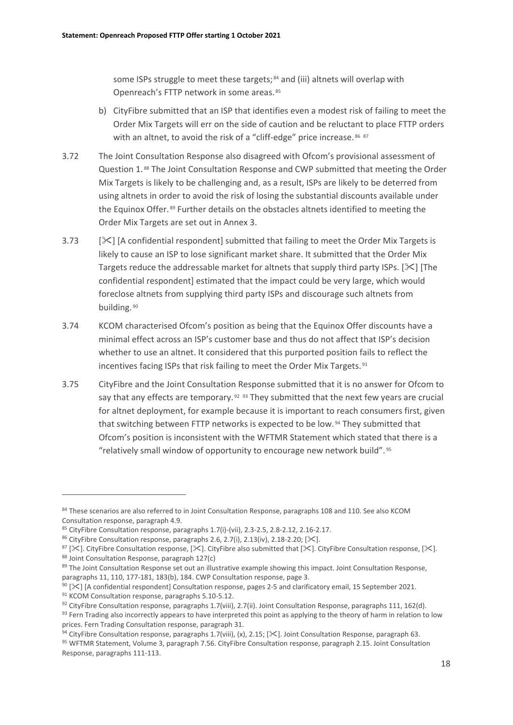some ISPs struggle to meet these targets; [84](#page-19-0) and (iii) altnets will overlap with Openreach's FTTP network in some areas. [85](#page-19-1)

- b) CityFibre submitted that an ISP that identifies even a modest risk of failing to meet the Order Mix Targets will err on the side of caution and be reluctant to place FTTP orders with an altnet, to avoid the risk of a "cliff-edge" price increase. [86](#page-19-2) [87](#page-19-3)
- 3.72 The Joint Consultation Response also disagreed with Ofcom's provisional assessment of Question 1. [88](#page-19-4) The Joint Consultation Response and CWP submitted that meeting the Order Mix Targets is likely to be challenging and, as a result, ISPs are likely to be deterred from using altnets in order to avoid the risk of losing the substantial discounts available under the Equinox Offer. [89](#page-19-5) Further details on the obstacles altnets identified to meeting the Order Mix Targets are set out in Annex 3.
- 3.73 [ $\geq$ ] [A confidential respondent] submitted that failing to meet the Order Mix Targets is likely to cause an ISP to lose significant market share. It submitted that the Order Mix Targets reduce the addressable market for altnets that supply third party ISPs.  $[\mathcal{K}]$  [The confidential respondent] estimated that the impact could be very large, which would foreclose altnets from supplying third party ISPs and discourage such altnets from building. [90](#page-19-6)
- 3.74 KCOM characterised Ofcom's position as being that the Equinox Offer discounts have a minimal effect across an ISP's customer base and thus do not affect that ISP's decision whether to use an altnet. It considered that this purported position fails to reflect the incentives facing ISPs that risk failing to meet the Order Mix Targets.<sup>[91](#page-19-7)</sup>
- 3.75 CityFibre and the Joint Consultation Response submitted that it is no answer for Ofcom to say that any effects are temporary.<sup>[92](#page-19-8)</sup> <sup>[93](#page-19-9)</sup> They submitted that the next few years are crucial for altnet deployment, for example because it is important to reach consumers first, given that switching between FTTP networks is expected to be low. [94](#page-19-10) They submitted that Ofcom's position is inconsistent with the WFTMR Statement which stated that there is a "relatively small window of opportunity to encourage new network build". [95](#page-19-11)

<span id="page-19-0"></span><sup>84</sup> These scenarios are also referred to in Joint Consultation Response, paragraphs 108 and 110. See also KCOM Consultation response, paragraph 4.9.

<span id="page-19-1"></span><sup>85</sup> CityFibre Consultation response, paragraphs 1.7(i)-(vii), 2.3-2.5, 2.8-2.12, 2.16-2.17.

<span id="page-19-2"></span><sup>&</sup>lt;sup>86</sup> CityFibre Consultation response, paragraphs 2.6, 2.7(i), 2.13(iv), 2.18-2.20;  $[\mathcal{K}]$ .

<span id="page-19-4"></span><span id="page-19-3"></span><sup>&</sup>lt;sup>87</sup> [ $\times$ ]. CityFibre Consultation response, [ $\times$ ]. CityFibre also submitted that [ $\times$ ]. CityFibre Consultation response, [ $\times$ ]. 88 Joint Consultation Response, paragraph 127(c)

<span id="page-19-5"></span><sup>&</sup>lt;sup>89</sup> The Joint Consultation Response set out an illustrative example showing this impact. Joint Consultation Response, paragraphs 11, 110, 177-181, 183(b), 184. CWP Consultation response, page 3.

<span id="page-19-6"></span> $90$  [ $\ge$ ] [A confidential respondent] Consultation response, pages 2-5 and clarificatory email, 15 September 2021.

<span id="page-19-7"></span><sup>91</sup> KCOM Consultation response, paragraphs 5.10-5.12.

<span id="page-19-8"></span><sup>&</sup>lt;sup>92</sup> CityFibre Consultation response, paragraphs 1.7(viii), 2.7(ii). Joint Consultation Response, paragraphs 111, 162(d).

<span id="page-19-9"></span><sup>93</sup> Fern Trading also incorrectly appears to have interpreted this point as applying to the theory of harm in relation to low prices. Fern Trading Consultation response, paragraph 31.

<span id="page-19-11"></span><span id="page-19-10"></span><sup>&</sup>lt;sup>94</sup> CityFibre Consultation response, paragraphs 1.7(viii), (x), 2.15; [ $\ll$ ]. Joint Consultation Response, paragraph 63.<br><sup>95</sup> WFTMR Statement, Volume 3, paragraph 7.56. CityFibre Consultation response, paragraph 2.15. Jo Response, paragraphs 111-113.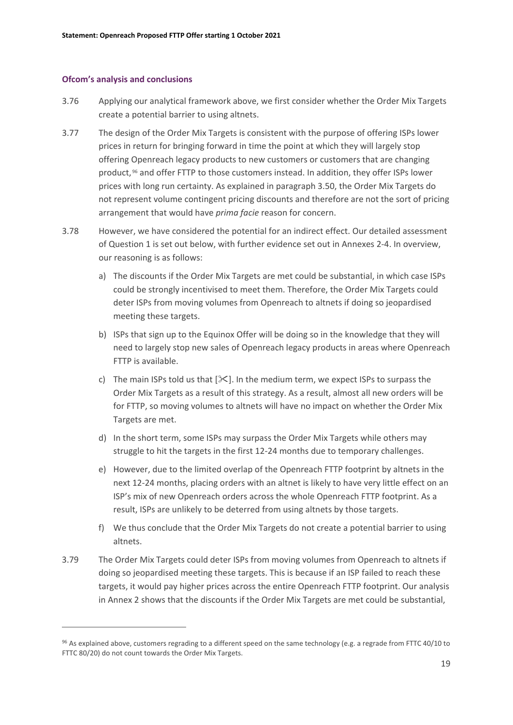#### **Ofcom's analysis and conclusions**

- 3.76 Applying our analytical framework above, we first consider whether the Order Mix Targets create a potential barrier to using altnets.
- 3.77 The design of the Order Mix Targets is consistent with the purpose of offering ISPs lower prices in return for bringing forward in time the point at which they will largely stop offering Openreach legacy products to new customers or customers that are changing product, [96](#page-20-0) and offer FTTP to those customers instead. In addition, they offer ISPs lower prices with long run certainty. As explained in paragraph 3.50, the Order Mix Targets do not represent volume contingent pricing discounts and therefore are not the sort of pricing arrangement that would have *prima facie* reason for concern.
- 3.78 However, we have considered the potential for an indirect effect. Our detailed assessment of Question 1 is set out below, with further evidence set out in Annexes 2-4. In overview, our reasoning is as follows:
	- a) The discounts if the Order Mix Targets are met could be substantial, in which case ISPs could be strongly incentivised to meet them. Therefore, the Order Mix Targets could deter ISPs from moving volumes from Openreach to altnets if doing so jeopardised meeting these targets.
	- b) ISPs that sign up to the Equinox Offer will be doing so in the knowledge that they will need to largely stop new sales of Openreach legacy products in areas where Openreach FTTP is available.
	- c) The main ISPs told us that  $[\mathcal{K}]$ . In the medium term, we expect ISPs to surpass the Order Mix Targets as a result of this strategy. As a result, almost all new orders will be for FTTP, so moving volumes to altnets will have no impact on whether the Order Mix Targets are met.
	- d) In the short term, some ISPs may surpass the Order Mix Targets while others may struggle to hit the targets in the first 12-24 months due to temporary challenges.
	- e) However, due to the limited overlap of the Openreach FTTP footprint by altnets in the next 12-24 months, placing orders with an altnet is likely to have very little effect on an ISP's mix of new Openreach orders across the whole Openreach FTTP footprint. As a result, ISPs are unlikely to be deterred from using altnets by those targets.
	- f) We thus conclude that the Order Mix Targets do not create a potential barrier to using altnets.
- 3.79 The Order Mix Targets could deter ISPs from moving volumes from Openreach to altnets if doing so jeopardised meeting these targets. This is because if an ISP failed to reach these targets, it would pay higher prices across the entire Openreach FTTP footprint. Our analysis in Annex 2 shows that the discounts if the Order Mix Targets are met could be substantial,

<span id="page-20-0"></span><sup>&</sup>lt;sup>96</sup> As explained above, customers regrading to a different speed on the same technology (e.g. a regrade from FTTC 40/10 to FTTC 80/20) do not count towards the Order Mix Targets.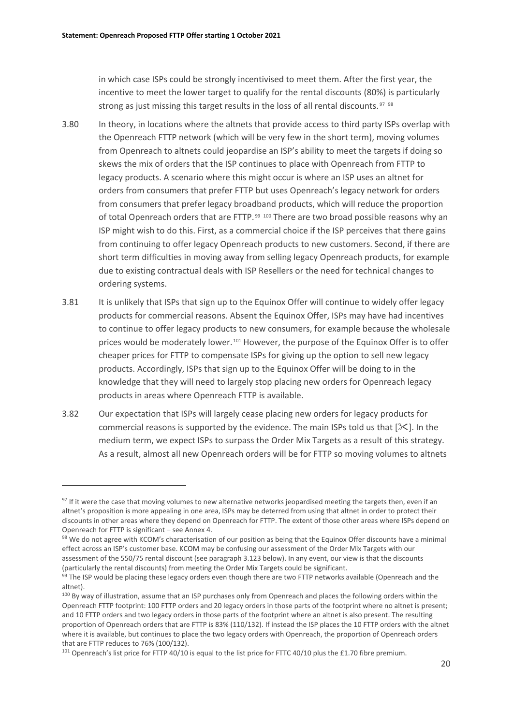in which case ISPs could be strongly incentivised to meet them. After the first year, the incentive to meet the lower target to qualify for the rental discounts (80%) is particularly strong as just missing this target results in the loss of all rental discounts. [97](#page-21-0) [98](#page-21-1)

- 3.80 In theory, in locations where the altnets that provide access to third party ISPs overlap with the Openreach FTTP network (which will be very few in the short term), moving volumes from Openreach to altnets could jeopardise an ISP's ability to meet the targets if doing so skews the mix of orders that the ISP continues to place with Openreach from FTTP to legacy products. A scenario where this might occur is where an ISP uses an altnet for orders from consumers that prefer FTTP but uses Openreach's legacy network for orders from consumers that prefer legacy broadband products, which will reduce the proportion of total Openreach orders that are FTTP.<sup>[99](#page-21-2) [100](#page-21-3)</sup> There are two broad possible reasons why an ISP might wish to do this. First, as a commercial choice if the ISP perceives that there gains from continuing to offer legacy Openreach products to new customers. Second, if there are short term difficulties in moving away from selling legacy Openreach products, for example due to existing contractual deals with ISP Resellers or the need for technical changes to ordering systems.
- 3.81 It is unlikely that ISPs that sign up to the Equinox Offer will continue to widely offer legacy products for commercial reasons. Absent the Equinox Offer, ISPs may have had incentives to continue to offer legacy products to new consumers, for example because the wholesale prices would be moderately lower. [101](#page-21-4) However, the purpose of the Equinox Offer is to offer cheaper prices for FTTP to compensate ISPs for giving up the option to sell new legacy products. Accordingly, ISPs that sign up to the Equinox Offer will be doing to in the knowledge that they will need to largely stop placing new orders for Openreach legacy products in areas where Openreach FTTP is available.
- 3.82 Our expectation that ISPs will largely cease placing new orders for legacy products for commercial reasons is supported by the evidence. The main ISPs told us that  $[\times]$ . In the medium term, we expect ISPs to surpass the Order Mix Targets as a result of this strategy. As a result, almost all new Openreach orders will be for FTTP so moving volumes to altnets

<span id="page-21-0"></span><sup>&</sup>lt;sup>97</sup> If it were the case that moving volumes to new alternative networks jeopardised meeting the targets then, even if an altnet's proposition is more appealing in one area, ISPs may be deterred from using that altnet in order to protect their discounts in other areas where they depend on Openreach for FTTP. The extent of those other areas where ISPs depend on Openreach for FTTP is significant – see Annex 4.

<span id="page-21-1"></span><sup>98</sup> We do not agree with KCOM's characterisation of our position as being that the Equinox Offer discounts have a minimal effect across an ISP's customer base. KCOM may be confusing our assessment of the Order Mix Targets with our assessment of the 550/75 rental discount (see paragraph 3.123 below). In any event, our view is that the discounts (particularly the rental discounts) from meeting the Order Mix Targets could be significant.

<span id="page-21-2"></span> $99$  The ISP would be placing these legacy orders even though there are two FTTP networks available (Openreach and the altnet).

<span id="page-21-3"></span><sup>&</sup>lt;sup>100</sup> By way of illustration, assume that an ISP purchases only from Openreach and places the following orders within the Openreach FTTP footprint: 100 FTTP orders and 20 legacy orders in those parts of the footprint where no altnet is present; and 10 FTTP orders and two legacy orders in those parts of the footprint where an altnet is also present. The resulting proportion of Openreach orders that are FTTP is 83% (110/132). If instead the ISP places the 10 FTTP orders with the altnet where it is available, but continues to place the two legacy orders with Openreach, the proportion of Openreach orders that are FTTP reduces to 76% (100/132).

<span id="page-21-4"></span> $101$  Openreach's list price for FTTP 40/10 is equal to the list price for FTTC 40/10 plus the £1.70 fibre premium.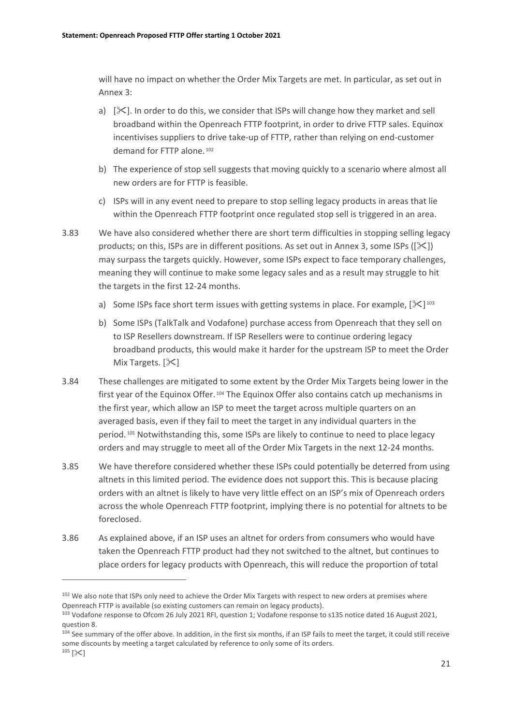will have no impact on whether the Order Mix Targets are met. In particular, as set out in Annex 3:

- a)  $[\&]$ . In order to do this, we consider that ISPs will change how they market and sell broadband within the Openreach FTTP footprint, in order to drive FTTP sales. Equinox incentivises suppliers to drive take-up of FTTP, rather than relying on end-customer demand for FTTP alone. [102](#page-22-0)
- b) The experience of stop sell suggests that moving quickly to a scenario where almost all new orders are for FTTP is feasible.
- c) ISPs will in any event need to prepare to stop selling legacy products in areas that lie within the Openreach FTTP footprint once regulated stop sell is triggered in an area.
- 3.83 We have also considered whether there are short term difficulties in stopping selling legacy products; on this, ISPs are in different positions. As set out in Annex 3, some ISPs ( $[\&$ ) may surpass the targets quickly. However, some ISPs expect to face temporary challenges, meaning they will continue to make some legacy sales and as a result may struggle to hit the targets in the first 12-24 months.
	- a) Some ISPs face short term issues with getting systems in place. For example,  $[\&]$
	- b) Some ISPs (TalkTalk and Vodafone) purchase access from Openreach that they sell on to ISP Resellers downstream. If ISP Resellers were to continue ordering legacy broadband products, this would make it harder for the upstream ISP to meet the Order Mix Targets.  $[\&]$
- 3.84 These challenges are mitigated to some extent by the Order Mix Targets being lower in the first year of the Equinox Offer. [104](#page-22-2) The Equinox Offer also contains catch up mechanisms in the first year, which allow an ISP to meet the target across multiple quarters on an averaged basis, even if they fail to meet the target in any individual quarters in the period. [105](#page-22-3) Notwithstanding this, some ISPs are likely to continue to need to place legacy orders and may struggle to meet all of the Order Mix Targets in the next 12-24 months.
- 3.85 We have therefore considered whether these ISPs could potentially be deterred from using altnets in this limited period. The evidence does not support this. This is because placing orders with an altnet is likely to have very little effect on an ISP's mix of Openreach orders across the whole Openreach FTTP footprint, implying there is no potential for altnets to be foreclosed.
- 3.86 As explained above, if an ISP uses an altnet for orders from consumers who would have taken the Openreach FTTP product had they not switched to the altnet, but continues to place orders for legacy products with Openreach, this will reduce the proportion of total

<span id="page-22-0"></span><sup>&</sup>lt;sup>102</sup> We also note that ISPs only need to achieve the Order Mix Targets with respect to new orders at premises where Openreach FTTP is available (so existing customers can remain on legacy products).

<span id="page-22-1"></span><sup>103</sup> Vodafone response to Ofcom 26 July 2021 RFI, question 1; Vodafone response to s135 notice dated 16 August 2021, question 8.

<span id="page-22-3"></span><span id="page-22-2"></span><sup>104</sup> See summary of the offer above. In addition, in the first six months, if an ISP fails to meet the target, it could still receive some discounts by meeting a target calculated by reference to only some of its orders.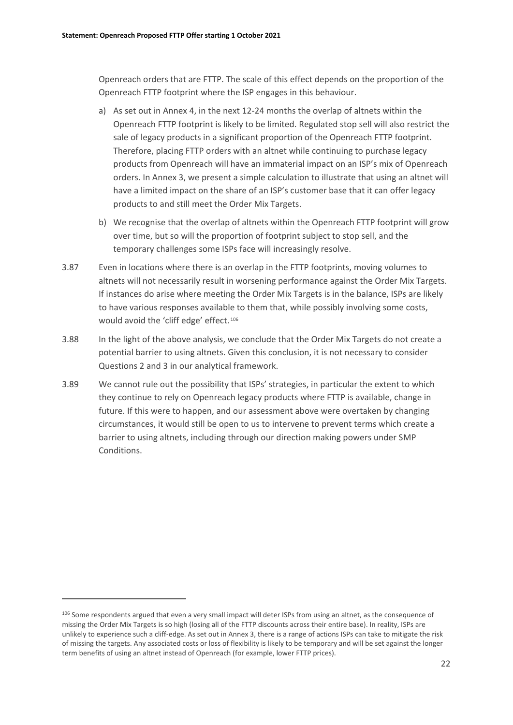Openreach orders that are FTTP. The scale of this effect depends on the proportion of the Openreach FTTP footprint where the ISP engages in this behaviour.

- a) As set out in Annex 4, in the next 12-24 months the overlap of altnets within the Openreach FTTP footprint is likely to be limited. Regulated stop sell will also restrict the sale of legacy products in a significant proportion of the Openreach FTTP footprint. Therefore, placing FTTP orders with an altnet while continuing to purchase legacy products from Openreach will have an immaterial impact on an ISP's mix of Openreach orders. In Annex 3, we present a simple calculation to illustrate that using an altnet will have a limited impact on the share of an ISP's customer base that it can offer legacy products to and still meet the Order Mix Targets.
- b) We recognise that the overlap of altnets within the Openreach FTTP footprint will grow over time, but so will the proportion of footprint subject to stop sell, and the temporary challenges some ISPs face will increasingly resolve.
- 3.87 Even in locations where there is an overlap in the FTTP footprints, moving volumes to altnets will not necessarily result in worsening performance against the Order Mix Targets. If instances do arise where meeting the Order Mix Targets is in the balance, ISPs are likely to have various responses available to them that, while possibly involving some costs, would avoid the 'cliff edge' effect. [106](#page-23-0)
- 3.88 In the light of the above analysis, we conclude that the Order Mix Targets do not create a potential barrier to using altnets. Given this conclusion, it is not necessary to consider Questions 2 and 3 in our analytical framework.
- 3.89 We cannot rule out the possibility that ISPs' strategies, in particular the extent to which they continue to rely on Openreach legacy products where FTTP is available, change in future. If this were to happen, and our assessment above were overtaken by changing circumstances, it would still be open to us to intervene to prevent terms which create a barrier to using altnets, including through our direction making powers under SMP Conditions.

<span id="page-23-0"></span><sup>106</sup> Some respondents argued that even a very small impact will deter ISPs from using an altnet, as the consequence of missing the Order Mix Targets is so high (losing all of the FTTP discounts across their entire base). In reality, ISPs are unlikely to experience such a cliff-edge. As set out in Annex 3, there is a range of actions ISPs can take to mitigate the risk of missing the targets. Any associated costs or loss of flexibility is likely to be temporary and will be set against the longer term benefits of using an altnet instead of Openreach (for example, lower FTTP prices).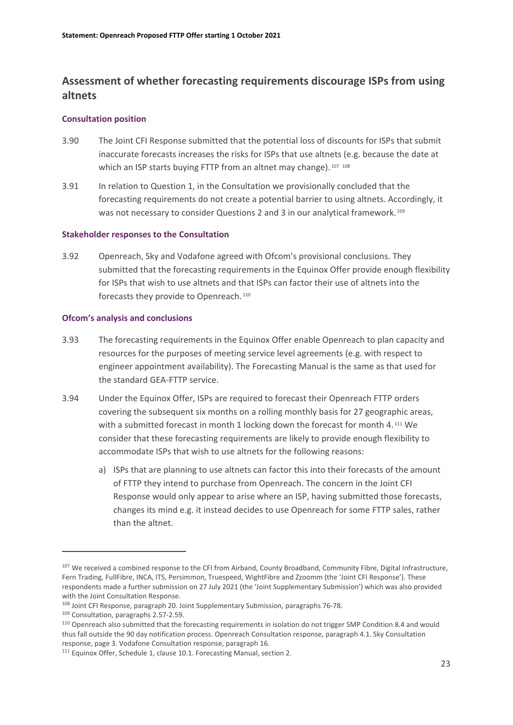# **Assessment of whether forecasting requirements discourage ISPs from using altnets**

#### **Consultation position**

- 3.90 The Joint CFI Response submitted that the potential loss of discounts for ISPs that submit inaccurate forecasts increases the risks for ISPs that use altnets (e.g. because the date at which an ISP starts buying FTTP from an altnet may change). [107](#page-24-0) [108](#page-24-1)
- 3.91 In relation to Question 1, in the Consultation we provisionally concluded that the forecasting requirements do not create a potential barrier to using altnets. Accordingly, it was not necessary to consider Questions 2 and 3 in our analytical framework.<sup>[109](#page-24-2)</sup>

#### **Stakeholder responses to the Consultation**

3.92 Openreach, Sky and Vodafone agreed with Ofcom's provisional conclusions. They submitted that the forecasting requirements in the Equinox Offer provide enough flexibility for ISPs that wish to use altnets and that ISPs can factor their use of altnets into the forecasts they provide to Openreach.<sup>[110](#page-24-3)</sup>

#### **Ofcom's analysis and conclusions**

- 3.93 The forecasting requirements in the Equinox Offer enable Openreach to plan capacity and resources for the purposes of meeting service level agreements (e.g. with respect to engineer appointment availability). The Forecasting Manual is the same as that used for the standard GEA-FTTP service.
- 3.94 Under the Equinox Offer, ISPs are required to forecast their Openreach FTTP orders covering the subsequent six months on a rolling monthly basis for 27 geographic areas, with a submitted forecast in month 1 locking down the forecast for month 4.<sup>[111](#page-24-4)</sup> We consider that these forecasting requirements are likely to provide enough flexibility to accommodate ISPs that wish to use altnets for the following reasons:
	- a) ISPs that are planning to use altnets can factor this into their forecasts of the amount of FTTP they intend to purchase from Openreach. The concern in the Joint CFI Response would only appear to arise where an ISP, having submitted those forecasts, changes its mind e.g. it instead decides to use Openreach for some FTTP sales, rather than the altnet.

<span id="page-24-0"></span><sup>&</sup>lt;sup>107</sup> We received a combined response to the CFI from Airband, County Broadband, Community Fibre, Digital Infrastructure, Fern Trading, FullFibre, INCA, ITS, Persimmon, Truespeed, WightFibre and Zzoomm (the 'Joint CFI Response'). These respondents made a further submission on 27 July 2021 (the 'Joint Supplementary Submission') which was also provided with the Joint Consultation Response.

<span id="page-24-1"></span><sup>108</sup> Joint CFI Response, paragraph 20. Joint Supplementary Submission, paragraphs 76-78.

<span id="page-24-2"></span><sup>109</sup> Consultation, paragraphs 2.57-2.59.

<span id="page-24-3"></span><sup>110</sup> Openreach also submitted that the forecasting requirements in isolation do not trigger SMP Condition 8.4 and would thus fall outside the 90 day notification process. Openreach Consultation response, paragraph 4.1. Sky Consultation response, page 3. Vodafone Consultation response, paragraph 16.

<span id="page-24-4"></span><sup>&</sup>lt;sup>111</sup> Equinox Offer, Schedule 1, clause 10.1. Forecasting Manual, section 2.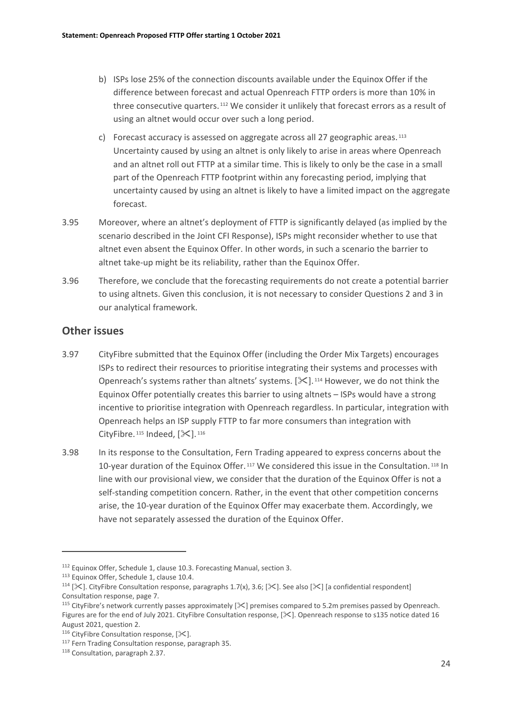- b) ISPs lose 25% of the connection discounts available under the Equinox Offer if the difference between forecast and actual Openreach FTTP orders is more than 10% in three consecutive quarters. [112](#page-25-0) We consider it unlikely that forecast errors as a result of using an altnet would occur over such a long period.
- c) Forecast accuracy is assessed on aggregate across all 27 geographic areas.<sup>[113](#page-25-1)</sup> Uncertainty caused by using an altnet is only likely to arise in areas where Openreach and an altnet roll out FTTP at a similar time. This is likely to only be the case in a small part of the Openreach FTTP footprint within any forecasting period, implying that uncertainty caused by using an altnet is likely to have a limited impact on the aggregate forecast.
- 3.95 Moreover, where an altnet's deployment of FTTP is significantly delayed (as implied by the scenario described in the Joint CFI Response), ISPs might reconsider whether to use that altnet even absent the Equinox Offer. In other words, in such a scenario the barrier to altnet take-up might be its reliability, rather than the Equinox Offer.
- 3.96 Therefore, we conclude that the forecasting requirements do not create a potential barrier to using altnets. Given this conclusion, it is not necessary to consider Questions 2 and 3 in our analytical framework.

### **Other issues**

- 3.97 CityFibre submitted that the Equinox Offer (including the Order Mix Targets) encourages ISPs to redirect their resources to prioritise integrating their systems and processes with Openreach's systems rather than altnets' systems.  $[\mathcal{K}]$ .<sup>[114](#page-25-2)</sup> However, we do not think the Equinox Offer potentially creates this barrier to using altnets – ISPs would have a strong incentive to prioritise integration with Openreach regardless. In particular, integration with Openreach helps an ISP supply FTTP to far more consumers than integration with CityFibre.  $115$  Indeed,  $[\times]$ .  $116$
- 3.98 In its response to the Consultation, Fern Trading appeared to express concerns about the 10-year duration of the Equinox Offer. [117](#page-25-5) We considered this issue in the Consultation. [118](#page-25-6) In line with our provisional view, we consider that the duration of the Equinox Offer is not a self-standing competition concern. Rather, in the event that other competition concerns arise, the 10-year duration of the Equinox Offer may exacerbate them. Accordingly, we have not separately assessed the duration of the Equinox Offer.

<span id="page-25-0"></span><sup>112</sup> Equinox Offer, Schedule 1, clause 10.3. Forecasting Manual, section 3.

<span id="page-25-1"></span><sup>113</sup> Equinox Offer, Schedule 1, clause 10.4.

<span id="page-25-2"></span><sup>&</sup>lt;sup>114</sup> [ $\le$ ]. CityFibre Consultation response, paragraphs 1.7(x), 3.6; [ $\le$ ]. See also [ $\le$ ] [a confidential respondent] Consultation response, page 7.

<span id="page-25-3"></span><sup>&</sup>lt;sup>115</sup> CityFibre's network currently passes approximately [ $\mathcal{X}$ ] premises compared to 5.2m premises passed by Openreach. Figures are for the end of July 2021. CityFibre Consultation response, [ $\&$ ]. Openreach response to s135 notice dated 16 August 2021, question 2.

<span id="page-25-4"></span><sup>&</sup>lt;sup>116</sup> CityFibre Consultation response,  $[\times]$ .

<span id="page-25-5"></span><sup>117</sup> Fern Trading Consultation response, paragraph 35.

<span id="page-25-6"></span><sup>118</sup> Consultation, paragraph 2.37.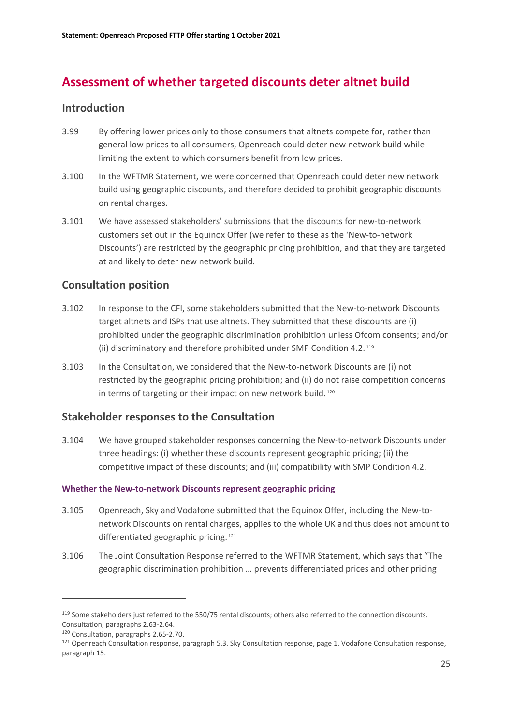# **Assessment of whether targeted discounts deter altnet build**

### **Introduction**

- 3.99 By offering lower prices only to those consumers that altnets compete for, rather than general low prices to all consumers, Openreach could deter new network build while limiting the extent to which consumers benefit from low prices.
- 3.100 In the WFTMR Statement, we were concerned that Openreach could deter new network build using geographic discounts, and therefore decided to prohibit geographic discounts on rental charges.
- 3.101 We have assessed stakeholders' submissions that the discounts for new-to-network customers set out in the Equinox Offer (we refer to these as the 'New-to-network Discounts') are restricted by the geographic pricing prohibition, and that they are targeted at and likely to deter new network build.

## **Consultation position**

- 3.102 In response to the CFI, some stakeholders submitted that the New-to-network Discounts target altnets and ISPs that use altnets. They submitted that these discounts are (i) prohibited under the geographic discrimination prohibition unless Ofcom consents; and/or (ii) discriminatory and therefore prohibited under SMP Condition 4.2. [119](#page-26-0)
- 3.103 In the Consultation, we considered that the New-to-network Discounts are (i) not restricted by the geographic pricing prohibition; and (ii) do not raise competition concerns in terms of targeting or their impact on new network build.<sup>[120](#page-26-1)</sup>

### **Stakeholder responses to the Consultation**

3.104 We have grouped stakeholder responses concerning the New-to-network Discounts under three headings: (i) whether these discounts represent geographic pricing; (ii) the competitive impact of these discounts; and (iii) compatibility with SMP Condition 4.2.

#### **Whether the New-to-network Discounts represent geographic pricing**

- 3.105 Openreach, Sky and Vodafone submitted that the Equinox Offer, including the New-tonetwork Discounts on rental charges, applies to the whole UK and thus does not amount to differentiated geographic pricing. [121](#page-26-2)
- 3.106 The Joint Consultation Response referred to the WFTMR Statement, which says that "The geographic discrimination prohibition … prevents differentiated prices and other pricing

<span id="page-26-0"></span><sup>119</sup> Some stakeholders just referred to the 550/75 rental discounts; others also referred to the connection discounts. Consultation, paragraphs 2.63-2.64.

<span id="page-26-1"></span><sup>120</sup> Consultation, paragraphs 2.65-2.70.

<span id="page-26-2"></span><sup>121</sup> Openreach Consultation response, paragraph 5.3. Sky Consultation response, page 1. Vodafone Consultation response, paragraph 15.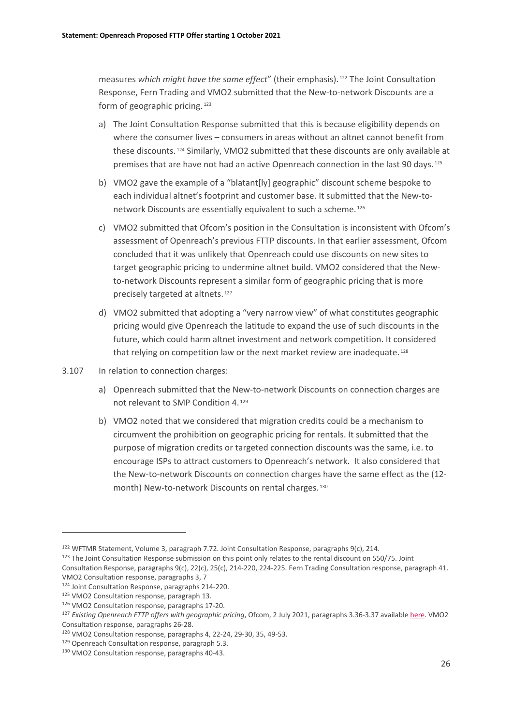measures *which might have the same effect*" (their emphasis). [122](#page-27-0) The Joint Consultation Response, Fern Trading and VMO2 submitted that the New-to-network Discounts are a form of geographic pricing. [123](#page-27-1)

- a) The Joint Consultation Response submitted that this is because eligibility depends on where the consumer lives – consumers in areas without an altnet cannot benefit from these discounts. [124](#page-27-2) Similarly, VMO2 submitted that these discounts are only available at premises that are have not had an active Openreach connection in the last 90 days.<sup>[125](#page-27-3)</sup>
- b) VMO2 gave the example of a "blatant[ly] geographic" discount scheme bespoke to each individual altnet's footprint and customer base. It submitted that the New-tonetwork Discounts are essentially equivalent to such a scheme. [126](#page-27-4)
- c) VMO2 submitted that Ofcom's position in the Consultation is inconsistent with Ofcom's assessment of Openreach's previous FTTP discounts. In that earlier assessment, Ofcom concluded that it was unlikely that Openreach could use discounts on new sites to target geographic pricing to undermine altnet build. VMO2 considered that the Newto-network Discounts represent a similar form of geographic pricing that is more precisely targeted at altnets. [127](#page-27-5)
- d) VMO2 submitted that adopting a "very narrow view" of what constitutes geographic pricing would give Openreach the latitude to expand the use of such discounts in the future, which could harm altnet investment and network competition. It considered that relying on competition law or the next market review are inadequate.<sup>[128](#page-27-6)</sup>
- 3.107 In relation to connection charges:
	- a) Openreach submitted that the New-to-network Discounts on connection charges are not relevant to SMP Condition 4. [129](#page-27-7)
	- b) VMO2 noted that we considered that migration credits could be a mechanism to circumvent the prohibition on geographic pricing for rentals. It submitted that the purpose of migration credits or targeted connection discounts was the same, i.e. to encourage ISPs to attract customers to Openreach's network. It also considered that the New-to-network Discounts on connection charges have the same effect as the (12 month) New-to-network Discounts on rental charges. [130](#page-27-8)

VMO2 Consultation response, paragraphs 3, 7

<span id="page-27-0"></span><sup>122</sup> WFTMR Statement, Volume 3, paragraph 7.72. Joint Consultation Response, paragraphs 9(c), 214.

<span id="page-27-1"></span><sup>123</sup> The Joint Consultation Response submission on this point only relates to the rental discount on 550/75. Joint Consultation Response, paragraphs 9(c), 22(c), 25(c), 214-220, 224-225. Fern Trading Consultation response, paragraph 41.

<span id="page-27-2"></span><sup>124</sup> Joint Consultation Response, paragraphs 214-220.

<span id="page-27-3"></span><sup>125</sup> VMO2 Consultation response, paragraph 13.

<span id="page-27-4"></span><sup>126</sup> VMO2 Consultation response, paragraphs 17-20.

<span id="page-27-5"></span><sup>127</sup> *Existing Openreach FTTP offers with geographic pricing*, Ofcom, 2 July 2021, paragraphs 3.36-3.37 availabl[e here.](https://www.ofcom.org.uk/__data/assets/pdf_file/0013/221332/statement-existing-openreach-fttp-offers.pdf) VMO2 Consultation response, paragraphs 26-28.

<span id="page-27-6"></span><sup>128</sup> VMO2 Consultation response, paragraphs 4, 22-24, 29-30, 35, 49-53.

<span id="page-27-7"></span><sup>129</sup> Openreach Consultation response, paragraph 5.3.

<span id="page-27-8"></span><sup>130</sup> VMO2 Consultation response, paragraphs 40-43.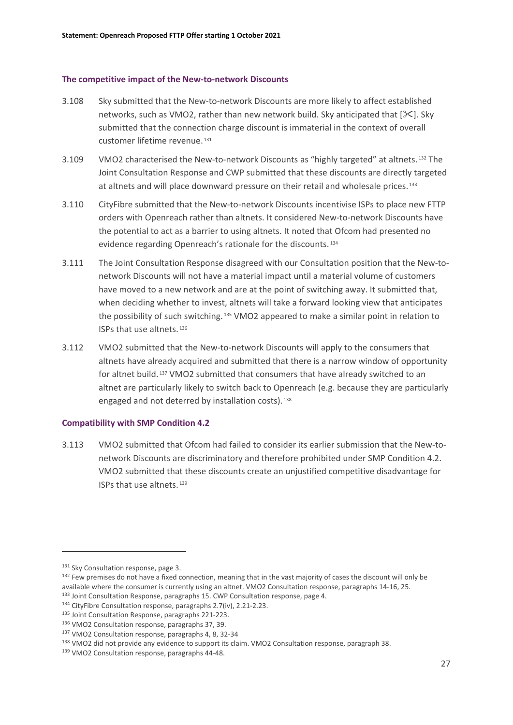#### **The competitive impact of the New-to-network Discounts**

- 3.108 Sky submitted that the New-to-network Discounts are more likely to affect established networks, such as VMO2, rather than new network build. Sky anticipated that  $[\&1]$ . Sky submitted that the connection charge discount is immaterial in the context of overall customer lifetime revenue. [131](#page-28-0)
- 3.109 VMO2 characterised the New-to-network Discounts as "highly targeted" at altnets. [132](#page-28-1) The Joint Consultation Response and CWP submitted that these discounts are directly targeted at altnets and will place downward pressure on their retail and wholesale prices. [133](#page-28-2)
- 3.110 CityFibre submitted that the New-to-network Discounts incentivise ISPs to place new FTTP orders with Openreach rather than altnets. It considered New-to-network Discounts have the potential to act as a barrier to using altnets. It noted that Ofcom had presented no evidence regarding Openreach's rationale for the discounts. [134](#page-28-3)
- 3.111 The Joint Consultation Response disagreed with our Consultation position that the New-tonetwork Discounts will not have a material impact until a material volume of customers have moved to a new network and are at the point of switching away. It submitted that, when deciding whether to invest, altnets will take a forward looking view that anticipates the possibility of such switching. [135](#page-28-4) VMO2 appeared to make a similar point in relation to ISPs that use altnets. [136](#page-28-5)
- 3.112 VMO2 submitted that the New-to-network Discounts will apply to the consumers that altnets have already acquired and submitted that there is a narrow window of opportunity for altnet build. [137](#page-28-6) VMO2 submitted that consumers that have already switched to an altnet are particularly likely to switch back to Openreach (e.g. because they are particularly engaged and not deterred by installation costs).<sup>[138](#page-28-7)</sup>

#### **Compatibility with SMP Condition 4.2**

3.113 VMO2 submitted that Ofcom had failed to consider its earlier submission that the New-tonetwork Discounts are discriminatory and therefore prohibited under SMP Condition 4.2. VMO2 submitted that these discounts create an unjustified competitive disadvantage for ISPs that use altnets. [139](#page-28-8)

<span id="page-28-0"></span><sup>&</sup>lt;sup>131</sup> Sky Consultation response, page 3.

<span id="page-28-1"></span><sup>&</sup>lt;sup>132</sup> Few premises do not have a fixed connection, meaning that in the vast majority of cases the discount will only be available where the consumer is currently using an altnet. VMO2 Consultation response, paragraphs 14-16, 25. 133 Joint Consultation Response, paragraphs 15. CWP Consultation response, page 4.

<span id="page-28-3"></span><span id="page-28-2"></span><sup>134</sup> CityFibre Consultation response, paragraphs 2.7(iv), 2.21-2.23.

<span id="page-28-5"></span><span id="page-28-4"></span><sup>135</sup> Joint Consultation Response, paragraphs 221-223. 136 VMO2 Consultation response, paragraphs 37, 39.

<span id="page-28-6"></span><sup>137</sup> VMO2 Consultation response, paragraphs 4, 8, 32-34

<span id="page-28-7"></span><sup>138</sup> VMO2 did not provide any evidence to support its claim. VMO2 Consultation response, paragraph 38.

<span id="page-28-8"></span><sup>139</sup> VMO2 Consultation response, paragraphs 44-48.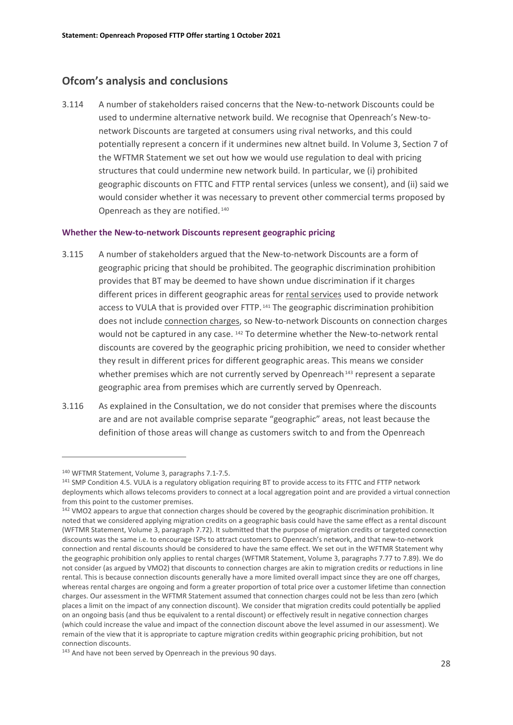### **Ofcom's analysis and conclusions**

3.114 A number of stakeholders raised concerns that the New-to-network Discounts could be used to undermine alternative network build. We recognise that Openreach's New-tonetwork Discounts are targeted at consumers using rival networks, and this could potentially represent a concern if it undermines new altnet build. In Volume 3, Section 7 of the WFTMR Statement we set out how we would use regulation to deal with pricing structures that could undermine new network build. In particular, we (i) prohibited geographic discounts on FTTC and FTTP rental services (unless we consent), and (ii) said we would consider whether it was necessary to prevent other commercial terms proposed by Openreach as they are notified. [140](#page-29-0)

#### **Whether the New-to-network Discounts represent geographic pricing**

- 3.115 A number of stakeholders argued that the New-to-network Discounts are a form of geographic pricing that should be prohibited. The geographic discrimination prohibition provides that BT may be deemed to have shown undue discrimination if it charges different prices in different geographic areas for rental services used to provide network access to VULA that is provided over FTTP. [141](#page-29-1) The geographic discrimination prohibition does not include connection charges, so New-to-network Discounts on connection charges would not be captured in any case. [142](#page-29-2) To determine whether the New-to-network rental discounts are covered by the geographic pricing prohibition, we need to consider whether they result in different prices for different geographic areas. This means we consider whether premises which are not currently served by Openreach<sup>[143](#page-29-3)</sup> represent a separate geographic area from premises which are currently served by Openreach.
- 3.116 As explained in the Consultation, we do not consider that premises where the discounts are and are not available comprise separate "geographic" areas, not least because the definition of those areas will change as customers switch to and from the Openreach

<span id="page-29-0"></span><sup>140</sup> WFTMR Statement, Volume 3, paragraphs 7.1-7.5.

<span id="page-29-1"></span><sup>&</sup>lt;sup>141</sup> SMP Condition 4.5. VULA is a regulatory obligation requiring BT to provide access to its FTTC and FTTP network deployments which allows telecoms providers to connect at a local aggregation point and are provided a virtual connection from this point to the customer premises.

<span id="page-29-2"></span><sup>&</sup>lt;sup>142</sup> VMO2 appears to argue that connection charges should be covered by the geographic discrimination prohibition. It noted that we considered applying migration credits on a geographic basis could have the same effect as a rental discount (WFTMR Statement, Volume 3, paragraph 7.72). It submitted that the purpose of migration credits or targeted connection discounts was the same i.e. to encourage ISPs to attract customers to Openreach's network, and that new-to-network connection and rental discounts should be considered to have the same effect. We set out in the WFTMR Statement why the geographic prohibition only applies to rental charges (WFTMR Statement, Volume 3, paragraphs 7.77 to 7.89). We do not consider (as argued by VMO2) that discounts to connection charges are akin to migration credits or reductions in line rental. This is because connection discounts generally have a more limited overall impact since they are one off charges, whereas rental charges are ongoing and form a greater proportion of total price over a customer lifetime than connection charges. Our assessment in the WFTMR Statement assumed that connection charges could not be less than zero (which places a limit on the impact of any connection discount). We consider that migration credits could potentially be applied on an ongoing basis (and thus be equivalent to a rental discount) or effectively result in negative connection charges (which could increase the value and impact of the connection discount above the level assumed in our assessment). We remain of the view that it is appropriate to capture migration credits within geographic pricing prohibition, but not connection discounts.

<span id="page-29-3"></span><sup>&</sup>lt;sup>143</sup> And have not been served by Openreach in the previous 90 days.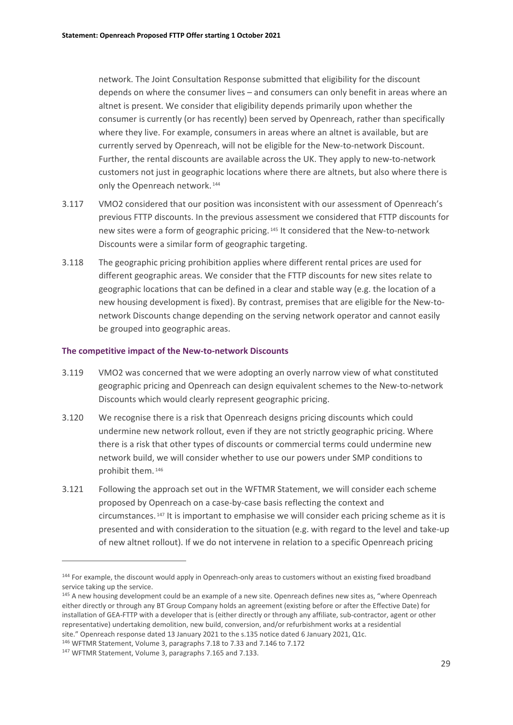network. The Joint Consultation Response submitted that eligibility for the discount depends on where the consumer lives – and consumers can only benefit in areas where an altnet is present. We consider that eligibility depends primarily upon whether the consumer is currently (or has recently) been served by Openreach, rather than specifically where they live. For example, consumers in areas where an altnet is available, but are currently served by Openreach, will not be eligible for the New-to-network Discount. Further, the rental discounts are available across the UK. They apply to new-to-network customers not just in geographic locations where there are altnets, but also where there is only the Openreach network.<sup>[144](#page-30-0)</sup>

- 3.117 VMO2 considered that our position was inconsistent with our assessment of Openreach's previous FTTP discounts. In the previous assessment we considered that FTTP discounts for new sites were a form of geographic pricing. [145](#page-30-1) It considered that the New-to-network Discounts were a similar form of geographic targeting.
- 3.118 The geographic pricing prohibition applies where different rental prices are used for different geographic areas. We consider that the FTTP discounts for new sites relate to geographic locations that can be defined in a clear and stable way (e.g. the location of a new housing development is fixed). By contrast, premises that are eligible for the New-tonetwork Discounts change depending on the serving network operator and cannot easily be grouped into geographic areas.

#### **The competitive impact of the New-to-network Discounts**

- 3.119 VMO2 was concerned that we were adopting an overly narrow view of what constituted geographic pricing and Openreach can design equivalent schemes to the New-to-network Discounts which would clearly represent geographic pricing.
- 3.120 We recognise there is a risk that Openreach designs pricing discounts which could undermine new network rollout, even if they are not strictly geographic pricing. Where there is a risk that other types of discounts or commercial terms could undermine new network build, we will consider whether to use our powers under SMP conditions to prohibit them. [146](#page-30-2)
- 3.121 Following the approach set out in the WFTMR Statement, we will consider each scheme proposed by Openreach on a case-by-case basis reflecting the context and circumstances. [147](#page-30-3) It is important to emphasise we will consider each pricing scheme as it is presented and with consideration to the situation (e.g. with regard to the level and take-up of new altnet rollout). If we do not intervene in relation to a specific Openreach pricing

<span id="page-30-0"></span><sup>&</sup>lt;sup>144</sup> For example, the discount would apply in Openreach-only areas to customers without an existing fixed broadband service taking up the service.

<span id="page-30-1"></span><sup>&</sup>lt;sup>145</sup> A new housing development could be an example of a new site. Openreach defines new sites as, "where Openreach either directly or through any BT Group Company holds an agreement (existing before or after the Effective Date) for installation of GEA-FTTP with a developer that is (either directly or through any affiliate, sub-contractor, agent or other representative) undertaking demolition, new build, conversion, and/or refurbishment works at a residential site." Openreach response dated 13 January 2021 to the s.135 notice dated 6 January 2021, Q1c.

<span id="page-30-3"></span><span id="page-30-2"></span><sup>146</sup> WFTMR Statement, Volume 3, paragraphs 7.18 to 7.33 and 7.146 to 7.172

<sup>147</sup> WFTMR Statement, Volume 3, paragraphs 7.165 and 7.133.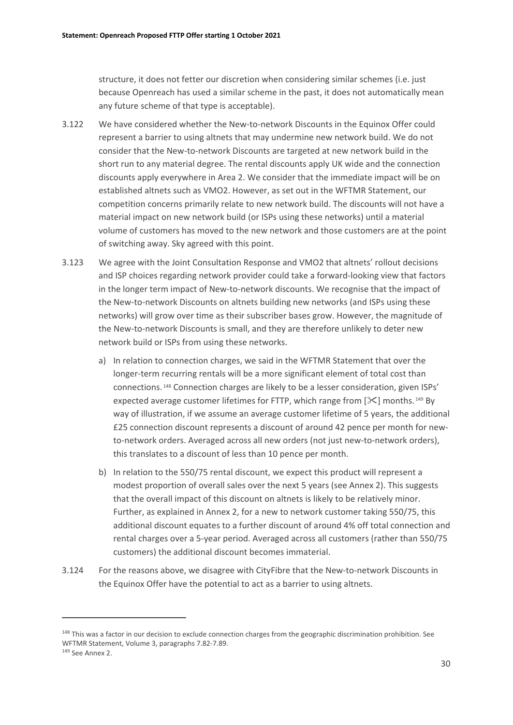structure, it does not fetter our discretion when considering similar schemes (i.e. just because Openreach has used a similar scheme in the past, it does not automatically mean any future scheme of that type is acceptable).

- 3.122 We have considered whether the New-to-network Discounts in the Equinox Offer could represent a barrier to using altnets that may undermine new network build. We do not consider that the New-to-network Discounts are targeted at new network build in the short run to any material degree. The rental discounts apply UK wide and the connection discounts apply everywhere in Area 2. We consider that the immediate impact will be on established altnets such as VMO2. However, as set out in the WFTMR Statement, our competition concerns primarily relate to new network build. The discounts will not have a material impact on new network build (or ISPs using these networks) until a material volume of customers has moved to the new network and those customers are at the point of switching away. Sky agreed with this point.
- 3.123 We agree with the Joint Consultation Response and VMO2 that altnets' rollout decisions and ISP choices regarding network provider could take a forward-looking view that factors in the longer term impact of New-to-network discounts. We recognise that the impact of the New-to-network Discounts on altnets building new networks (and ISPs using these networks) will grow over time as their subscriber bases grow. However, the magnitude of the New-to-network Discounts is small, and they are therefore unlikely to deter new network build or ISPs from using these networks.
	- a) In relation to connection charges, we said in the WFTMR Statement that over the longer-term recurring rentals will be a more significant element of total cost than connections. [148](#page-31-0) Connection charges are likely to be a lesser consideration, given ISPs' expected average customer lifetimes for FTTP, which range from  $[\frac{1}{2}]$  months.<sup>[149](#page-31-1)</sup> By way of illustration, if we assume an average customer lifetime of 5 years, the additional £25 connection discount represents a discount of around 42 pence per month for newto-network orders. Averaged across all new orders (not just new-to-network orders), this translates to a discount of less than 10 pence per month.
	- b) In relation to the 550/75 rental discount, we expect this product will represent a modest proportion of overall sales over the next 5 years (see Annex 2). This suggests that the overall impact of this discount on altnets is likely to be relatively minor. Further, as explained in Annex 2, for a new to network customer taking 550/75, this additional discount equates to a further discount of around 4% off total connection and rental charges over a 5-year period. Averaged across all customers (rather than 550/75 customers) the additional discount becomes immaterial.
- 3.124 For the reasons above, we disagree with CityFibre that the New-to-network Discounts in the Equinox Offer have the potential to act as a barrier to using altnets.

<span id="page-31-0"></span><sup>&</sup>lt;sup>148</sup> This was a factor in our decision to exclude connection charges from the geographic discrimination prohibition. See WFTMR Statement, Volume 3, paragraphs 7.82-7.89.

<span id="page-31-1"></span><sup>149</sup> See Annex 2.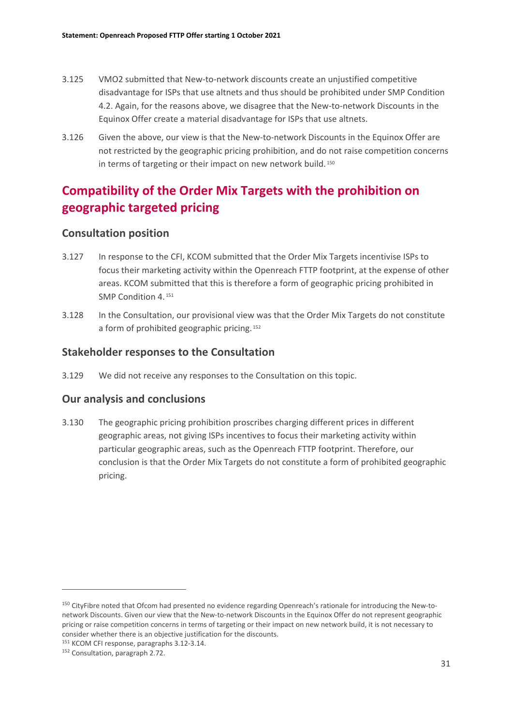- 3.125 VMO2 submitted that New-to-network discounts create an unjustified competitive disadvantage for ISPs that use altnets and thus should be prohibited under SMP Condition 4.2. Again, for the reasons above, we disagree that the New-to-network Discounts in the Equinox Offer create a material disadvantage for ISPs that use altnets.
- 3.126 Given the above, our view is that the New-to-network Discounts in the Equinox Offer are not restricted by the geographic pricing prohibition, and do not raise competition concerns in terms of targeting or their impact on new network build.<sup>[150](#page-32-0)</sup>

# **Compatibility of the Order Mix Targets with the prohibition on geographic targeted pricing**

### **Consultation position**

- 3.127 In response to the CFI, KCOM submitted that the Order Mix Targets incentivise ISPs to focus their marketing activity within the Openreach FTTP footprint, at the expense of other areas. KCOM submitted that this is therefore a form of geographic pricing prohibited in SMP Condition 4.<sup>[151](#page-32-1)</sup>
- 3.128 In the Consultation, our provisional view was that the Order Mix Targets do not constitute a form of prohibited geographic pricing. [152](#page-32-2)

### **Stakeholder responses to the Consultation**

3.129 We did not receive any responses to the Consultation on this topic.

### **Our analysis and conclusions**

3.130 The geographic pricing prohibition proscribes charging different prices in different geographic areas, not giving ISPs incentives to focus their marketing activity within particular geographic areas, such as the Openreach FTTP footprint. Therefore, our conclusion is that the Order Mix Targets do not constitute a form of prohibited geographic pricing.

<span id="page-32-0"></span><sup>150</sup> CityFibre noted that Ofcom had presented no evidence regarding Openreach's rationale for introducing the New-tonetwork Discounts. Given our view that the New-to-network Discounts in the Equinox Offer do not represent geographic pricing or raise competition concerns in terms of targeting or their impact on new network build, it is not necessary to consider whether there is an objective justification for the discounts.

<span id="page-32-1"></span><sup>151</sup> KCOM CFI response, paragraphs 3.12-3.14.

<span id="page-32-2"></span><sup>152</sup> Consultation, paragraph 2.72.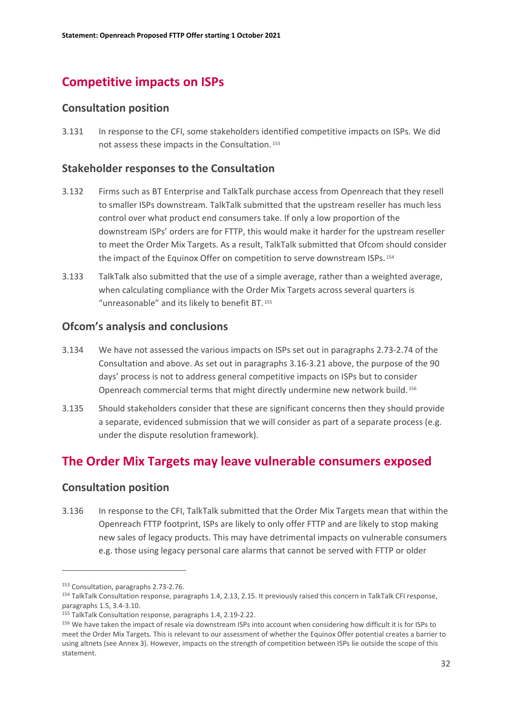# **Competitive impacts on ISPs**

### **Consultation position**

3.131 In response to the CFI, some stakeholders identified competitive impacts on ISPs. We did not assess these impacts in the Consultation. [153](#page-33-0)

### **Stakeholder responses to the Consultation**

- 3.132 Firms such as BT Enterprise and TalkTalk purchase access from Openreach that they resell to smaller ISPs downstream. TalkTalk submitted that the upstream reseller has much less control over what product end consumers take. If only a low proportion of the downstream ISPs' orders are for FTTP, this would make it harder for the upstream reseller to meet the Order Mix Targets. As a result, TalkTalk submitted that Ofcom should consider the impact of the Equinox Offer on competition to serve downstream ISPs. [154](#page-33-1)
- 3.133 TalkTalk also submitted that the use of a simple average, rather than a weighted average, when calculating compliance with the Order Mix Targets across several quarters is "unreasonable" and its likely to benefit BT. [155](#page-33-2)

### **Ofcom's analysis and conclusions**

- 3.134 We have not assessed the various impacts on ISPs set out in paragraphs 2.73-2.74 of the Consultation and above. As set out in paragraphs 3.16-3.21 above, the purpose of the 90 days' process is not to address general competitive impacts on ISPs but to consider Openreach commercial terms that might directly undermine new network build. [156](#page-33-3)
- 3.135 Should stakeholders consider that these are significant concerns then they should provide a separate, evidenced submission that we will consider as part of a separate process (e.g. under the dispute resolution framework).

# **The Order Mix Targets may leave vulnerable consumers exposed**

### **Consultation position**

3.136 In response to the CFI, TalkTalk submitted that the Order Mix Targets mean that within the Openreach FTTP footprint, ISPs are likely to only offer FTTP and are likely to stop making new sales of legacy products. This may have detrimental impacts on vulnerable consumers e.g. those using legacy personal care alarms that cannot be served with FTTP or older

<span id="page-33-0"></span><sup>153</sup> Consultation, paragraphs 2.73-2.76.

<span id="page-33-1"></span><sup>154</sup> TalkTalk Consultation response, paragraphs 1.4, 2.13, 2.15. It previously raised this concern in TalkTalk CFI response, paragraphs 1.5, 3.4-3.10.

<span id="page-33-2"></span><sup>155</sup> TalkTalk Consultation response, paragraphs 1.4, 2.19-2.22.

<span id="page-33-3"></span><sup>156</sup> We have taken the impact of resale via downstream ISPs into account when considering how difficult it is for ISPs to meet the Order Mix Targets. This is relevant to our assessment of whether the Equinox Offer potential creates a barrier to using altnets (see Annex 3). However, impacts on the strength of competition between ISPs lie outside the scope of this statement.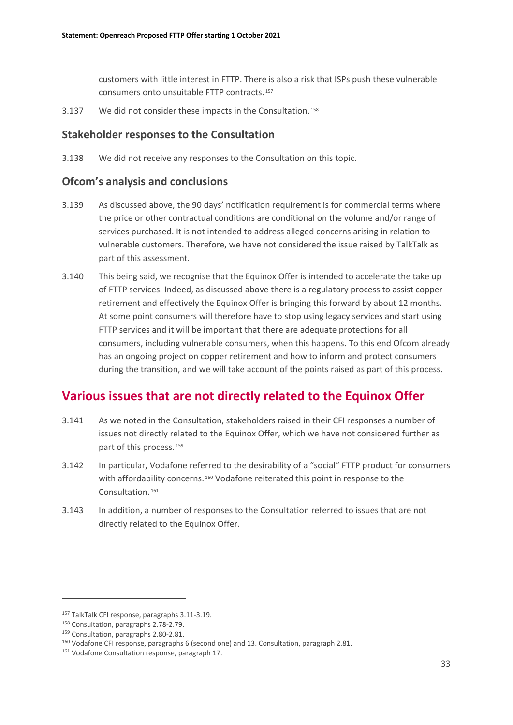customers with little interest in FTTP. There is also a risk that ISPs push these vulnerable consumers onto unsuitable FTTP contracts. [157](#page-34-0)

3.137 We did not consider these impacts in the Consultation. [158](#page-34-1)

### **Stakeholder responses to the Consultation**

3.138 We did not receive any responses to the Consultation on this topic.

### **Ofcom's analysis and conclusions**

- 3.139 As discussed above, the 90 days' notification requirement is for commercial terms where the price or other contractual conditions are conditional on the volume and/or range of services purchased. It is not intended to address alleged concerns arising in relation to vulnerable customers. Therefore, we have not considered the issue raised by TalkTalk as part of this assessment.
- 3.140 This being said, we recognise that the Equinox Offer is intended to accelerate the take up of FTTP services. Indeed, as discussed above there is a regulatory process to assist copper retirement and effectively the Equinox Offer is bringing this forward by about 12 months. At some point consumers will therefore have to stop using legacy services and start using FTTP services and it will be important that there are adequate protections for all consumers, including vulnerable consumers, when this happens. To this end Ofcom already has an ongoing project on copper retirement and how to inform and protect consumers during the transition, and we will take account of the points raised as part of this process.

# **Various issues that are not directly related to the Equinox Offer**

- 3.141 As we noted in the Consultation, stakeholders raised in their CFI responses a number of issues not directly related to the Equinox Offer, which we have not considered further as part of this process. [159](#page-34-2)
- 3.142 In particular, Vodafone referred to the desirability of a "social" FTTP product for consumers with affordability concerns.<sup>[160](#page-34-3)</sup> Vodafone reiterated this point in response to the Consultation. [161](#page-34-4)
- 3.143 In addition, a number of responses to the Consultation referred to issues that are not directly related to the Equinox Offer.

<span id="page-34-0"></span><sup>157</sup> TalkTalk CFI response, paragraphs 3.11-3.19.

<span id="page-34-1"></span><sup>158</sup> Consultation, paragraphs 2.78-2.79.

<span id="page-34-2"></span><sup>159</sup> Consultation, paragraphs 2.80-2.81.

<span id="page-34-3"></span><sup>&</sup>lt;sup>160</sup> Vodafone CFI response, paragraphs 6 (second one) and 13. Consultation, paragraph 2.81.

<span id="page-34-4"></span><sup>161</sup> Vodafone Consultation response, paragraph 17.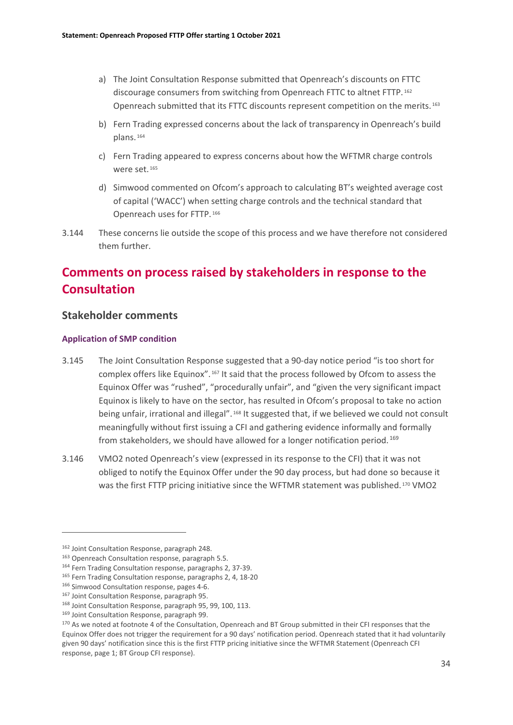- a) The Joint Consultation Response submitted that Openreach's discounts on FTTC discourage consumers from switching from Openreach FTTC to altnet FTTP. [162](#page-35-0) Openreach submitted that its FTTC discounts represent competition on the merits. [163](#page-35-1)
- b) Fern Trading expressed concerns about the lack of transparency in Openreach's build plans. [164](#page-35-2)
- c) Fern Trading appeared to express concerns about how the WFTMR charge controls were set. [165](#page-35-3)
- d) Simwood commented on Ofcom's approach to calculating BT's weighted average cost of capital ('WACC') when setting charge controls and the technical standard that Openreach uses for FTTP. [166](#page-35-4)
- 3.144 These concerns lie outside the scope of this process and we have therefore not considered them further.

# **Comments on process raised by stakeholders in response to the Consultation**

#### **Stakeholder comments**

#### **Application of SMP condition**

- 3.145 The Joint Consultation Response suggested that a 90-day notice period "is too short for complex offers like Equinox". [167](#page-35-5) It said that the process followed by Ofcom to assess the Equinox Offer was "rushed", "procedurally unfair", and "given the very significant impact Equinox is likely to have on the sector, has resulted in Ofcom's proposal to take no action being unfair, irrational and illegal". [168](#page-35-6) It suggested that, if we believed we could not consult meaningfully without first issuing a CFI and gathering evidence informally and formally from stakeholders, we should have allowed for a longer notification period.<sup>[169](#page-35-7)</sup>
- 3.146 VMO2 noted Openreach's view (expressed in its response to the CFI) that it was not obliged to notify the Equinox Offer under the 90 day process, but had done so because it was the first FTTP pricing initiative since the WFTMR statement was published. [170](#page-35-8) VMO2

<span id="page-35-0"></span><sup>162</sup> Joint Consultation Response, paragraph 248.

<span id="page-35-1"></span><sup>163</sup> Openreach Consultation response, paragraph 5.5.

<span id="page-35-2"></span><sup>&</sup>lt;sup>164</sup> Fern Trading Consultation response, paragraphs 2, 37-39.

<span id="page-35-3"></span><sup>&</sup>lt;sup>165</sup> Fern Trading Consultation response, paragraphs 2, 4, 18-20

<span id="page-35-4"></span><sup>166</sup> Simwood Consultation response, pages 4-6.

<span id="page-35-5"></span><sup>167</sup> Joint Consultation Response, paragraph 95.

<span id="page-35-6"></span><sup>168</sup> Joint Consultation Response, paragraph 95, 99, 100, 113.

<span id="page-35-7"></span><sup>169</sup> Joint Consultation Response, paragraph 99.

<span id="page-35-8"></span><sup>&</sup>lt;sup>170</sup> As we noted at footnote 4 of the Consultation, Openreach and BT Group submitted in their CFI responses that the Equinox Offer does not trigger the requirement for a 90 days' notification period. Openreach stated that it had voluntarily given 90 days' notification since this is the first FTTP pricing initiative since the WFTMR Statement (Openreach CFI response, page 1; BT Group CFI response).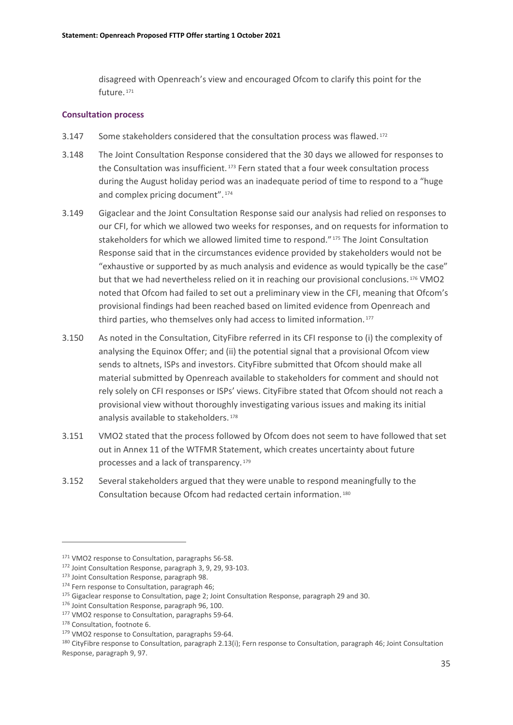disagreed with Openreach's view and encouraged Ofcom to clarify this point for the future. [171](#page-36-0)

#### **Consultation process**

- 3.147 Some stakeholders considered that the consultation process was flawed.<sup>[172](#page-36-1)</sup>
- 3.148 The Joint Consultation Response considered that the 30 days we allowed for responses to the Consultation was insufficient.<sup>[173](#page-36-2)</sup> Fern stated that a four week consultation process during the August holiday period was an inadequate period of time to respond to a "huge and complex pricing document". [174](#page-36-3)
- 3.149 Gigaclear and the Joint Consultation Response said our analysis had relied on responses to our CFI, for which we allowed two weeks for responses, and on requests for information to stakeholders for which we allowed limited time to respond."<sup>[175](#page-36-4)</sup> The Joint Consultation Response said that in the circumstances evidence provided by stakeholders would not be "exhaustive or supported by as much analysis and evidence as would typically be the case" but that we had nevertheless relied on it in reaching our provisional conclusions. [176](#page-36-5) VMO2 noted that Ofcom had failed to set out a preliminary view in the CFI, meaning that Ofcom's provisional findings had been reached based on limited evidence from Openreach and third parties, who themselves only had access to limited information.<sup>[177](#page-36-6)</sup>
- 3.150 As noted in the Consultation, CityFibre referred in its CFI response to (i) the complexity of analysing the Equinox Offer; and (ii) the potential signal that a provisional Ofcom view sends to altnets, ISPs and investors. CityFibre submitted that Ofcom should make all material submitted by Openreach available to stakeholders for comment and should not rely solely on CFI responses or ISPs' views. CityFibre stated that Ofcom should not reach a provisional view without thoroughly investigating various issues and making its initial analysis available to stakeholders. [178](#page-36-7)
- 3.151 VMO2 stated that the process followed by Ofcom does not seem to have followed that set out in Annex 11 of the WTFMR Statement, which creates uncertainty about future processes and a lack of transparency. [179](#page-36-8)
- 3.152 Several stakeholders argued that they were unable to respond meaningfully to the Consultation because Ofcom had redacted certain information. [180](#page-36-9)

<span id="page-36-0"></span><sup>171</sup> VMO2 response to Consultation, paragraphs 56-58.

<span id="page-36-1"></span><sup>172</sup> Joint Consultation Response, paragraph 3, 9, 29, 93-103.

<span id="page-36-2"></span><sup>173</sup> Joint Consultation Response, paragraph 98.

<span id="page-36-3"></span><sup>174</sup> Fern response to Consultation, paragraph 46;

<span id="page-36-4"></span><sup>&</sup>lt;sup>175</sup> Gigaclear response to Consultation, page 2; Joint Consultation Response, paragraph 29 and 30.

<span id="page-36-5"></span><sup>176</sup> Joint Consultation Response, paragraph 96, 100.

<span id="page-36-6"></span><sup>177</sup> VMO2 response to Consultation, paragraphs 59-64.

<span id="page-36-7"></span><sup>178</sup> Consultation, footnote 6.

<span id="page-36-8"></span><sup>&</sup>lt;sup>179</sup> VMO2 response to Consultation, paragraphs 59-64.

<span id="page-36-9"></span><sup>180</sup> CityFibre response to Consultation, paragraph 2.13(i); Fern response to Consultation, paragraph 46; Joint Consultation Response, paragraph 9, 97.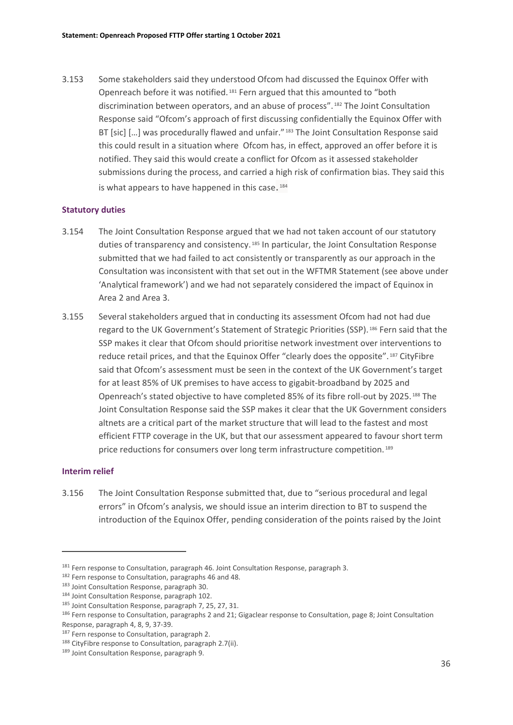3.153 Some stakeholders said they understood Ofcom had discussed the Equinox Offer with Openreach before it was notified. [181](#page-37-0) Fern argued that this amounted to "both discrimination between operators, and an abuse of process". [182](#page-37-1) The Joint Consultation Response said "Ofcom's approach of first discussing confidentially the Equinox Offer with BT [sic] [...] was procedurally flawed and unfair." [183](#page-37-2) The Joint Consultation Response said this could result in a situation where Ofcom has, in effect, approved an offer before it is notified. They said this would create a conflict for Ofcom as it assessed stakeholder submissions during the process, and carried a high risk of confirmation bias. They said this is what appears to have happened in this case.<sup>[184](#page-37-3)</sup>

#### **Statutory duties**

- 3.154 The Joint Consultation Response argued that we had not taken account of our statutory duties of transparency and consistency.<sup>[185](#page-37-4)</sup> In particular, the Joint Consultation Response submitted that we had failed to act consistently or transparently as our approach in the Consultation was inconsistent with that set out in the WFTMR Statement (see above under 'Analytical framework') and we had not separately considered the impact of Equinox in Area 2 and Area 3.
- 3.155 Several stakeholders argued that in conducting its assessment Ofcom had not had due regard to the UK Government's Statement of Strategic Priorities (SSP). [186](#page-37-5) Fern said that the SSP makes it clear that Ofcom should prioritise network investment over interventions to reduce retail prices, and that the Equinox Offer "clearly does the opposite". [187](#page-37-6) CityFibre said that Ofcom's assessment must be seen in the context of the UK Government's target for at least 85% of UK premises to have access to gigabit-broadband by 2025 and Openreach's stated objective to have completed 85% of its fibre roll-out by 2025. [188](#page-37-7) The Joint Consultation Response said the SSP makes it clear that the UK Government considers altnets are a critical part of the market structure that will lead to the fastest and most efficient FTTP coverage in the UK, but that our assessment appeared to favour short term price reductions for consumers over long term infrastructure competition. [189](#page-37-8)

#### **Interim relief**

3.156 The Joint Consultation Response submitted that, due to "serious procedural and legal errors" in Ofcom's analysis, we should issue an interim direction to BT to suspend the introduction of the Equinox Offer, pending consideration of the points raised by the Joint

<span id="page-37-0"></span><sup>&</sup>lt;sup>181</sup> Fern response to Consultation, paragraph 46. Joint Consultation Response, paragraph 3.

<span id="page-37-1"></span><sup>182</sup> Fern response to Consultation, paragraphs 46 and 48.

<span id="page-37-2"></span><sup>183</sup> Joint Consultation Response, paragraph 30.

<span id="page-37-3"></span><sup>184</sup> Joint Consultation Response, paragraph 102.

<span id="page-37-5"></span><span id="page-37-4"></span><sup>&</sup>lt;sup>185</sup> Joint Consultation Response, paragraph 7, 25, 27, 31.<br><sup>186</sup> Fern response to Consultation, paragraphs 2 and 21; Gigaclear response to Consultation, page 8; Joint Consultation Response, paragraph 4, 8, 9, 37-39.<br><sup>187</sup> Fern response to Consultation, paragraph 2.

<span id="page-37-6"></span>

<span id="page-37-7"></span><sup>&</sup>lt;sup>188</sup> CityFibre response to Consultation, paragraph 2.7(ii).

<span id="page-37-8"></span><sup>189</sup> Joint Consultation Response, paragraph 9.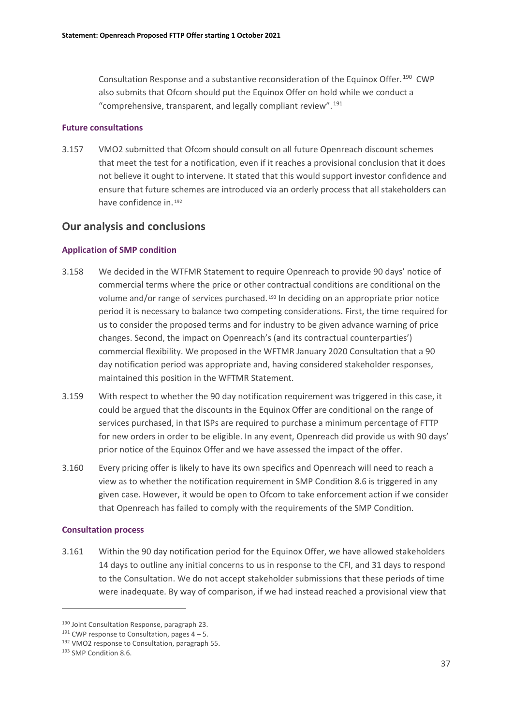Consultation Response and a substantive reconsideration of the Equinox Offer. [190](#page-38-0) CWP also submits that Ofcom should put the Equinox Offer on hold while we conduct a "comprehensive, transparent, and legally compliant review". [191](#page-38-1)

#### **Future consultations**

3.157 VMO2 submitted that Ofcom should consult on all future Openreach discount schemes that meet the test for a notification, even if it reaches a provisional conclusion that it does not believe it ought to intervene. It stated that this would support investor confidence and ensure that future schemes are introduced via an orderly process that all stakeholders can have confidence in. [192](#page-38-2)

### **Our analysis and conclusions**

#### **Application of SMP condition**

- 3.158 We decided in the WTFMR Statement to require Openreach to provide 90 days' notice of commercial terms where the price or other contractual conditions are conditional on the volume and/or range of services purchased. [193](#page-38-3) In deciding on an appropriate prior notice period it is necessary to balance two competing considerations. First, the time required for us to consider the proposed terms and for industry to be given advance warning of price changes. Second, the impact on Openreach's (and its contractual counterparties') commercial flexibility. We proposed in the WFTMR January 2020 Consultation that a 90 day notification period was appropriate and, having considered stakeholder responses, maintained this position in the WFTMR Statement.
- 3.159 With respect to whether the 90 day notification requirement was triggered in this case, it could be argued that the discounts in the Equinox Offer are conditional on the range of services purchased, in that ISPs are required to purchase a minimum percentage of FTTP for new orders in order to be eligible. In any event, Openreach did provide us with 90 days' prior notice of the Equinox Offer and we have assessed the impact of the offer.
- 3.160 Every pricing offer is likely to have its own specifics and Openreach will need to reach a view as to whether the notification requirement in SMP Condition 8.6 is triggered in any given case. However, it would be open to Ofcom to take enforcement action if we consider that Openreach has failed to comply with the requirements of the SMP Condition.

#### **Consultation process**

3.161 Within the 90 day notification period for the Equinox Offer, we have allowed stakeholders 14 days to outline any initial concerns to us in response to the CFI, and 31 days to respond to the Consultation. We do not accept stakeholder submissions that these periods of time were inadequate. By way of comparison, if we had instead reached a provisional view that

<span id="page-38-1"></span><span id="page-38-0"></span><sup>&</sup>lt;sup>190</sup> Joint Consultation Response, paragraph 23.<br><sup>191</sup> CWP response to Consultation, pages 4 – 5.<br><sup>192</sup> VMO2 response to Consultation, paragraph 55.<br><sup>193</sup> SMP Condition 8.6.

<span id="page-38-3"></span><span id="page-38-2"></span>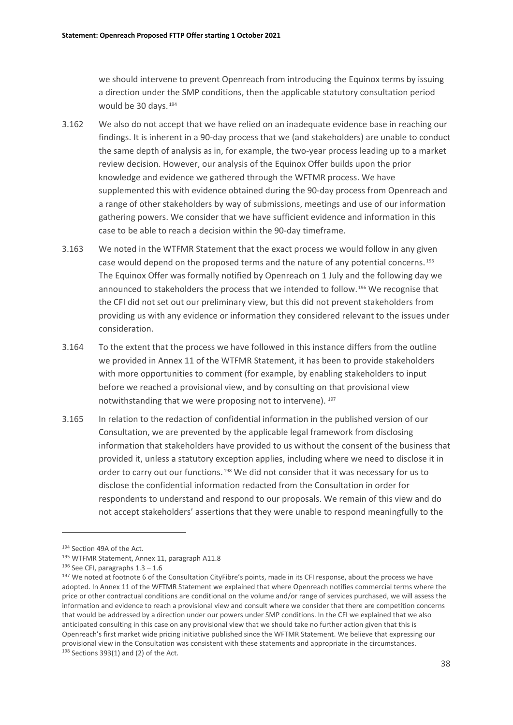we should intervene to prevent Openreach from introducing the Equinox terms by issuing a direction under the SMP conditions, then the applicable statutory consultation period would be 30 days.<sup>[194](#page-39-0)</sup>

- 3.162 We also do not accept that we have relied on an inadequate evidence base in reaching our findings. It is inherent in a 90-day process that we (and stakeholders) are unable to conduct the same depth of analysis as in, for example, the two-year process leading up to a market review decision. However, our analysis of the Equinox Offer builds upon the prior knowledge and evidence we gathered through the WFTMR process. We have supplemented this with evidence obtained during the 90-day process from Openreach and a range of other stakeholders by way of submissions, meetings and use of our information gathering powers. We consider that we have sufficient evidence and information in this case to be able to reach a decision within the 90-day timeframe.
- 3.163 We noted in the WTFMR Statement that the exact process we would follow in any given case would depend on the proposed terms and the nature of any potential concerns. [195](#page-39-1) The Equinox Offer was formally notified by Openreach on 1 July and the following day we announced to stakeholders the process that we intended to follow. [196](#page-39-2) We recognise that the CFI did not set out our preliminary view, but this did not prevent stakeholders from providing us with any evidence or information they considered relevant to the issues under consideration.
- 3.164 To the extent that the process we have followed in this instance differs from the outline we provided in Annex 11 of the WTFMR Statement, it has been to provide stakeholders with more opportunities to comment (for example, by enabling stakeholders to input before we reached a provisional view, and by consulting on that provisional view notwithstanding that we were proposing not to intervene). [197](#page-39-3)
- 3.165 In relation to the redaction of confidential information in the published version of our Consultation, we are prevented by the applicable legal framework from disclosing information that stakeholders have provided to us without the consent of the business that provided it, unless a statutory exception applies, including where we need to disclose it in order to carry out our functions. [198](#page-39-4) We did not consider that it was necessary for us to disclose the confidential information redacted from the Consultation in order for respondents to understand and respond to our proposals. We remain of this view and do not accept stakeholders' assertions that they were unable to respond meaningfully to the

<span id="page-39-1"></span><span id="page-39-0"></span><sup>&</sup>lt;sup>194</sup> Section 49A of the Act.<br><sup>195</sup> WTFMR Statement, Annex 11, paragraph A11.8

<span id="page-39-4"></span>

<span id="page-39-3"></span><span id="page-39-2"></span><sup>&</sup>lt;sup>196</sup> See CFI, paragraphs 1.3 – 1.6<br><sup>197</sup> We noted at footnote 6 of the Consultation CityFibre's points, made in its CFI response, about the process we have adopted. In Annex 11 of the WFTMR Statement we explained that where Openreach notifies commercial terms where the price or other contractual conditions are conditional on the volume and/or range of services purchased, we will assess the information and evidence to reach a provisional view and consult where we consider that there are competition concerns that would be addressed by a direction under our powers under SMP conditions. In the CFI we explained that we also anticipated consulting in this case on any provisional view that we should take no further action given that this is Openreach's first market wide pricing initiative published since the WFTMR Statement. We believe that expressing our provisional view in the Consultation was consistent with these statements and appropriate in the circumstances.<br><sup>198</sup> Sections 393(1) and (2) of the Act.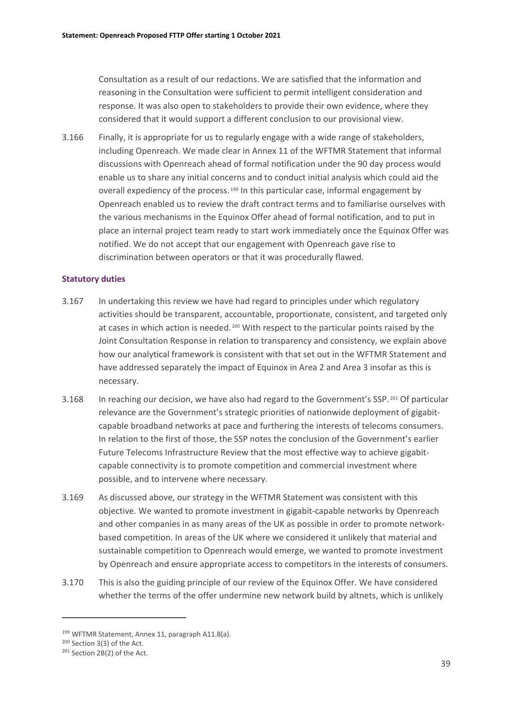Consultation as a result of our redactions. We are satisfied that the information and reasoning in the Consultation were sufficient to permit intelligent consideration and response. It was also open to stakeholders to provide their own evidence, where they considered that it would support a different conclusion to our provisional view.

3.166 Finally, it is appropriate for us to regularly engage with a wide range of stakeholders, including Openreach. We made clear in Annex 11 of the WFTMR Statement that informal discussions with Openreach ahead of formal notification under the 90 day process would enable us to share any initial concerns and to conduct initial analysis which could aid the overall expediency of the process.<sup>[199](#page-40-0)</sup> In this particular case, informal engagement by Openreach enabled us to review the draft contract terms and to familiarise ourselves with the various mechanisms in the Equinox Offer ahead of formal notification, and to put in place an internal project team ready to start work immediately once the Equinox Offer was notified. We do not accept that our engagement with Openreach gave rise to discrimination between operators or that it was procedurally flawed.

#### **Statutory duties**

- 3.167 In undertaking this review we have had regard to principles under which regulatory activities should be transparent, accountable, proportionate, consistent, and targeted only at cases in which action is needed.<sup>[200](#page-40-1)</sup> With respect to the particular points raised by the Joint Consultation Response in relation to transparency and consistency, we explain above how our analytical framework is consistent with that set out in the WFTMR Statement and have addressed separately the impact of Equinox in Area 2 and Area 3 insofar as this is necessary.
- 3.168 In reaching our decision, we have also had regard to the Government's SSP.<sup>[201](#page-40-2)</sup> Of particular relevance are the Government's strategic priorities of nationwide deployment of gigabitcapable broadband networks at pace and furthering the interests of telecoms consumers. In relation to the first of those, the SSP notes the conclusion of the Government's earlier Future Telecoms Infrastructure Review that the most effective way to achieve gigabitcapable connectivity is to promote competition and commercial investment where possible, and to intervene where necessary.
- 3.169 As discussed above, our strategy in the WFTMR Statement was consistent with this objective. We wanted to promote investment in gigabit-capable networks by Openreach and other companies in as many areas of the UK as possible in order to promote networkbased competition. In areas of the UK where we considered it unlikely that material and sustainable competition to Openreach would emerge, we wanted to promote investment by Openreach and ensure appropriate access to competitors in the interests of consumers.
- 3.170 This is also the guiding principle of our review of the Equinox Offer. We have considered whether the terms of the offer undermine new network build by altnets, which is unlikely

<span id="page-40-0"></span><sup>199</sup> WFTMR Statement, Annex 11, paragraph A11.8(a).

<span id="page-40-2"></span><span id="page-40-1"></span><sup>&</sup>lt;sup>200</sup> Section 3(3) of the Act.<br><sup>201</sup> Section 2B(2) of the Act.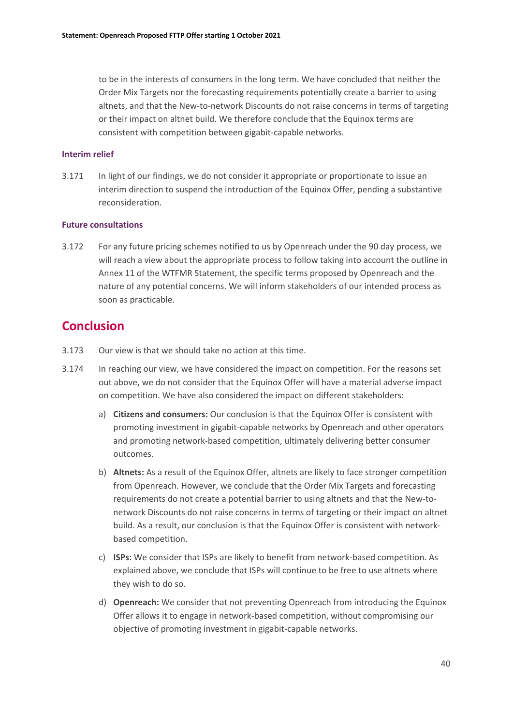to be in the interests of consumers in the long term. We have concluded that neither the Order Mix Targets nor the forecasting requirements potentially create a barrier to using altnets, and that the New-to-network Discounts do not raise concerns in terms of targeting or their impact on altnet build. We therefore conclude that the Equinox terms are consistent with competition between gigabit-capable networks.

#### **Interim relief**

3.171 In light of our findings, we do not consider it appropriate or proportionate to issue an interim direction to suspend the introduction of the Equinox Offer, pending a substantive reconsideration.

#### **Future consultations**

3.172 For any future pricing schemes notified to us by Openreach under the 90 day process, we will reach a view about the appropriate process to follow taking into account the outline in Annex 11 of the WTFMR Statement, the specific terms proposed by Openreach and the nature of any potential concerns. We will inform stakeholders of our intended process as soon as practicable.

## **Conclusion**

- 3.173 Our view is that we should take no action at this time.
- 3.174 In reaching our view, we have considered the impact on competition. For the reasons set out above, we do not consider that the Equinox Offer will have a material adverse impact on competition. We have also considered the impact on different stakeholders:
	- a) **Citizens and consumers:** Our conclusion is that the Equinox Offer is consistent with promoting investment in gigabit-capable networks by Openreach and other operators and promoting network-based competition, ultimately delivering better consumer outcomes.
	- b) **Altnets:** As a result of the Equinox Offer, altnets are likely to face stronger competition from Openreach. However, we conclude that the Order Mix Targets and forecasting requirements do not create a potential barrier to using altnets and that the New-tonetwork Discounts do not raise concerns in terms of targeting or their impact on altnet build. As a result, our conclusion is that the Equinox Offer is consistent with networkbased competition.
	- c) **ISPs:** We consider that ISPs are likely to benefit from network-based competition. As explained above, we conclude that ISPs will continue to be free to use altnets where they wish to do so.
	- d) **Openreach:** We consider that not preventing Openreach from introducing the Equinox Offer allows it to engage in network-based competition, without compromising our objective of promoting investment in gigabit-capable networks.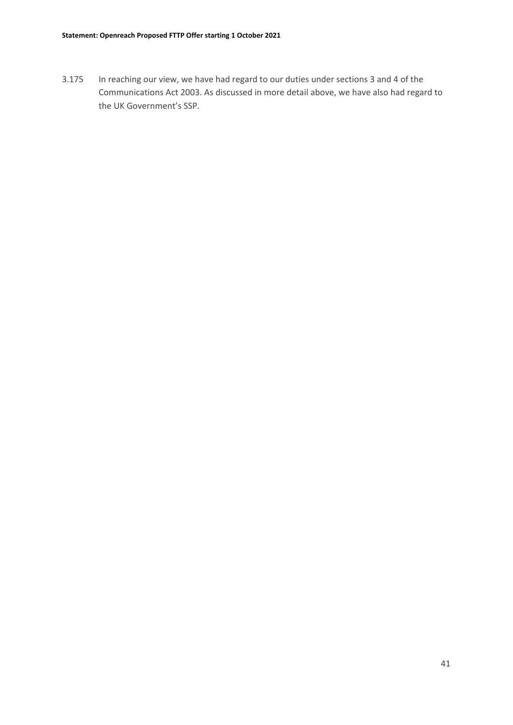3.175 In reaching our view, we have had regard to our duties under sections 3 and 4 of the Communications Act 2003. As discussed in more detail above, we have also had regard to the UK Government's SSP.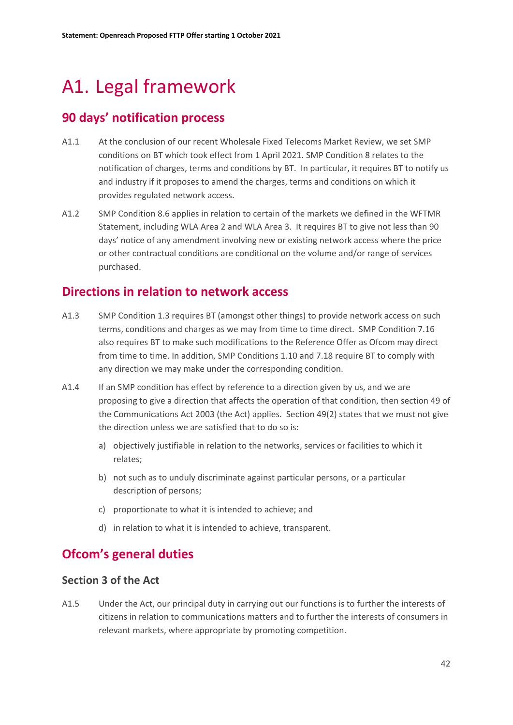# <span id="page-43-0"></span>A1. Legal framework

# **90 days' notification process**

- A1.1 At the conclusion of our recent Wholesale Fixed Telecoms Market Review, we set SMP conditions on BT which took effect from 1 April 2021. SMP Condition 8 relates to the notification of charges, terms and conditions by BT. In particular, it requires BT to notify us and industry if it proposes to amend the charges, terms and conditions on which it provides regulated network access.
- A1.2 SMP Condition 8.6 applies in relation to certain of the markets we defined in the WFTMR Statement, including WLA Area 2 and WLA Area 3. It requires BT to give not less than 90 days' notice of any amendment involving new or existing network access where the price or other contractual conditions are conditional on the volume and/or range of services purchased.

# **Directions in relation to network access**

- A1.3 SMP Condition 1.3 requires BT (amongst other things) to provide network access on such terms, conditions and charges as we may from time to time direct. SMP Condition 7.16 also requires BT to make such modifications to the Reference Offer as Ofcom may direct from time to time. In addition, SMP Conditions 1.10 and 7.18 require BT to comply with any direction we may make under the corresponding condition.
- A1.4 If an SMP condition has effect by reference to a direction given by us, and we are proposing to give a direction that affects the operation of that condition, then section 49 of the Communications Act 2003 (the Act) applies. Section 49(2) states that we must not give the direction unless we are satisfied that to do so is:
	- a) objectively justifiable in relation to the networks, services or facilities to which it relates;
	- b) not such as to unduly discriminate against particular persons, or a particular description of persons;
	- c) proportionate to what it is intended to achieve; and
	- d) in relation to what it is intended to achieve, transparent.

# **Ofcom's general duties**

### **Section 3 of the Act**

A1.5 Under the Act, our principal duty in carrying out our functions is to further the interests of citizens in relation to communications matters and to further the interests of consumers in relevant markets, where appropriate by promoting competition.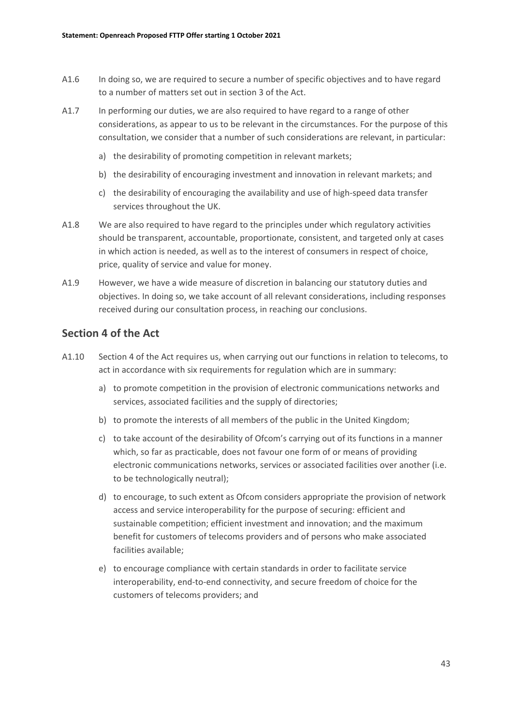- A1.6 In doing so, we are required to secure a number of specific objectives and to have regard to a number of matters set out in section 3 of the Act.
- A1.7 In performing our duties, we are also required to have regard to a range of other considerations, as appear to us to be relevant in the circumstances. For the purpose of this consultation, we consider that a number of such considerations are relevant, in particular:
	- a) the desirability of promoting competition in relevant markets;
	- b) the desirability of encouraging investment and innovation in relevant markets; and
	- c) the desirability of encouraging the availability and use of high-speed data transfer services throughout the UK.
- A1.8 We are also required to have regard to the principles under which regulatory activities should be transparent, accountable, proportionate, consistent, and targeted only at cases in which action is needed, as well as to the interest of consumers in respect of choice, price, quality of service and value for money.
- A1.9 However, we have a wide measure of discretion in balancing our statutory duties and objectives. In doing so, we take account of all relevant considerations, including responses received during our consultation process, in reaching our conclusions.

### **Section 4 of the Act**

- A1.10 Section 4 of the Act requires us, when carrying out our functions in relation to telecoms, to act in accordance with six requirements for regulation which are in summary:
	- a) to promote competition in the provision of electronic communications networks and services, associated facilities and the supply of directories;
	- b) to promote the interests of all members of the public in the United Kingdom;
	- c) to take account of the desirability of Ofcom's carrying out of its functions in a manner which, so far as practicable, does not favour one form of or means of providing electronic communications networks, services or associated facilities over another (i.e. to be technologically neutral);
	- d) to encourage, to such extent as Ofcom considers appropriate the provision of network access and service interoperability for the purpose of securing: efficient and sustainable competition; efficient investment and innovation; and the maximum benefit for customers of telecoms providers and of persons who make associated facilities available;
	- e) to encourage compliance with certain standards in order to facilitate service interoperability, end-to-end connectivity, and secure freedom of choice for the customers of telecoms providers; and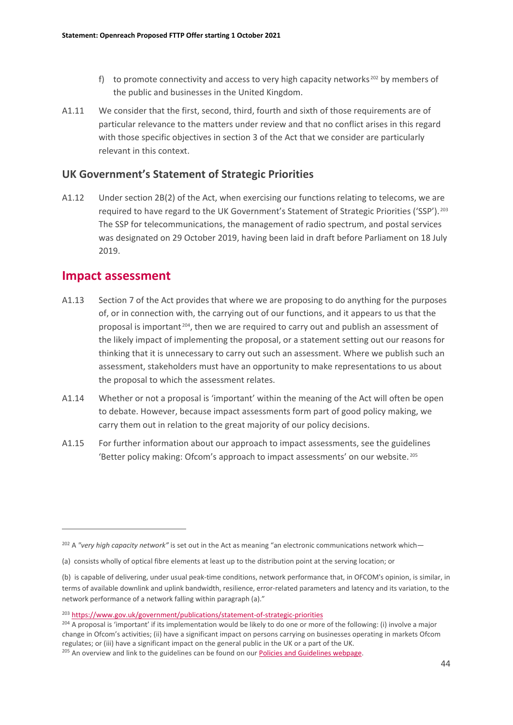- f) to promote connectivity and access to very high capacity networks  $202$  by members of the public and businesses in the United Kingdom.
- A1.11 We consider that the first, second, third, fourth and sixth of those requirements are of particular relevance to the matters under review and that no conflict arises in this regard with those specific objectives in section 3 of the Act that we consider are particularly relevant in this context.

### **UK Government's Statement of Strategic Priorities**

A1.12 Under section 2B(2) of the Act, when exercising our functions relating to telecoms, we are required to have regard to the UK Government's Statement of Strategic Priorities ('SSP'). [203](#page-45-1) The SSP for telecommunications, the management of radio spectrum, and postal services was designated on 29 October 2019, having been laid in draft before Parliament on 18 July 2019.

## **Impact assessment**

- A1.13 Section 7 of the Act provides that where we are proposing to do anything for the purposes of, or in connection with, the carrying out of our functions, and it appears to us that the proposal is important  $204$ , then we are required to carry out and publish an assessment of the likely impact of implementing the proposal, or a statement setting out our reasons for thinking that it is unnecessary to carry out such an assessment. Where we publish such an assessment, stakeholders must have an opportunity to make representations to us about the proposal to which the assessment relates.
- A1.14 Whether or not a proposal is 'important' within the meaning of the Act will often be open to debate. However, because impact assessments form part of good policy making, we carry them out in relation to the great majority of our policy decisions.
- A1.15 For further information about our approach to impact assessments, see the guidelines 'Better policy making: Ofcom's approach to impact assessments' on our website. [205](#page-45-3)

<span id="page-45-0"></span><sup>202</sup> A *"very high capacity network"* is set out in the Act as meaning "an electronic communications network which—

<sup>(</sup>a) consists wholly of optical fibre elements at least up to the distribution point at the serving location; or

<sup>(</sup>b) is capable of delivering, under usual peak-time conditions, network performance that, in OFCOM's opinion, is similar, in terms of available downlink and uplink bandwidth, resilience, error-related parameters and latency and its variation, to the network performance of a network falling within paragraph (a)."

<span id="page-45-1"></span><sup>&</sup>lt;sup>203</sup> <https://www.gov.uk/government/publications/statement-of-strategic-priorities>

<span id="page-45-2"></span><sup>&</sup>lt;sup>204</sup> A proposal is 'important' if its implementation would be likely to do one or more of the following: (i) involve a major change in Ofcom's activities; (ii) have a significant impact on persons carrying on businesses operating in markets Ofcom regulates; or (iii) have a significant impact on the general public in the UK or a part of the UK.

<span id="page-45-3"></span><sup>&</sup>lt;sup>205</sup> An overview and link to the guidelines can be found on ou[r Policies and Guidelines webpage.](https://www.ofcom.org.uk/about-ofcom/policies-and-guidelines)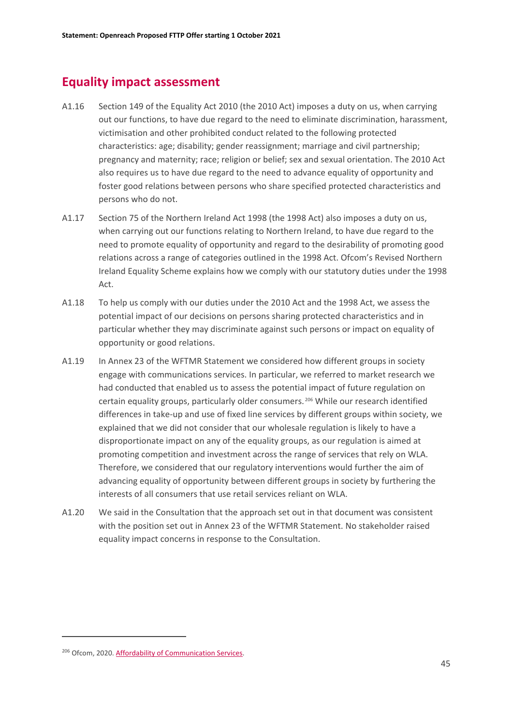# **Equality impact assessment**

- A1.16 Section 149 of the Equality Act 2010 (the 2010 Act) imposes a duty on us, when carrying out our functions, to have due regard to the need to eliminate discrimination, harassment, victimisation and other prohibited conduct related to the following protected characteristics: age; disability; gender reassignment; marriage and civil partnership; pregnancy and maternity; race; religion or belief; sex and sexual orientation. The 2010 Act also requires us to have due regard to the need to advance equality of opportunity and foster good relations between persons who share specified protected characteristics and persons who do not.
- A1.17 Section 75 of the Northern Ireland Act 1998 (the 1998 Act) also imposes a duty on us, when carrying out our functions relating to Northern Ireland, to have due regard to the need to promote equality of opportunity and regard to the desirability of promoting good relations across a range of categories outlined in the 1998 Act. Ofcom's Revised Northern Ireland Equality Scheme explains how we comply with our statutory duties under the 1998 Act.
- A1.18 To help us comply with our duties under the 2010 Act and the 1998 Act, we assess the potential impact of our decisions on persons sharing protected characteristics and in particular whether they may discriminate against such persons or impact on equality of opportunity or good relations.
- A1.19 In Annex 23 of the WFTMR Statement we considered how different groups in society engage with communications services. In particular, we referred to market research we had conducted that enabled us to assess the potential impact of future regulation on certain equality groups, particularly older consumers. [206](#page-46-0) While our research identified differences in take-up and use of fixed line services by different groups within society, we explained that we did not consider that our wholesale regulation is likely to have a disproportionate impact on any of the equality groups, as our regulation is aimed at promoting competition and investment across the range of services that rely on WLA. Therefore, we considered that our regulatory interventions would further the aim of advancing equality of opportunity between different groups in society by furthering the interests of all consumers that use retail services reliant on WLA.
- A1.20 We said in the Consultation that the approach set out in that document was consistent with the position set out in Annex 23 of the WFTMR Statement. No stakeholder raised equality impact concerns in response to the Consultation.

<span id="page-46-0"></span><sup>206</sup> Ofcom, 2020[. Affordability of Communication Services.](https://www.ofcom.org.uk/__data/assets/pdf_file/0021/209613/affordability-of-communications-services-initial-findings.pdf)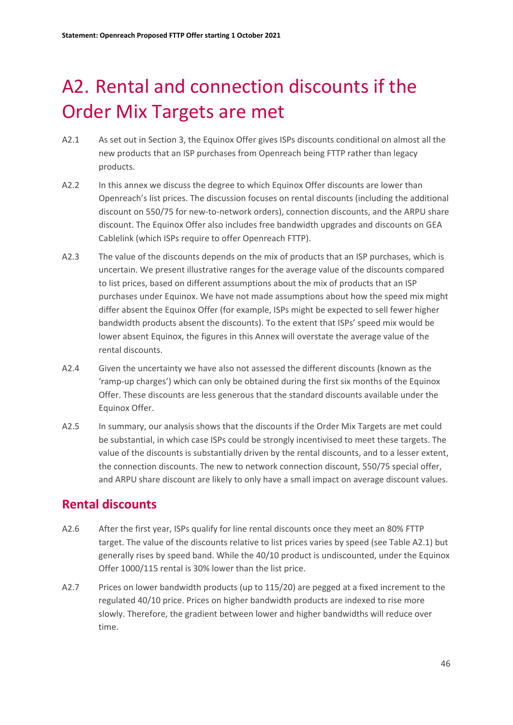# <span id="page-47-0"></span>A2. Rental and connection discounts if the Order Mix Targets are met

- A2.1 As set out in Section 3, the Equinox Offer gives ISPs discounts conditional on almost all the new products that an ISP purchases from Openreach being FTTP rather than legacy products.
- A2.2 In this annex we discuss the degree to which Equinox Offer discounts are lower than Openreach's list prices. The discussion focuses on rental discounts (including the additional discount on 550/75 for new-to-network orders), connection discounts, and the ARPU share discount. The Equinox Offer also includes free bandwidth upgrades and discounts on GEA Cablelink (which ISPs require to offer Openreach FTTP).
- A2.3 The value of the discounts depends on the mix of products that an ISP purchases, which is uncertain. We present illustrative ranges for the average value of the discounts compared to list prices, based on different assumptions about the mix of products that an ISP purchases under Equinox. We have not made assumptions about how the speed mix might differ absent the Equinox Offer (for example, ISPs might be expected to sell fewer higher bandwidth products absent the discounts). To the extent that ISPs' speed mix would be lower absent Equinox, the figures in this Annex will overstate the average value of the rental discounts.
- A2.4 Given the uncertainty we have also not assessed the different discounts (known as the 'ramp-up charges') which can only be obtained during the first six months of the Equinox Offer. These discounts are less generous that the standard discounts available under the Equinox Offer.
- A2.5 In summary, our analysis shows that the discounts if the Order Mix Targets are met could be substantial, in which case ISPs could be strongly incentivised to meet these targets. The value of the discounts is substantially driven by the rental discounts, and to a lesser extent, the connection discounts. The new to network connection discount, 550/75 special offer, and ARPU share discount are likely to only have a small impact on average discount values.

# **Rental discounts**

- A2.6 After the first year, ISPs qualify for line rental discounts once they meet an 80% FTTP target. The value of the discounts relative to list prices varies by speed (see Table A2.1) but generally rises by speed band. While the 40/10 product is undiscounted, under the Equinox Offer 1000/115 rental is 30% lower than the list price.
- A2.7 Prices on lower bandwidth products (up to 115/20) are pegged at a fixed increment to the regulated 40/10 price. Prices on higher bandwidth products are indexed to rise more slowly. Therefore, the gradient between lower and higher bandwidths will reduce over time.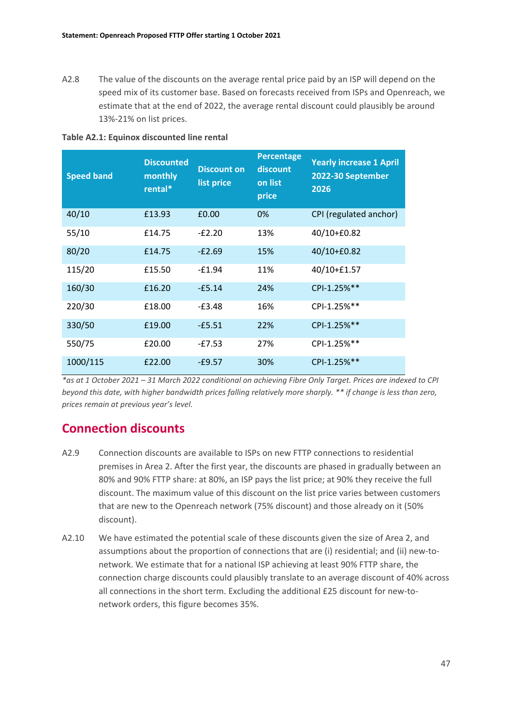A2.8 The value of the discounts on the average rental price paid by an ISP will depend on the speed mix of its customer base. Based on forecasts received from ISPs and Openreach, we estimate that at the end of 2022, the average rental discount could plausibly be around 13%-21% on list prices.

| <b>Speed band</b> | <b>Discounted</b><br>monthly<br>rental* | <b>Discount on</b><br>list price | <b>Percentage</b><br>discount<br>on list<br>price | <b>Yearly increase 1 April</b><br>2022-30 September<br>2026 |
|-------------------|-----------------------------------------|----------------------------------|---------------------------------------------------|-------------------------------------------------------------|
| 40/10             | £13.93                                  | £0.00                            | 0%                                                | CPI (regulated anchor)                                      |
| 55/10             | £14.75                                  | $-E2.20$                         | 13%                                               | 40/10+£0.82                                                 |
| 80/20             | £14.75                                  | $-E2.69$                         | 15%                                               | 40/10+£0.82                                                 |
| 115/20            | £15.50                                  | $-£1.94$                         | 11%                                               | 40/10+£1.57                                                 |
| 160/30            | £16.20                                  | $-£5.14$                         | 24%                                               | CPI-1.25%**                                                 |
| 220/30            | £18.00                                  | $-E3.48$                         | 16%                                               | CPI-1.25%**                                                 |
| 330/50            | £19.00                                  | $-£5.51$                         | 22%                                               | CPI-1.25%**                                                 |
| 550/75            | £20.00                                  | $-E7.53$                         | 27%                                               | CPI-1.25%**                                                 |
| 1000/115          | £22.00                                  | $-£9.57$                         | 30%                                               | CPI-1.25%**                                                 |

**Table A2.1: Equinox discounted line rental** 

*\*as at 1 October 2021 – 31 March 2022 conditional on achieving Fibre Only Target. Prices are indexed to CPI beyond this date, with higher bandwidth prices falling relatively more sharply. \*\* if change is less than zero, prices remain at previous year's level.* 

# **Connection discounts**

- A2.9 Connection discounts are available to ISPs on new FTTP connections to residential premises in Area 2. After the first year, the discounts are phased in gradually between an 80% and 90% FTTP share: at 80%, an ISP pays the list price; at 90% they receive the full discount. The maximum value of this discount on the list price varies between customers that are new to the Openreach network (75% discount) and those already on it (50% discount).
- A2.10 We have estimated the potential scale of these discounts given the size of Area 2, and assumptions about the proportion of connections that are (i) residential; and (ii) new-tonetwork. We estimate that for a national ISP achieving at least 90% FTTP share, the connection charge discounts could plausibly translate to an average discount of 40% across all connections in the short term. Excluding the additional £25 discount for new-tonetwork orders, this figure becomes 35%.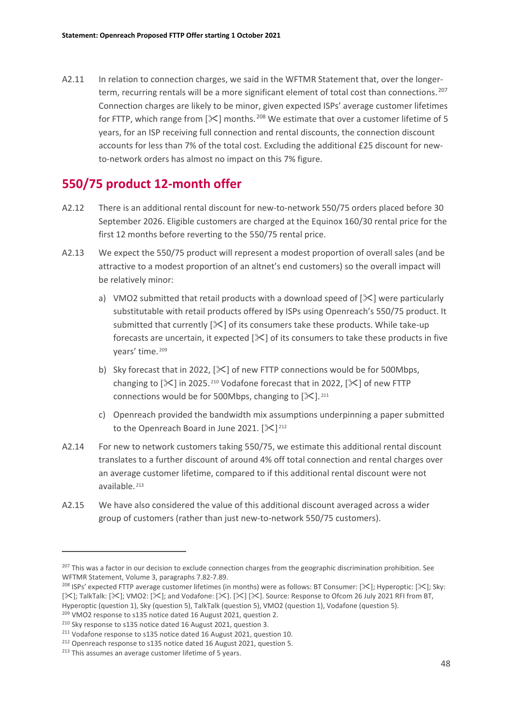A2.11 In relation to connection charges, we said in the WFTMR Statement that, over the longer-term, recurring rentals will be a more significant element of total cost than connections.<sup>[207](#page-49-0)</sup> Connection charges are likely to be minor, given expected ISPs' average customer lifetimes for FTTP, which range from  $\mathcal{X}$  months. <sup>[208](#page-49-1)</sup> We estimate that over a customer lifetime of 5 years, for an ISP receiving full connection and rental discounts, the connection discount accounts for less than 7% of the total cost. Excluding the additional £25 discount for newto-network orders has almost no impact on this 7% figure.

## **550/75 product 12-month offer**

- A2.12 There is an additional rental discount for new-to-network 550/75 orders placed before 30 September 2026. Eligible customers are charged at the Equinox 160/30 rental price for the first 12 months before reverting to the 550/75 rental price.
- A2.13 We expect the 550/75 product will represent a modest proportion of overall sales (and be attractive to a modest proportion of an altnet's end customers) so the overall impact will be relatively minor:
	- a) VMO2 submitted that retail products with a download speed of  $[\frac{1}{2}]$  were particularly substitutable with retail products offered by ISPs using Openreach's 550/75 product. It submitted that currently  $[\mathbb{X}]$  of its consumers take these products. While take-up forecasts are uncertain, it expected  $[\mathcal{K}]$  of its consumers to take these products in five years' time. [209](#page-49-2)
	- b) Sky forecast that in 2022,  $[\mathcal{K}]$  of new FTTP connections would be for 500Mbps, changing to  $[\frac{1}{2}]$  in 2025.<sup>[210](#page-49-3)</sup> Vodafone forecast that in 2022,  $[\frac{1}{2}]$  of new FTTP connections would be for 500Mbps, changing to  $[\frac{1}{2}]$ . [211](#page-49-4)
	- c) Openreach provided the bandwidth mix assumptions underpinning a paper submitted to the Openreach Board in June 2021.  $[\mathcal{K}]^{212}$  $[\mathcal{K}]^{212}$  $[\mathcal{K}]^{212}$
- A2.14 For new to network customers taking 550/75, we estimate this additional rental discount translates to a further discount of around 4% off total connection and rental charges over an average customer lifetime, compared to if this additional rental discount were not available. [213](#page-49-6)
- A2.15 We have also considered the value of this additional discount averaged across a wider group of customers (rather than just new-to-network 550/75 customers).

<span id="page-49-0"></span> $207$  This was a factor in our decision to exclude connection charges from the geographic discrimination prohibition. See WFTMR Statement, Volume 3, paragraphs 7.82-7.89.

<span id="page-49-1"></span><sup>&</sup>lt;sup>208</sup> ISPs' expected FTTP average customer lifetimes (in months) were as follows: BT Consumer: [ $\ge$ ]; Hyperoptic: [ $\ge$ ]; Sky: [ $\geq$ ]; TalkTalk: [ $\geq$ ]; VMO2: [ $\geq$ ]; and Vodafone: [ $\geq$ ]. [ $\geq$ ]. Source: Response to Ofcom 26 July 2021 RFI from BT, Hyperoptic (question 1), Sky (question 5), TalkTalk (question 5), VMO2 (question 1), Vodafone (question 5).

<span id="page-49-2"></span><sup>209</sup> VMO2 response to s135 notice dated 16 August 2021, question 2.

<span id="page-49-3"></span><sup>210</sup> Sky response to s135 notice dated 16 August 2021, question 3.

<span id="page-49-4"></span><sup>211</sup> Vodafone response to s135 notice dated 16 August 2021, question 10. <sup>212</sup> Openreach response to s135 notice dated 16 August 2021, question 5.

<span id="page-49-6"></span><span id="page-49-5"></span><sup>&</sup>lt;sup>213</sup> This assumes an average customer lifetime of 5 years.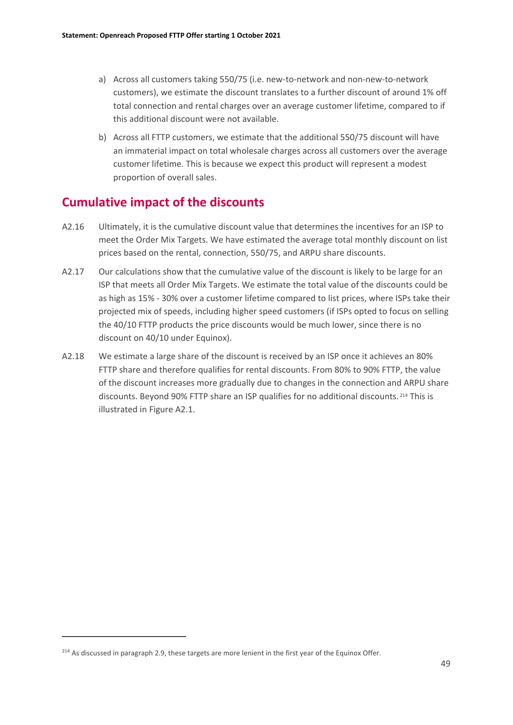- a) Across all customers taking 550/75 (i.e. new-to-network and non-new-to-network customers), we estimate the discount translates to a further discount of around 1% off total connection and rental charges over an average customer lifetime, compared to if this additional discount were not available.
- b) Across all FTTP customers, we estimate that the additional 550/75 discount will have an immaterial impact on total wholesale charges across all customers over the average customer lifetime. This is because we expect this product will represent a modest proportion of overall sales.

## **Cumulative impact of the discounts**

- A2.16 Ultimately, it is the cumulative discount value that determines the incentives for an ISP to meet the Order Mix Targets. We have estimated the average total monthly discount on list prices based on the rental, connection, 550/75, and ARPU share discounts.
- A2.17 Our calculations show that the cumulative value of the discount is likely to be large for an ISP that meets all Order Mix Targets. We estimate the total value of the discounts could be as high as 15% - 30% over a customer lifetime compared to list prices, where ISPs take their projected mix of speeds, including higher speed customers (if ISPs opted to focus on selling the 40/10 FTTP products the price discounts would be much lower, since there is no discount on 40/10 under Equinox).
- A2.18 We estimate a large share of the discount is received by an ISP once it achieves an 80% FTTP share and therefore qualifies for rental discounts. From 80% to 90% FTTP, the value of the discount increases more gradually due to changes in the connection and ARPU share discounts. Beyond 90% FTTP share an ISP qualifies for no additional discounts. [214](#page-50-0) This is illustrated in Figure A2.1.

<span id="page-50-0"></span> $214$  As discussed in paragraph 2.9, these targets are more lenient in the first year of the Equinox Offer.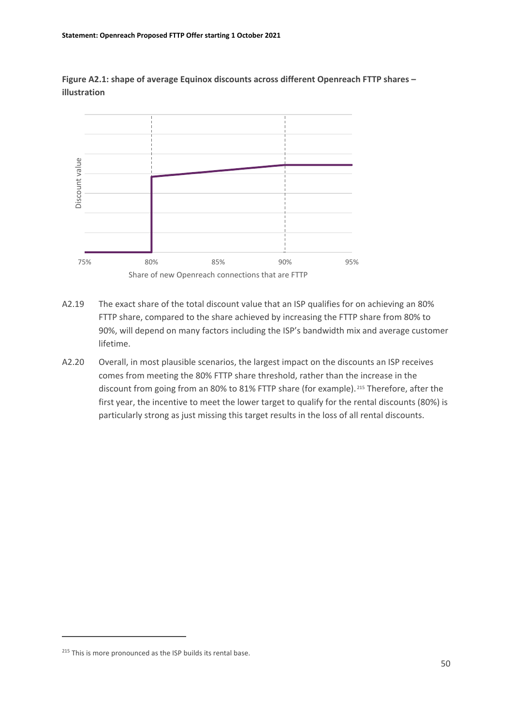**Figure A2.1: shape of average Equinox discounts across different Openreach FTTP shares – illustration**



- A2.19 The exact share of the total discount value that an ISP qualifies for on achieving an 80% FTTP share, compared to the share achieved by increasing the FTTP share from 80% to 90%, will depend on many factors including the ISP's bandwidth mix and average customer lifetime.
- A2.20 Overall, in most plausible scenarios, the largest impact on the discounts an ISP receives comes from meeting the 80% FTTP share threshold, rather than the increase in the discount from going from an 80% to 81% FTTP share (for example). <sup>215</sup> Therefore, after the first year, the incentive to meet the lower target to qualify for the rental discounts (80%) is particularly strong as just missing this target results in the loss of all rental discounts.

<span id="page-51-0"></span> $215$  This is more pronounced as the ISP builds its rental base.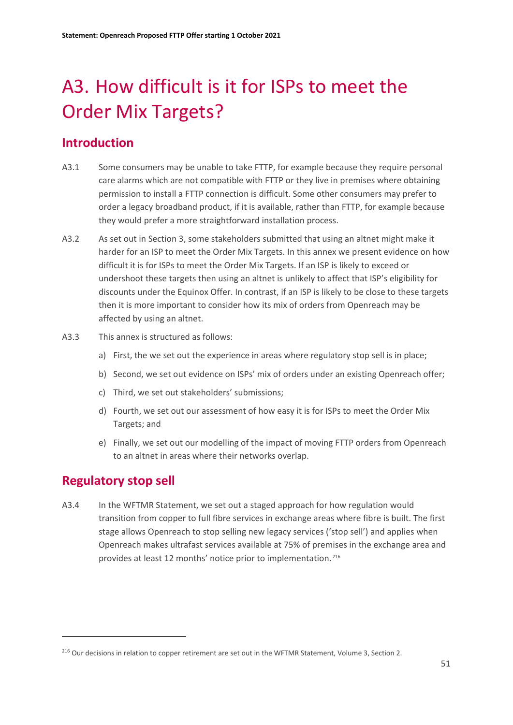# <span id="page-52-0"></span>A3. How difficult is it for ISPs to meet the Order Mix Targets?

# **Introduction**

- A3.1 Some consumers may be unable to take FTTP, for example because they require personal care alarms which are not compatible with FTTP or they live in premises where obtaining permission to install a FTTP connection is difficult. Some other consumers may prefer to order a legacy broadband product, if it is available, rather than FTTP, for example because they would prefer a more straightforward installation process.
- A3.2 As set out in Section 3, some stakeholders submitted that using an altnet might make it harder for an ISP to meet the Order Mix Targets. In this annex we present evidence on how difficult it is for ISPs to meet the Order Mix Targets. If an ISP is likely to exceed or undershoot these targets then using an altnet is unlikely to affect that ISP's eligibility for discounts under the Equinox Offer. In contrast, if an ISP is likely to be close to these targets then it is more important to consider how its mix of orders from Openreach may be affected by using an altnet.
- A3.3 This annex is structured as follows:
	- a) First, the we set out the experience in areas where regulatory stop sell is in place;
	- b) Second, we set out evidence on ISPs' mix of orders under an existing Openreach offer;
	- c) Third, we set out stakeholders' submissions;
	- d) Fourth, we set out our assessment of how easy it is for ISPs to meet the Order Mix Targets; and
	- e) Finally, we set out our modelling of the impact of moving FTTP orders from Openreach to an altnet in areas where their networks overlap.

# **Regulatory stop sell**

A3.4 In the WFTMR Statement, we set out a staged approach for how regulation would transition from copper to full fibre services in exchange areas where fibre is built. The first stage allows Openreach to stop selling new legacy services ('stop sell') and applies when Openreach makes ultrafast services available at 75% of premises in the exchange area and provides at least 12 months' notice prior to implementation. [216](#page-52-1)

<span id="page-52-1"></span><sup>&</sup>lt;sup>216</sup> Our decisions in relation to copper retirement are set out in the WFTMR Statement, Volume 3, Section 2.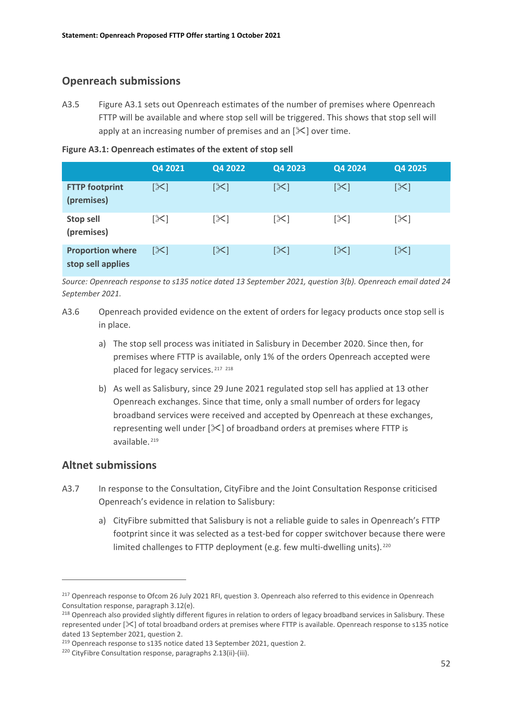## **Openreach submissions**

A3.5 Figure A3.1 sets out Openreach estimates of the number of premises where Openreach FTTP will be available and where stop sell will be triggered. This shows that stop sell will apply at an increasing number of premises and an  $[\times]$  over time.

|                                              | Q4 2021 | Q4 2022    | Q4 2023    | Q4 2024    | Q4 2025         |
|----------------------------------------------|---------|------------|------------|------------|-----------------|
| <b>FTTP footprint</b><br>(premises)          | [≻      | $[\times]$ | $[\times]$ | $[\times]$ | $ \mathcal{X} $ |
| <b>Stop sell</b><br>(premises)               | [≻]     | [╳]        | [╳]        | [╳]        | $[\times]$      |
| <b>Proportion where</b><br>stop sell applies | [╳]     | [╳]        | [╳]        | [≻]        | [≻]             |

*Source: Openreach response to s135 notice dated 13 September 2021, question 3(b). Openreach email dated 24 September 2021.*

- A3.6 Openreach provided evidence on the extent of orders for legacy products once stop sell is in place.
	- a) The stop sell process was initiated in Salisbury in December 2020. Since then, for premises where FTTP is available, only 1% of the orders Openreach accepted were placed for legacy services. [217](#page-53-0) [218](#page-53-1)
	- b) As well as Salisbury, since 29 June 2021 regulated stop sell has applied at 13 other Openreach exchanges. Since that time, only a small number of orders for legacy broadband services were received and accepted by Openreach at these exchanges, representing well under  $[\mathcal{K}]$  of broadband orders at premises where FTTP is available. [219](#page-53-2)

### **Altnet submissions**

- A3.7 In response to the Consultation, CityFibre and the Joint Consultation Response criticised Openreach's evidence in relation to Salisbury:
	- a) CityFibre submitted that Salisbury is not a reliable guide to sales in Openreach's FTTP footprint since it was selected as a test-bed for copper switchover because there were limited challenges to FTTP deployment (e.g. few multi-dwelling units).<sup>[220](#page-53-3)</sup>

<span id="page-53-0"></span><sup>&</sup>lt;sup>217</sup> Openreach response to Ofcom 26 July 2021 RFI, question 3. Openreach also referred to this evidence in Openreach Consultation response, paragraph 3.12(e).

<span id="page-53-1"></span><sup>&</sup>lt;sup>218</sup> Openreach also provided slightly different figures in relation to orders of legacy broadband services in Salisbury. These represented under [ $\ll$ ] of total broadband orders at premises where FTTP is available. Openreach response to s135 notice dated 13 September 2021, question 2.

<span id="page-53-2"></span><sup>&</sup>lt;sup>219</sup> Openreach response to s135 notice dated 13 September 2021, question 2.

<span id="page-53-3"></span><sup>220</sup> CityFibre Consultation response, paragraphs 2.13(ii)-(iii).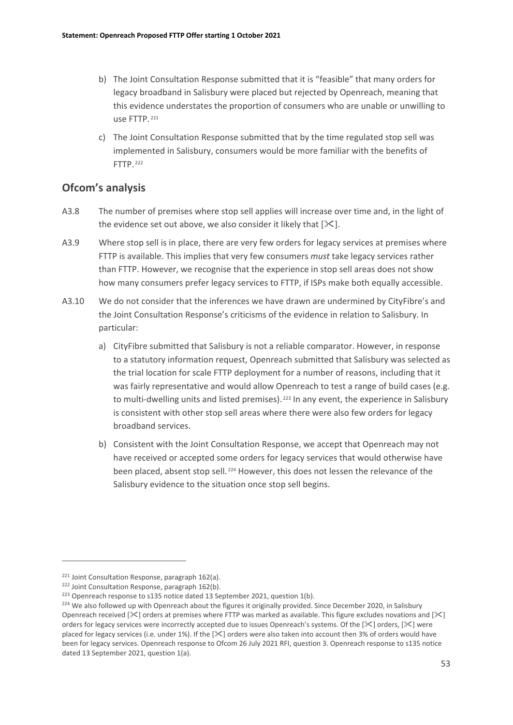- b) The Joint Consultation Response submitted that it is "feasible" that many orders for legacy broadband in Salisbury were placed but rejected by Openreach, meaning that this evidence understates the proportion of consumers who are unable or unwilling to use FTTP. [221](#page-54-0)
- c) The Joint Consultation Response submitted that by the time regulated stop sell was implemented in Salisbury, consumers would be more familiar with the benefits of FTTP. [222](#page-54-1)

### **Ofcom's analysis**

- A3.8 The number of premises where stop sell applies will increase over time and, in the light of the evidence set out above, we also consider it likely that  $[\mathcal{K}]$ .
- A3.9 Where stop sell is in place, there are very few orders for legacy services at premises where FTTP is available. This implies that very few consumers *must* take legacy services rather than FTTP. However, we recognise that the experience in stop sell areas does not show how many consumers prefer legacy services to FTTP, if ISPs make both equally accessible.
- A3.10 We do not consider that the inferences we have drawn are undermined by CityFibre's and the Joint Consultation Response's criticisms of the evidence in relation to Salisbury. In particular:
	- a) CityFibre submitted that Salisbury is not a reliable comparator. However, in response to a statutory information request, Openreach submitted that Salisbury was selected as the trial location for scale FTTP deployment for a number of reasons, including that it was fairly representative and would allow Openreach to test a range of build cases (e.g. to multi-dwelling units and listed premises). <sup>[223](#page-54-2)</sup> In any event, the experience in Salisbury is consistent with other stop sell areas where there were also few orders for legacy broadband services.
	- b) Consistent with the Joint Consultation Response, we accept that Openreach may not have received or accepted some orders for legacy services that would otherwise have been placed, absent stop sell. [224](#page-54-3) However, this does not lessen the relevance of the Salisbury evidence to the situation once stop sell begins.

<span id="page-54-0"></span><sup>&</sup>lt;sup>221</sup> Joint Consultation Response, paragraph 162(a).

<span id="page-54-1"></span><sup>&</sup>lt;sup>222</sup> Joint Consultation Response, paragraph 162(b).

<span id="page-54-2"></span><sup>&</sup>lt;sup>223</sup> Openreach response to s135 notice dated 13 September 2021, question 1(b).

<span id="page-54-3"></span><sup>&</sup>lt;sup>224</sup> We also followed up with Openreach about the figures it originally provided. Since December 2020, in Salisbury Openreach received  $[\times]$  orders at premises where FTTP was marked as available. This figure excludes novations and  $[\times]$ orders for legacy services were incorrectly accepted due to issues Openreach's systems. Of the [ $\ge$ ] orders, [ $\ge$ ] were placed for legacy services (i.e. under 1%). If the  $[\times]$  orders were also taken into account then 3% of orders would have been for legacy services. Openreach response to Ofcom 26 July 2021 RFI, question 3. Openreach response to s135 notice dated 13 September 2021, question 1(a).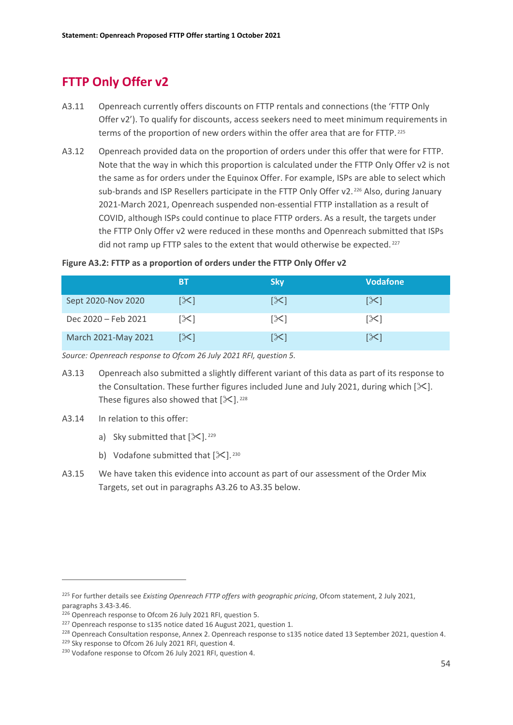# **FTTP Only Offer v2**

- A3.11 Openreach currently offers discounts on FTTP rentals and connections (the 'FTTP Only Offer v2'). To qualify for discounts, access seekers need to meet minimum requirements in terms of the proportion of new orders within the offer area that are for FTTP. [225](#page-55-0)
- A3.12 Openreach provided data on the proportion of orders under this offer that were for FTTP. Note that the way in which this proportion is calculated under the FTTP Only Offer v2 is not the same as for orders under the Equinox Offer. For example, ISPs are able to select which sub-brands and ISP Resellers participate in the FTTP Only Offer v2.<sup>[226](#page-55-1)</sup> Also, during January 2021-March 2021, Openreach suspended non-essential FTTP installation as a result of COVID, although ISPs could continue to place FTTP orders. As a result, the targets under the FTTP Only Offer v2 were reduced in these months and Openreach submitted that ISPs did not ramp up FTTP sales to the extent that would otherwise be expected.<sup>[227](#page-55-2)</sup>

#### **Figure A3.2: FTTP as a proportion of orders under the FTTP Only Offer v2**

|                     | ВT  | 'Skv | <b>Vodafone</b>       |
|---------------------|-----|------|-----------------------|
| Sept 2020-Nov 2020  | ו≫ן | [≻]  | [≻]                   |
| Dec 2020 - Feb 2021 | [X] | [╳]  | $\left[\infty\right]$ |
| March 2021-May 2021 | [╳] | [╳]  | ו≫ן                   |

*Source: Openreach response to Ofcom 26 July 2021 RFI, question 5.*

- A3.13 Openreach also submitted a slightly different variant of this data as part of its response to the Consultation. These further figures included June and July 2021, during which  $[\mathcal{K}]$ . These figures also showed that  $[\times]$ . <sup>[228](#page-55-3)</sup>
- A3.14 In relation to this offer:
	- a) Sky submitted that  $[\frac{1}{2}]$ . <sup>[229](#page-55-4)</sup>
	- b) Vodafone submitted that  $[\frac{1}{2}]$ . [230](#page-55-5)
- A3.15 We have taken this evidence into account as part of our assessment of the Order Mix Targets, set out in paragraphs A3.26 to A3.35 below.

<span id="page-55-0"></span><sup>225</sup> For further details see *Existing Openreach FTTP offers with geographic pricing*, Ofcom statement, 2 July 2021, paragraphs 3.43-3.46.

<span id="page-55-1"></span><sup>&</sup>lt;sup>226</sup> Openreach response to Ofcom 26 July 2021 RFI, question 5.

<span id="page-55-2"></span><sup>&</sup>lt;sup>227</sup> Openreach response to s135 notice dated 16 August 2021, question 1.

<span id="page-55-3"></span><sup>&</sup>lt;sup>228</sup> Openreach Consultation response, Annex 2. Openreach response to s135 notice dated 13 September 2021, question 4.

<span id="page-55-4"></span><sup>&</sup>lt;sup>229</sup> Sky response to Ofcom 26 July 2021 RFI, question 4.

<span id="page-55-5"></span><sup>&</sup>lt;sup>230</sup> Vodafone response to Ofcom 26 July 2021 RFI, question 4.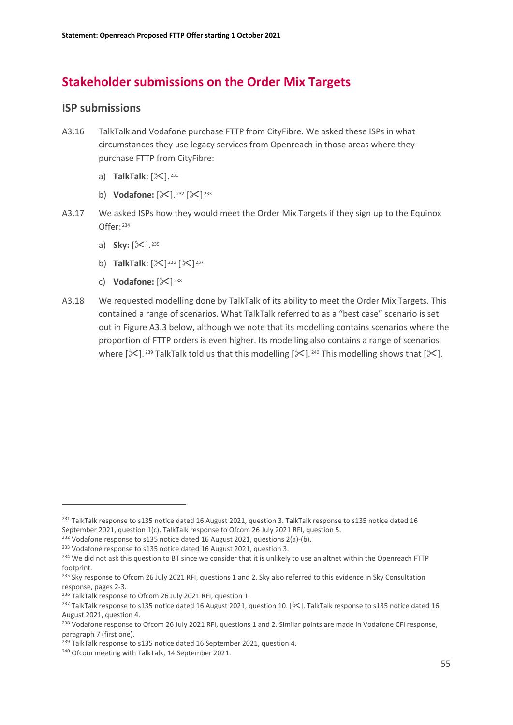# **Stakeholder submissions on the Order Mix Targets**

### **ISP submissions**

- A3.16 TalkTalk and Vodafone purchase FTTP from CityFibre. We asked these ISPs in what circumstances they use legacy services from Openreach in those areas where they purchase FTTP from CityFibre:
	- a) **TalkTalk:** [ $\mathbb{X}$ ]. <sup>[231](#page-56-0)</sup>
	- b) **Vodafone:**  $[\mathcal{K}]$ . <sup>[232](#page-56-1)</sup>  $[\mathcal{K}]$ <sup>[233](#page-56-2)</sup>
- A3.17 We asked ISPs how they would meet the Order Mix Targets if they sign up to the Equinox Offer: [234](#page-56-3)
	- a) **Sky:**  $[\mathcal{K}]$ . <sup>[235](#page-56-4)</sup>
	- b) **TalkTalk:**  $[\frac{1}{2}]^{236} [\frac{1}{2}]^{237}$  $[\frac{1}{2}]^{236} [\frac{1}{2}]^{237}$  $[\frac{1}{2}]^{236} [\frac{1}{2}]^{237}$  $[\frac{1}{2}]^{236} [\frac{1}{2}]^{237}$  $[\frac{1}{2}]^{236} [\frac{1}{2}]^{237}$
	- c) **Vodafone:**  $[\infty]^{238}$  $[\infty]^{238}$  $[\infty]^{238}$
- A3.18 We requested modelling done by TalkTalk of its ability to meet the Order Mix Targets. This contained a range of scenarios. What TalkTalk referred to as a "best case" scenario is set out in Figure A3.3 below, although we note that its modelling contains scenarios where the proportion of FTTP orders is even higher. Its modelling also contains a range of scenarios where  $[\frac{1}{2}]$ . [239](#page-56-8) TalkTalk told us that this modelling  $[\frac{1}{2}]$ . [240](#page-56-9) This modelling shows that  $[\frac{1}{2}]$ .

<span id="page-56-0"></span><sup>&</sup>lt;sup>231</sup> TalkTalk response to s135 notice dated 16 August 2021, question 3. TalkTalk response to s135 notice dated 16 September 2021, question 1(c). TalkTalk response to Ofcom 26 July 2021 RFI, question 5.

<span id="page-56-1"></span><sup>&</sup>lt;sup>232</sup> Vodafone response to s135 notice dated 16 August 2021, questions 2(a)-(b).

<span id="page-56-2"></span><sup>&</sup>lt;sup>233</sup> Vodafone response to s135 notice dated 16 August 2021, question 3.

<span id="page-56-3"></span><sup>&</sup>lt;sup>234</sup> We did not ask this question to BT since we consider that it is unlikely to use an altnet within the Openreach FTTP footprint.

<span id="page-56-4"></span><sup>&</sup>lt;sup>235</sup> Sky response to Ofcom 26 July 2021 RFI, questions 1 and 2. Sky also referred to this evidence in Sky Consultation response, pages 2-3.

<span id="page-56-5"></span><sup>&</sup>lt;sup>236</sup> TalkTalk response to Ofcom 26 July 2021 RFI, question 1.

<span id="page-56-6"></span><sup>&</sup>lt;sup>237</sup> TalkTalk response to s135 notice dated 16 August 2021, question 10. [ $\ll$ ]. TalkTalk response to s135 notice dated 16 August 2021, question 4.

<span id="page-56-7"></span><sup>&</sup>lt;sup>238</sup> Vodafone response to Ofcom 26 July 2021 RFI, questions 1 and 2. Similar points are made in Vodafone CFI response, paragraph 7 (first one).

<span id="page-56-8"></span><sup>&</sup>lt;sup>239</sup> TalkTalk response to s135 notice dated 16 September 2021, question 4.

<span id="page-56-9"></span><sup>240</sup> Ofcom meeting with TalkTalk, 14 September 2021.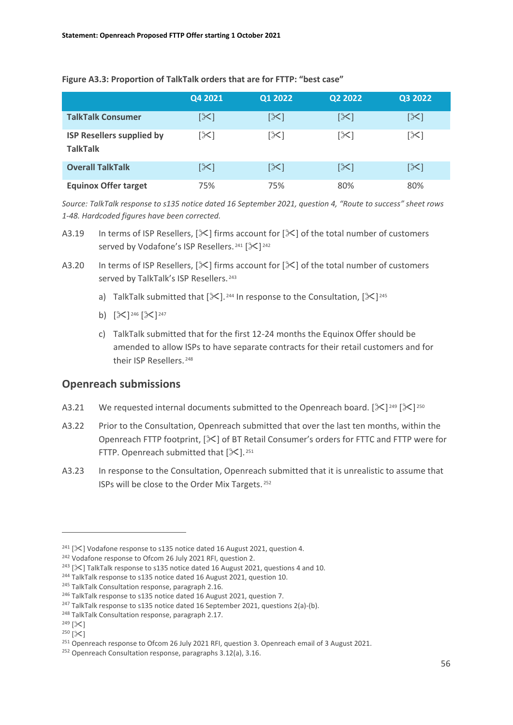#### **Figure A3.3: Proportion of TalkTalk orders that are for FTTP: "best case"**

|                                                     | Q4 2021 | Q1 2022    | Q2 2022         | Q3 2022 |
|-----------------------------------------------------|---------|------------|-----------------|---------|
| <b>TalkTalk Consumer</b>                            | [≻]     | $[\times]$ | $ \mathcal{X} $ | [╳]     |
| <b>ISP Resellers supplied by</b><br><b>TalkTalk</b> | [≻      | [X]        | $[\times]$      | [≻3     |
| <b>Overall TalkTalk</b>                             | [≻      | [X]        | $ \mathcal{X} $ | [≻]     |
| <b>Equinox Offer target</b>                         | 75%     | 75%        | 80%             | 80%     |

*Source: TalkTalk response to s135 notice dated 16 September 2021, question 4, "Route to success" sheet rows 1-48. Hardcoded figures have been corrected.*

- A3.19 In terms of ISP Resellers,  $[\times]$  firms account for  $[\times]$  of the total number of customers served by Vodafone's ISP Resellers.<sup>[241](#page-57-0)</sup> [ $\mathbb{X}$ ]<sup>[242](#page-57-1)</sup>
- A3.20 In terms of ISP Resellers,  $[\times]$  firms account for  $[\times]$  of the total number of customers served by TalkTalk's ISP Resellers.<sup>[243](#page-57-2)</sup>
	- a) TalkTalk submitted that  $[\mathcal{K}]$ . <sup>[244](#page-57-3)</sup> In response to the Consultation,  $[\mathcal{K}]^{245}$  $[\mathcal{K}]^{245}$  $[\mathcal{K}]^{245}$
	- b)  $[\mathcal{K}]^{246} [\mathcal{K}]^{247}$  $[\mathcal{K}]^{246} [\mathcal{K}]^{247}$  $[\mathcal{K}]^{246} [\mathcal{K}]^{247}$  $[\mathcal{K}]^{246} [\mathcal{K}]^{247}$  $[\mathcal{K}]^{246} [\mathcal{K}]^{247}$
	- c) TalkTalk submitted that for the first 12-24 months the Equinox Offer should be amended to allow ISPs to have separate contracts for their retail customers and for their ISP Resellers. [248](#page-57-7)

### **Openreach submissions**

- A3.21 We requested internal documents submitted to the Openreach board.  $[\&]^{249} [\&]^{250}$  $[\&]^{249} [\&]^{250}$  $[\&]^{249} [\&]^{250}$  $[\&]^{249} [\&]^{250}$  $[\&]^{249} [\&]^{250}$
- A3.22 Prior to the Consultation, Openreach submitted that over the last ten months, within the Openreach FTTP footprint,  $[\mathcal{K}]$  of BT Retail Consumer's orders for FTTC and FTTP were for FTTP. Openreach submitted that  $[\times]$ . <sup>[251](#page-57-10)</sup>
- A3.23 In response to the Consultation, Openreach submitted that it is unrealistic to assume that ISPs will be close to the Order Mix Targets. [252](#page-57-11)

<span id="page-57-0"></span><sup>&</sup>lt;sup>241</sup> [ $\mathcal{X}$ ] Vodafone response to s135 notice dated 16 August 2021, question 4.

<span id="page-57-2"></span><span id="page-57-1"></span><sup>&</sup>lt;sup>242</sup> Vodafone response to Ofcom 26 July 2021 RFI, question 2.<br><sup>243</sup> [ $\ll$ ] TalkTalk response to s135 notice dated 16 August 2021, questions 4 and 10.

<span id="page-57-3"></span><sup>&</sup>lt;sup>244</sup> TalkTalk response to s135 notice dated 16 August 2021, question 10.

<span id="page-57-4"></span><sup>&</sup>lt;sup>245</sup> TalkTalk Consultation response, paragraph 2.16.

<span id="page-57-5"></span><sup>&</sup>lt;sup>246</sup> TalkTalk response to s135 notice dated 16 August 2021, question 7.

<span id="page-57-6"></span><sup>&</sup>lt;sup>247</sup> TalkTalk response to s135 notice dated 16 September 2021, questions 2(a)-(b).

<span id="page-57-7"></span><sup>248</sup> TalkTalk Consultation response, paragraph 2.17.

<span id="page-57-8"></span> $249$   $[\times]$ 

<span id="page-57-9"></span> $250$   $\left[\right]\times$ 

<span id="page-57-10"></span><sup>&</sup>lt;sup>251</sup> Openreach response to Ofcom 26 July 2021 RFI, question 3. Openreach email of 3 August 2021.

<span id="page-57-11"></span><sup>&</sup>lt;sup>252</sup> Openreach Consultation response, paragraphs 3.12(a), 3.16.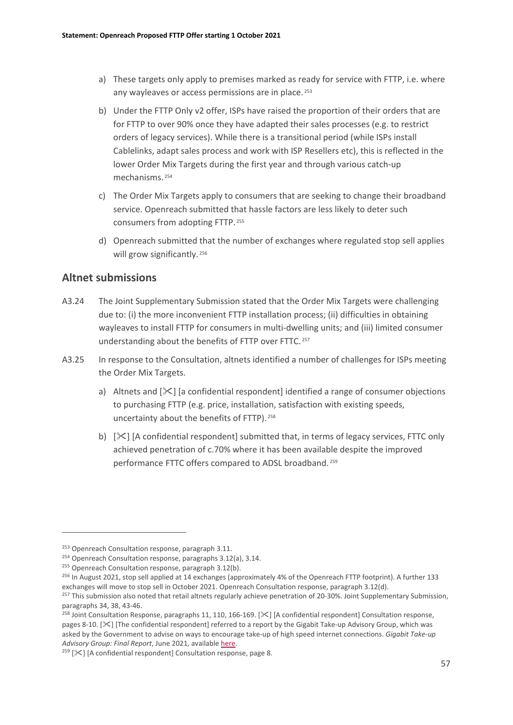- a) These targets only apply to premises marked as ready for service with FTTP, i.e. where any wayleaves or access permissions are in place.<sup>[253](#page-58-0)</sup>
- b) Under the FTTP Only v2 offer, ISPs have raised the proportion of their orders that are for FTTP to over 90% once they have adapted their sales processes (e.g. to restrict orders of legacy services). While there is a transitional period (while ISPs install Cablelinks, adapt sales process and work with ISP Resellers etc), this is reflected in the lower Order Mix Targets during the first year and through various catch-up mechanisms. [254](#page-58-1)
- c) The Order Mix Targets apply to consumers that are seeking to change their broadband service. Openreach submitted that hassle factors are less likely to deter such consumers from adopting FTTP. [255](#page-58-2)
- d) Openreach submitted that the number of exchanges where regulated stop sell applies will grow significantly.<sup>[256](#page-58-3)</sup>

### **Altnet submissions**

- A3.24 The Joint Supplementary Submission stated that the Order Mix Targets were challenging due to: (i) the more inconvenient FTTP installation process; (ii) difficulties in obtaining wayleaves to install FTTP for consumers in multi-dwelling units; and (iii) limited consumer understanding about the benefits of FTTP over FTTC. [257](#page-58-4)
- A3.25 In response to the Consultation, altnets identified a number of challenges for ISPs meeting the Order Mix Targets.
	- a) Altnets and  $[\times]$  [a confidential respondent] identified a range of consumer objections to purchasing FTTP (e.g. price, installation, satisfaction with existing speeds, uncertainty about the benefits of FTTP). [258](#page-58-5)
	- b)  $[\&]$  [A confidential respondent] submitted that, in terms of legacy services, FTTC only achieved penetration of c.70% where it has been available despite the improved performance FTTC offers compared to ADSL broadband. [259](#page-58-6)

<span id="page-58-0"></span><sup>&</sup>lt;sup>253</sup> Openreach Consultation response, paragraph 3.11.

<span id="page-58-1"></span><sup>&</sup>lt;sup>254</sup> Openreach Consultation response, paragraphs 3.12(a), 3.14.

<span id="page-58-2"></span><sup>&</sup>lt;sup>255</sup> Openreach Consultation response, paragraph 3.12(b).

<span id="page-58-3"></span><sup>&</sup>lt;sup>256</sup> In August 2021, stop sell applied at 14 exchanges (approximately 4% of the Openreach FTTP footprint). A further 133 exchanges will move to stop sell in October 2021. Openreach Consultation response, paragraph 3.12(d).

<span id="page-58-4"></span><sup>&</sup>lt;sup>257</sup> This submission also noted that retail altnets regularly achieve penetration of 20-30%. Joint Supplementary Submission, paragraphs 34, 38, 43-46.

<span id="page-58-5"></span><sup>&</sup>lt;sup>258</sup> Joint Consultation Response, paragraphs 11, 110, 166-169. [ $\geq$ ] [A confidential respondent] Consultation response, pages 8-10. [ $\ll$ ] [The confidential respondent] referred to a report by the Gigabit Take-up Advisory Group, which was asked by the Government to advise on ways to encourage take-up of high speed internet connections. *Gigabit Take-up Advisory Group: Final Report*, June 2021, availabl[e here.](https://aaf1a18515da0e792f78-c27fdabe952dfc357fe25ebf5c8897ee.ssl.cf5.rackcdn.com/2249/gigatag_report_v5.pdf?v=1623408427000)

<span id="page-58-6"></span> $259$  [ $\mathsf{\times}$ ] [A confidential respondent] Consultation response, page 8.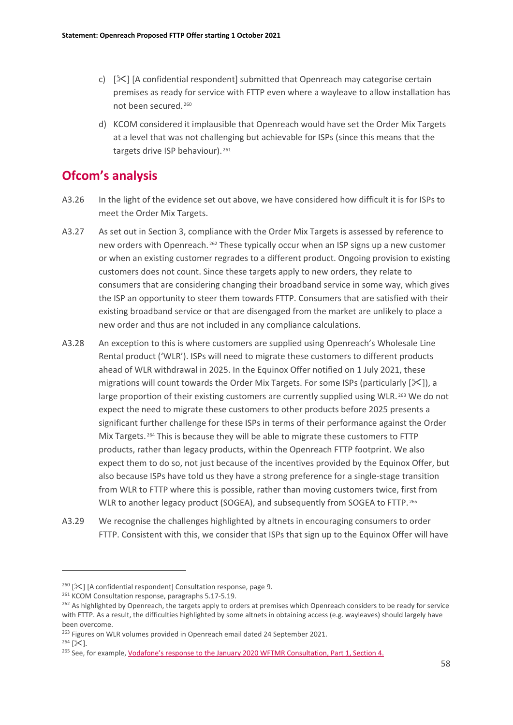- c)  $[\times]$  [A confidential respondent] submitted that Openreach may categorise certain premises as ready for service with FTTP even where a wayleave to allow installation has not been secured. [260](#page-59-0)
- d) KCOM considered it implausible that Openreach would have set the Order Mix Targets at a level that was not challenging but achievable for ISPs (since this means that the targets drive ISP behaviour). [261](#page-59-1)

# **Ofcom's analysis**

- A3.26 In the light of the evidence set out above, we have considered how difficult it is for ISPs to meet the Order Mix Targets.
- A3.27 As set out in Section 3, compliance with the Order Mix Targets is assessed by reference to new orders with Openreach. <sup>[262](#page-59-2)</sup> These typically occur when an ISP signs up a new customer or when an existing customer regrades to a different product. Ongoing provision to existing customers does not count. Since these targets apply to new orders, they relate to consumers that are considering changing their broadband service in some way, which gives the ISP an opportunity to steer them towards FTTP. Consumers that are satisfied with their existing broadband service or that are disengaged from the market are unlikely to place a new order and thus are not included in any compliance calculations.
- A3.28 An exception to this is where customers are supplied using Openreach's Wholesale Line Rental product ('WLR'). ISPs will need to migrate these customers to different products ahead of WLR withdrawal in 2025. In the Equinox Offer notified on 1 July 2021, these migrations will count towards the Order Mix Targets. For some ISPs (particularly  $[\mathcal{K}]$ ), a large proportion of their existing customers are currently supplied using WLR. <sup>[263](#page-59-3)</sup> We do not expect the need to migrate these customers to other products before 2025 presents a significant further challenge for these ISPs in terms of their performance against the Order Mix Targets. [264](#page-59-4) This is because they will be able to migrate these customers to FTTP products, rather than legacy products, within the Openreach FTTP footprint. We also expect them to do so, not just because of the incentives provided by the Equinox Offer, but also because ISPs have told us they have a strong preference for a single-stage transition from WLR to FTTP where this is possible, rather than moving customers twice, first from WLR to another legacy product (SOGEA), and subsequently from SOGEA to FTTP. [265](#page-59-5)
- A3.29 We recognise the challenges highlighted by altnets in encouraging consumers to order FTTP. Consistent with this, we consider that ISPs that sign up to the Equinox Offer will have

<span id="page-59-4"></span> $264$  [ $\&$ ].

<span id="page-59-0"></span> $260$  [ $\times$ ] [A confidential respondent] Consultation response, page 9.

<span id="page-59-1"></span><sup>261</sup> KCOM Consultation response, paragraphs 5.17-5.19.

<span id="page-59-2"></span><sup>&</sup>lt;sup>262</sup> As highlighted by Openreach, the targets apply to orders at premises which Openreach considers to be ready for service with FTTP. As a result, the difficulties highlighted by some altnets in obtaining access (e.g. wayleaves) should largely have been overcome.

<span id="page-59-3"></span><sup>&</sup>lt;sup>263</sup> Figures on WLR volumes provided in Openreach email dated 24 September 2021.

<span id="page-59-5"></span><sup>&</sup>lt;sup>265</sup> See, for example[, Vodafone's response to the January 2020 WFTMR Consultation, Part 1, Section 4.](https://www.ofcom.org.uk/__data/assets/pdf_file/0031/199228/vodafone-part-1.pdf)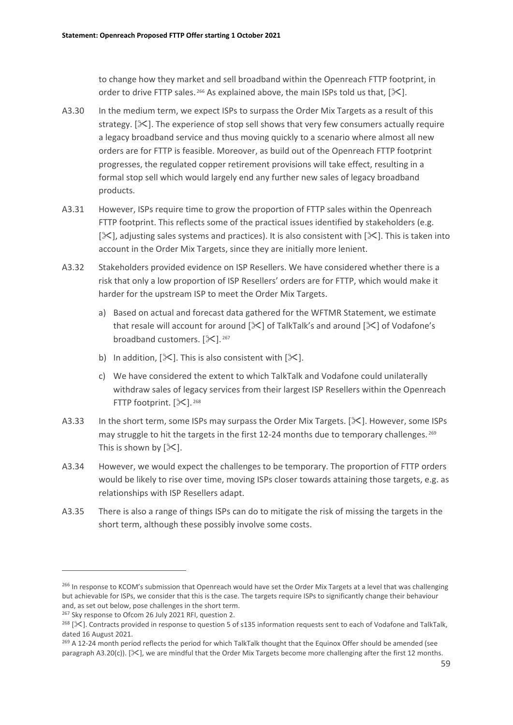to change how they market and sell broadband within the Openreach FTTP footprint, in order to drive FTTP sales. <sup>[266](#page-60-0)</sup> As explained above, the main ISPs told us that,  $[\mathcal{K}]$ .

- A3.30 In the medium term, we expect ISPs to surpass the Order Mix Targets as a result of this strategy.  $[\times]$ . The experience of stop sell shows that very few consumers actually require a legacy broadband service and thus moving quickly to a scenario where almost all new orders are for FTTP is feasible. Moreover, as build out of the Openreach FTTP footprint progresses, the regulated copper retirement provisions will take effect, resulting in a formal stop sell which would largely end any further new sales of legacy broadband products.
- A3.31 However, ISPs require time to grow the proportion of FTTP sales within the Openreach FTTP footprint. This reflects some of the practical issues identified by stakeholders (e.g.  $[\times]$ , adjusting sales systems and practices). It is also consistent with  $[\times]$ . This is taken into account in the Order Mix Targets, since they are initially more lenient.
- A3.32 Stakeholders provided evidence on ISP Resellers. We have considered whether there is a risk that only a low proportion of ISP Resellers' orders are for FTTP, which would make it harder for the upstream ISP to meet the Order Mix Targets.
	- a) Based on actual and forecast data gathered for the WFTMR Statement, we estimate that resale will account for around  $[\mathcal{X}]$  of TalkTalk's and around  $[\mathcal{X}]$  of Vodafone's broadband customers.  $[\times]$ . [267](#page-60-1)
	- b) In addition,  $[\&]$ . This is also consistent with  $[\&]$ .
	- c) We have considered the extent to which TalkTalk and Vodafone could unilaterally withdraw sales of legacy services from their largest ISP Resellers within the Openreach FTTP footprint.  $[\mathcal{K}]$ . <sup>[268](#page-60-2)</sup>
- A3.33 In the short term, some ISPs may surpass the Order Mix Targets. [ $\ge$ ]. However, some ISPs may struggle to hit the targets in the first 12-24 months due to temporary challenges.<sup>[269](#page-60-3)</sup> This is shown by  $[\mathcal{K}]$ .
- A3.34 However, we would expect the challenges to be temporary. The proportion of FTTP orders would be likely to rise over time, moving ISPs closer towards attaining those targets, e.g. as relationships with ISP Resellers adapt.
- A3.35 There is also a range of things ISPs can do to mitigate the risk of missing the targets in the short term, although these possibly involve some costs.

<span id="page-60-0"></span><sup>&</sup>lt;sup>266</sup> In response to KCOM's submission that Openreach would have set the Order Mix Targets at a level that was challenging but achievable for ISPs, we consider that this is the case. The targets require ISPs to significantly change their behaviour and, as set out below, pose challenges in the short term.

<span id="page-60-1"></span><sup>&</sup>lt;sup>267</sup> Sky response to Ofcom 26 July 2021 RFI, question 2.

<span id="page-60-2"></span> $^{268}$  [ $\ll$ ]. Contracts provided in response to question 5 of s135 information requests sent to each of Vodafone and TalkTalk, dated 16 August 2021.

<span id="page-60-3"></span><sup>&</sup>lt;sup>269</sup> A 12-24 month period reflects the period for which TalkTalk thought that the Equinox Offer should be amended (see paragraph A3.20(c)).  $[\&]$ , we are mindful that the Order Mix Targets become more challenging after the first 12 months.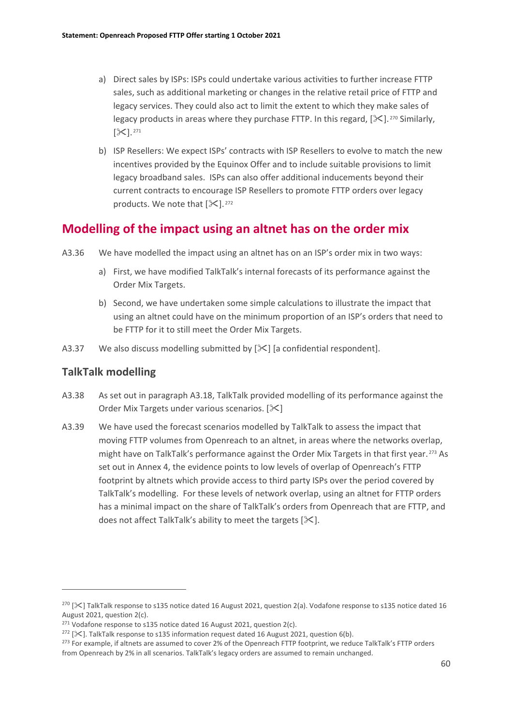- a) Direct sales by ISPs: ISPs could undertake various activities to further increase FTTP sales, such as additional marketing or changes in the relative retail price of FTTP and legacy services. They could also act to limit the extent to which they make sales of legacy products in areas where they purchase FTTP. In this regard,  $[\mathcal{K}]$ . <sup>[270](#page-61-0)</sup> Similarly,  $[X]$ . [271](#page-61-1)
- b) ISP Resellers: We expect ISPs' contracts with ISP Resellers to evolve to match the new incentives provided by the Equinox Offer and to include suitable provisions to limit legacy broadband sales. ISPs can also offer additional inducements beyond their current contracts to encourage ISP Resellers to promote FTTP orders over legacy products. We note that  $[\mathcal{K}]$ . <sup>[272](#page-61-2)</sup>

## **Modelling of the impact using an altnet has on the order mix**

- A3.36 We have modelled the impact using an altnet has on an ISP's order mix in two ways:
	- a) First, we have modified TalkTalk's internal forecasts of its performance against the Order Mix Targets.
	- b) Second, we have undertaken some simple calculations to illustrate the impact that using an altnet could have on the minimum proportion of an ISP's orders that need to be FTTP for it to still meet the Order Mix Targets.
- A3.37 We also discuss modelling submitted by  $[\times]$  [a confidential respondent].

### **TalkTalk modelling**

- A3.38 As set out in paragraph A3.18, TalkTalk provided modelling of its performance against the Order Mix Targets under various scenarios.  $[\&]$
- A3.39 We have used the forecast scenarios modelled by TalkTalk to assess the impact that moving FTTP volumes from Openreach to an altnet, in areas where the networks overlap, might have on TalkTalk's performance against the Order Mix Targets in that first year.<sup>[273](#page-61-3)</sup> As set out in Annex 4, the evidence points to low levels of overlap of Openreach's FTTP footprint by altnets which provide access to third party ISPs over the period covered by TalkTalk's modelling. For these levels of network overlap, using an altnet for FTTP orders has a minimal impact on the share of TalkTalk's orders from Openreach that are FTTP, and does not affect TalkTalk's ability to meet the targets  $[\mathcal{K}]$ .

<span id="page-61-0"></span> $2^{70}$  [ $\ll$ ] TalkTalk response to s135 notice dated 16 August 2021, question 2(a). Vodafone response to s135 notice dated 16 August 2021, question 2(c).

<span id="page-61-1"></span><sup>&</sup>lt;sup>271</sup> Vodafone response to s135 notice dated 16 August 2021, question  $2(c)$ .

<span id="page-61-2"></span> $272$  [ $\times$ ]. TalkTalk response to s135 information request dated 16 August 2021, question 6(b).

<span id="page-61-3"></span><sup>&</sup>lt;sup>273</sup> For example, if altnets are assumed to cover 2% of the Openreach FTTP footprint, we reduce TalkTalk's FTTP orders from Openreach by 2% in all scenarios. TalkTalk's legacy orders are assumed to remain unchanged.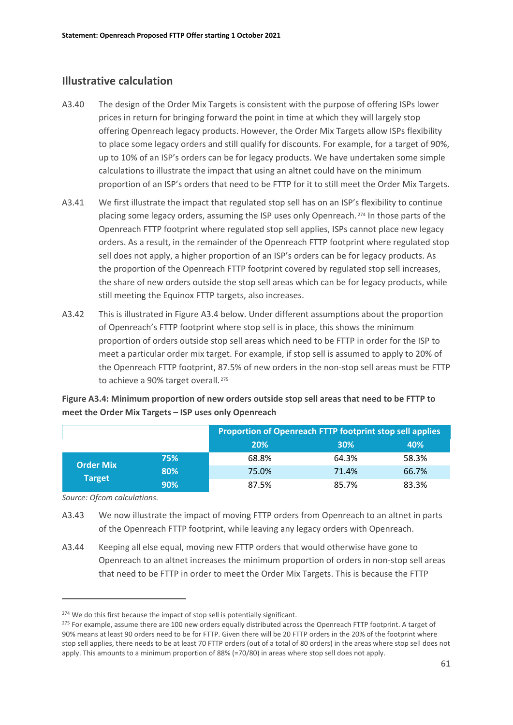### **Illustrative calculation**

- A3.40 The design of the Order Mix Targets is consistent with the purpose of offering ISPs lower prices in return for bringing forward the point in time at which they will largely stop offering Openreach legacy products. However, the Order Mix Targets allow ISPs flexibility to place some legacy orders and still qualify for discounts. For example, for a target of 90%, up to 10% of an ISP's orders can be for legacy products. We have undertaken some simple calculations to illustrate the impact that using an altnet could have on the minimum proportion of an ISP's orders that need to be FTTP for it to still meet the Order Mix Targets.
- A3.41 We first illustrate the impact that regulated stop sell has on an ISP's flexibility to continue placing some legacy orders, assuming the ISP uses only Openreach. [274](#page-62-0) In those parts of the Openreach FTTP footprint where regulated stop sell applies, ISPs cannot place new legacy orders. As a result, in the remainder of the Openreach FTTP footprint where regulated stop sell does not apply, a higher proportion of an ISP's orders can be for legacy products. As the proportion of the Openreach FTTP footprint covered by regulated stop sell increases, the share of new orders outside the stop sell areas which can be for legacy products, while still meeting the Equinox FTTP targets, also increases.
- A3.42 This is illustrated in Figure A3.4 below. Under different assumptions about the proportion of Openreach's FTTP footprint where stop sell is in place, this shows the minimum proportion of orders outside stop sell areas which need to be FTTP in order for the ISP to meet a particular order mix target. For example, if stop sell is assumed to apply to 20% of the Openreach FTTP footprint, 87.5% of new orders in the non-stop sell areas must be FTTP to achieve a 90% target overall.<sup>[275](#page-62-1)</sup>

|                                   |     | Proportion of Openreach FTTP footprint stop sell applies |       |       |
|-----------------------------------|-----|----------------------------------------------------------|-------|-------|
|                                   |     | 20%                                                      | 30%   | 40%   |
| <b>Order Mix</b><br><b>Target</b> | 75% | 68.8%                                                    | 64.3% | 58.3% |
|                                   | 80% | 75.0%                                                    | 71.4% | 66.7% |
|                                   | 90% | 87.5%                                                    | 85.7% | 83.3% |

### **Figure A3.4: Minimum proportion of new orders outside stop sell areas that need to be FTTP to meet the Order Mix Targets – ISP uses only Openreach**

*Source: Ofcom calculations.*

- A3.43 We now illustrate the impact of moving FTTP orders from Openreach to an altnet in parts of the Openreach FTTP footprint, while leaving any legacy orders with Openreach.
- A3.44 Keeping all else equal, moving new FTTP orders that would otherwise have gone to Openreach to an altnet increases the minimum proportion of orders in non-stop sell areas that need to be FTTP in order to meet the Order Mix Targets. This is because the FTTP

<span id="page-62-0"></span><sup>&</sup>lt;sup>274</sup> We do this first because the impact of stop sell is potentially significant.

<span id="page-62-1"></span><sup>&</sup>lt;sup>275</sup> For example, assume there are 100 new orders equally distributed across the Openreach FTTP footprint. A target of 90% means at least 90 orders need to be for FTTP. Given there will be 20 FTTP orders in the 20% of the footprint where stop sell applies, there needs to be at least 70 FTTP orders (out of a total of 80 orders) in the areas where stop sell does not apply. This amounts to a minimum proportion of 88% (=70/80) in areas where stop sell does not apply.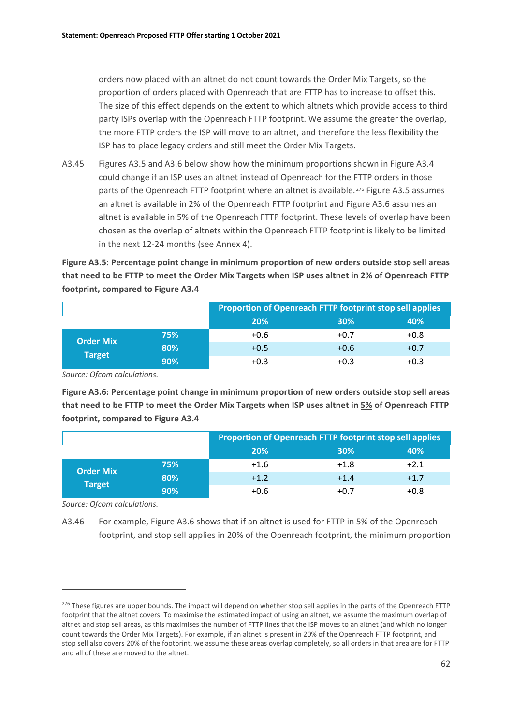orders now placed with an altnet do not count towards the Order Mix Targets, so the proportion of orders placed with Openreach that are FTTP has to increase to offset this. The size of this effect depends on the extent to which altnets which provide access to third party ISPs overlap with the Openreach FTTP footprint. We assume the greater the overlap, the more FTTP orders the ISP will move to an altnet, and therefore the less flexibility the ISP has to place legacy orders and still meet the Order Mix Targets.

A3.45 Figures A3.5 and A3.6 below show how the minimum proportions shown in Figure A3.4 could change if an ISP uses an altnet instead of Openreach for the FTTP orders in those parts of the Openreach FTTP footprint where an altnet is available.<sup>[276](#page-63-0)</sup> Figure A3.5 assumes an altnet is available in 2% of the Openreach FTTP footprint and Figure A3.6 assumes an altnet is available in 5% of the Openreach FTTP footprint. These levels of overlap have been chosen as the overlap of altnets within the Openreach FTTP footprint is likely to be limited in the next 12-24 months (see Annex 4).

**Figure A3.5: Percentage point change in minimum proportion of new orders outside stop sell areas that need to be FTTP to meet the Order Mix Targets when ISP uses altnet in 2% of Openreach FTTP footprint, compared to Figure A3.4**

|                                   |     | Proportion of Openreach FTTP footprint stop sell applies |        |        |  |
|-----------------------------------|-----|----------------------------------------------------------|--------|--------|--|
|                                   |     | 20%                                                      | 30%    | 40%    |  |
| <b>Order Mix</b><br><b>Target</b> | 75% | $+0.6$                                                   | $+0.7$ | $+0.8$ |  |
|                                   | 80% | $+0.5$                                                   | $+0.6$ | $+0.7$ |  |
|                                   | 90% | $+0.3$                                                   | $+0.3$ | $+0.3$ |  |

*Source: Ofcom calculations.*

**Figure A3.6: Percentage point change in minimum proportion of new orders outside stop sell areas that need to be FTTP to meet the Order Mix Targets when ISP uses altnet in 5% of Openreach FTTP footprint, compared to Figure A3.4**

|                                   |     | Proportion of Openreach FTTP footprint stop sell applies |        |        |
|-----------------------------------|-----|----------------------------------------------------------|--------|--------|
|                                   |     | 20%                                                      | 30%    | 40%    |
| <b>Order Mix</b><br><b>Target</b> | 75% | $+1.6$                                                   | $+1.8$ | $+2.1$ |
|                                   | 80% | $+1.2$                                                   | $+1.4$ | $+1.7$ |
|                                   | 90% | $+0.6$                                                   | $+0.7$ | $+0.8$ |

*Source: Ofcom calculations.*

A3.46 For example, Figure A3.6 shows that if an altnet is used for FTTP in 5% of the Openreach footprint, and stop sell applies in 20% of the Openreach footprint, the minimum proportion

<span id="page-63-0"></span><sup>&</sup>lt;sup>276</sup> These figures are upper bounds. The impact will depend on whether stop sell applies in the parts of the Openreach FTTP footprint that the altnet covers. To maximise the estimated impact of using an altnet, we assume the maximum overlap of altnet and stop sell areas, as this maximises the number of FTTP lines that the ISP moves to an altnet (and which no longer count towards the Order Mix Targets). For example, if an altnet is present in 20% of the Openreach FTTP footprint, and stop sell also covers 20% of the footprint, we assume these areas overlap completely, so all orders in that area are for FTTP and all of these are moved to the altnet.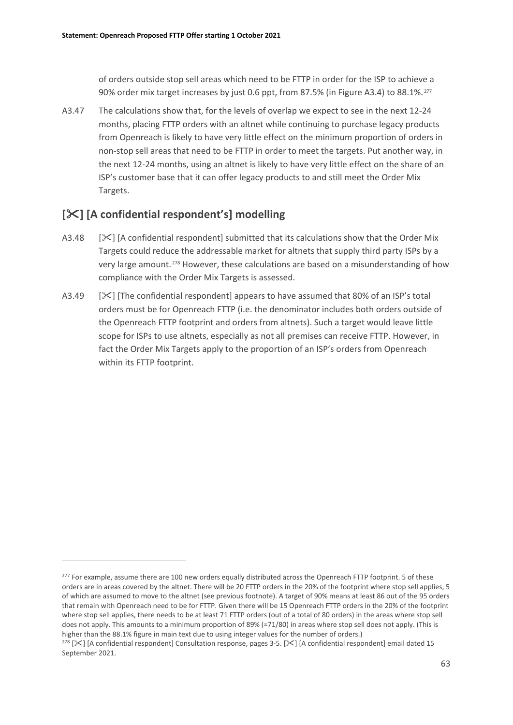of orders outside stop sell areas which need to be FTTP in order for the ISP to achieve a 90% order mix target increases by just 0.6 ppt, from 87.5% (in Figure A3.4) to 88.1%. [277](#page-64-0)

A3.47 The calculations show that, for the levels of overlap we expect to see in the next 12-24 months, placing FTTP orders with an altnet while continuing to purchase legacy products from Openreach is likely to have very little effect on the minimum proportion of orders in non-stop sell areas that need to be FTTP in order to meet the targets. Put another way, in the next 12-24 months, using an altnet is likely to have very little effect on the share of an ISP's customer base that it can offer legacy products to and still meet the Order Mix Targets.

# **[] [A confidential respondent's] modelling**

- A3.48  $[\times]$  [A confidential respondent] submitted that its calculations show that the Order Mix Targets could reduce the addressable market for altnets that supply third party ISPs by a very large amount. [278](#page-64-1) However, these calculations are based on a misunderstanding of how compliance with the Order Mix Targets is assessed.
- A3.49  $[\times]$  [The confidential respondent] appears to have assumed that 80% of an ISP's total orders must be for Openreach FTTP (i.e. the denominator includes both orders outside of the Openreach FTTP footprint and orders from altnets). Such a target would leave little scope for ISPs to use altnets, especially as not all premises can receive FTTP. However, in fact the Order Mix Targets apply to the proportion of an ISP's orders from Openreach within its FTTP footprint.

<span id="page-64-0"></span><sup>&</sup>lt;sup>277</sup> For example, assume there are 100 new orders equally distributed across the Openreach FTTP footprint. 5 of these orders are in areas covered by the altnet. There will be 20 FTTP orders in the 20% of the footprint where stop sell applies, 5 of which are assumed to move to the altnet (see previous footnote). A target of 90% means at least 86 out of the 95 orders that remain with Openreach need to be for FTTP. Given there will be 15 Openreach FTTP orders in the 20% of the footprint where stop sell applies, there needs to be at least 71 FTTP orders (out of a total of 80 orders) in the areas where stop sell does not apply. This amounts to a minimum proportion of 89% (=71/80) in areas where stop sell does not apply. (This is higher than the 88.1% figure in main text due to using integer values for the number of orders.)

<span id="page-64-1"></span><sup>&</sup>lt;sup>278</sup> [ $\leq$ ] [A confidential respondent] Consultation response, pages 3-5. [ $\leq$ ] [A confidential respondent] email dated 15 September 2021.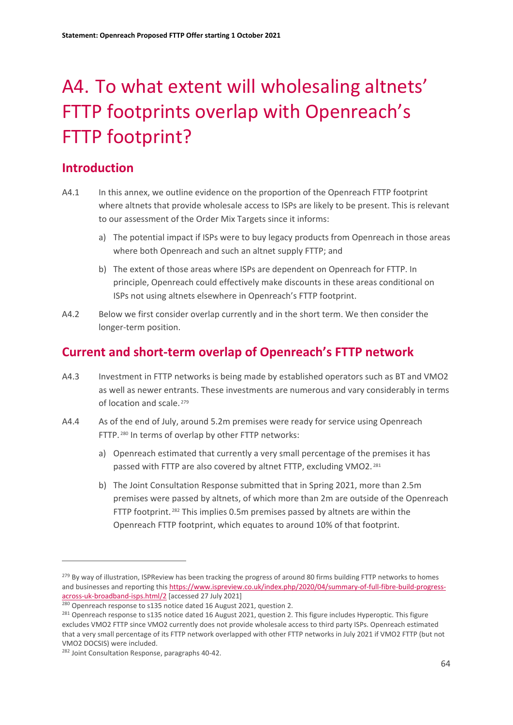# <span id="page-65-0"></span>A4. To what extent will wholesaling altnets' FTTP footprints overlap with Openreach's FTTP footprint?

# **Introduction**

- A4.1 In this annex, we outline evidence on the proportion of the Openreach FTTP footprint where altnets that provide wholesale access to ISPs are likely to be present. This is relevant to our assessment of the Order Mix Targets since it informs:
	- a) The potential impact if ISPs were to buy legacy products from Openreach in those areas where both Openreach and such an altnet supply FTTP; and
	- b) The extent of those areas where ISPs are dependent on Openreach for FTTP. In principle, Openreach could effectively make discounts in these areas conditional on ISPs not using altnets elsewhere in Openreach's FTTP footprint.
- A4.2 Below we first consider overlap currently and in the short term. We then consider the longer-term position.

# **Current and short-term overlap of Openreach's FTTP network**

- A4.3 Investment in FTTP networks is being made by established operators such as BT and VMO2 as well as newer entrants. These investments are numerous and vary considerably in terms of location and scale. [279](#page-65-1)
- A4.4 As of the end of July, around 5.2m premises were ready for service using Openreach FTTP. [280](#page-65-2) In terms of overlap by other FTTP networks:
	- a) Openreach estimated that currently a very small percentage of the premises it has passed with FTTP are also covered by altnet FTTP, excluding VMO2. [281](#page-65-3)
	- b) The Joint Consultation Response submitted that in Spring 2021, more than 2.5m premises were passed by altnets, of which more than 2m are outside of the Openreach FTTP footprint. [282](#page-65-4) This implies 0.5m premises passed by altnets are within the Openreach FTTP footprint, which equates to around 10% of that footprint.

<span id="page-65-1"></span><sup>&</sup>lt;sup>279</sup> By way of illustration, ISPReview has been tracking the progress of around 80 firms building FTTP networks to homes and businesses and reporting thi[s https://www.ispreview.co.uk/index.php/2020/04/summary-of-full-fibre-build-progress](https://www.ispreview.co.uk/index.php/2020/04/summary-of-full-fibre-build-progress-across-uk-broadband-isps.html/2)[across-uk-broadband-isps.html/2](https://www.ispreview.co.uk/index.php/2020/04/summary-of-full-fibre-build-progress-across-uk-broadband-isps.html/2) [accessed 27 July 2021]

<span id="page-65-3"></span><span id="page-65-2"></span><sup>&</sup>lt;sup>280</sup> Openreach response to s135 notice dated 16 August 2021, question 2.<br><sup>281</sup> Openreach response to s135 notice dated 16 August 2021, question 2. This figure includes Hyperoptic. This figure excludes VMO2 FTTP since VMO2 currently does not provide wholesale access to third party ISPs. Openreach estimated that a very small percentage of its FTTP network overlapped with other FTTP networks in July 2021 if VMO2 FTTP (but not VMO2 DOCSIS) were included.

<span id="page-65-4"></span><sup>&</sup>lt;sup>282</sup> Joint Consultation Response, paragraphs 40-42.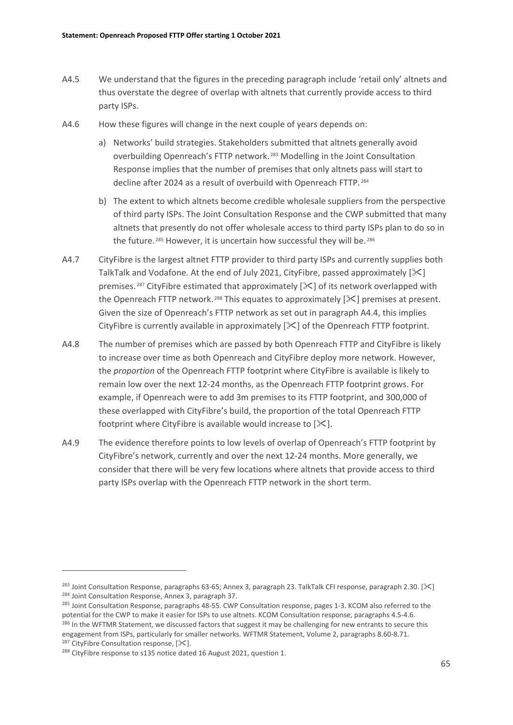- A4.5 We understand that the figures in the preceding paragraph include 'retail only' altnets and thus overstate the degree of overlap with altnets that currently provide access to third party ISPs.
- A4.6 How these figures will change in the next couple of years depends on:
	- a) Networks' build strategies. Stakeholders submitted that altnets generally avoid overbuilding Openreach's FTTP network. [283](#page-66-0) Modelling in the Joint Consultation Response implies that the number of premises that only altnets pass will start to decline after 2024 as a result of overbuild with Openreach FTTP. [284](#page-66-1)
	- b) The extent to which altnets become credible wholesale suppliers from the perspective of third party ISPs. The Joint Consultation Response and the CWP submitted that many altnets that presently do not offer wholesale access to third party ISPs plan to do so in the future.<sup>[285](#page-66-2)</sup> However, it is uncertain how successful they will be.<sup>[286](#page-66-3)</sup>
- A4.7 CityFibre is the largest altnet FTTP provider to third party ISPs and currently supplies both TalkTalk and Vodafone. At the end of July 2021, CityFibre, passed approximately  $[\<]$ premises. <sup>[287](#page-66-4)</sup> CityFibre estimated that approximately  $[\frac{1}{2}$  of its network overlapped with the Openreach FTTP network.<sup>[288](#page-66-5)</sup> This equates to approximately  $[\mathcal{K}]$  premises at present. Given the size of Openreach's FTTP network as set out in paragraph A4.4, this implies CityFibre is currently available in approximately  $[\times]$  of the Openreach FTTP footprint.
- A4.8 The number of premises which are passed by both Openreach FTTP and CityFibre is likely to increase over time as both Openreach and CityFibre deploy more network. However, the *proportion* of the Openreach FTTP footprint where CityFibre is available is likely to remain low over the next 12-24 months, as the Openreach FTTP footprint grows. For example, if Openreach were to add 3m premises to its FTTP footprint, and 300,000 of these overlapped with CityFibre's build, the proportion of the total Openreach FTTP footprint where CityFibre is available would increase to  $[\mathcal{K}].$
- A4.9 The evidence therefore points to low levels of overlap of Openreach's FTTP footprint by CityFibre's network, currently and over the next 12-24 months. More generally, we consider that there will be very few locations where altnets that provide access to third party ISPs overlap with the Openreach FTTP network in the short term.

<span id="page-66-1"></span><span id="page-66-0"></span><sup>&</sup>lt;sup>283</sup> Joint Consultation Response, paragraphs 63-65; Annex 3, paragraph 23. TalkTalk CFI response, paragraph 2.30. [ $\geq$ ] <sup>284</sup> Joint Consultation Response, Annex 3, paragraph 37.

<span id="page-66-3"></span><span id="page-66-2"></span><sup>&</sup>lt;sup>285</sup> Joint Consultation Response, paragraphs 48-55. CWP Consultation response, pages 1-3. KCOM also referred to the potential for the CWP to make it easier for ISPs to use altnets. KCOM Consultation response, paragraphs 4.5-4.6.<br><sup>286</sup> In the WFTMR Statement, we discussed factors that suggest it may be challenging for new entrants to sec engagement from ISPs, particularly for smaller networks. WFTMR Statement, Volume 2, paragraphs 8.60-8.71.

<span id="page-66-4"></span><sup>&</sup>lt;sup>287</sup> CityFibre Consultation response,  $[\times]$ .

<span id="page-66-5"></span><sup>&</sup>lt;sup>288</sup> CityFibre response to s135 notice dated 16 August 2021, question 1.